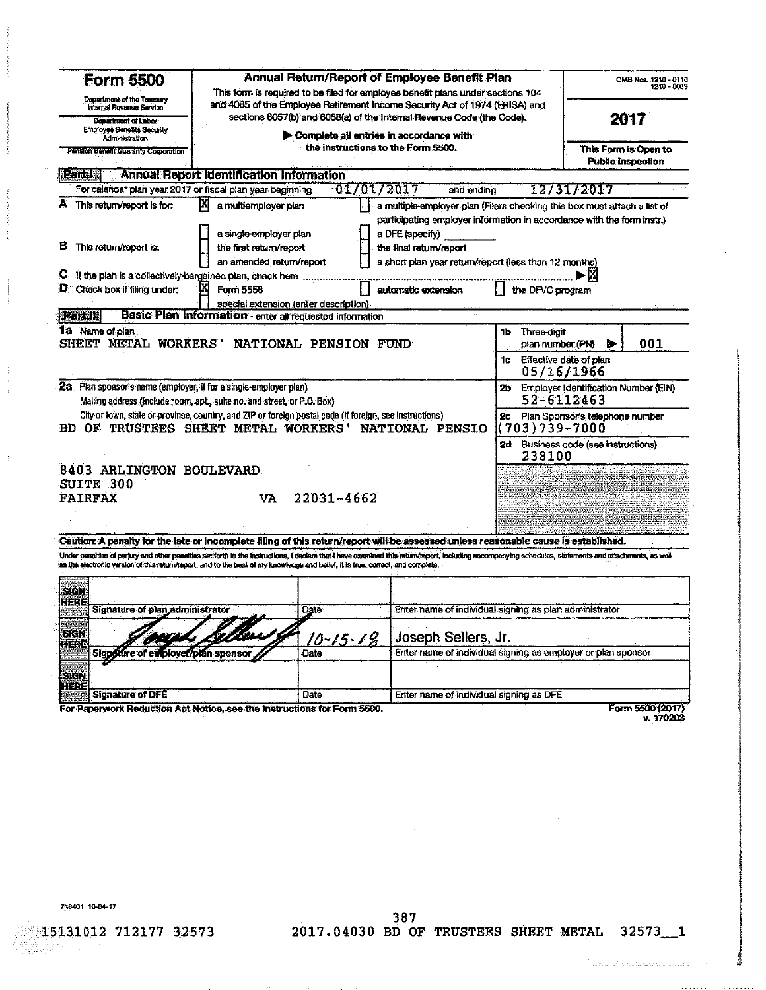| <b>Form 5500</b>                                                                                                                                                                                                                                                                                                                                                                                                                                                               |                                                          | Annual Return/Report of Employee Benefit Plan<br>This form is required to be filed for employee benefit plans under sections 104<br>and 4065 of the Employee Retirement Income Security Act of 1974 (ERISA) and |                                                                                                                                                                       |                                         |                                         |  |  |  |  |
|--------------------------------------------------------------------------------------------------------------------------------------------------------------------------------------------------------------------------------------------------------------------------------------------------------------------------------------------------------------------------------------------------------------------------------------------------------------------------------|----------------------------------------------------------|-----------------------------------------------------------------------------------------------------------------------------------------------------------------------------------------------------------------|-----------------------------------------------------------------------------------------------------------------------------------------------------------------------|-----------------------------------------|-----------------------------------------|--|--|--|--|
| Department of the Traesury<br>Internal Revanue Service                                                                                                                                                                                                                                                                                                                                                                                                                         |                                                          |                                                                                                                                                                                                                 |                                                                                                                                                                       |                                         |                                         |  |  |  |  |
| Department of Labor<br><b>Employee Benefits Security</b>                                                                                                                                                                                                                                                                                                                                                                                                                       |                                                          | sections 6057(b) and 6058(a) of the Internal Revenue Code (the Code).<br>Complete all entries in accordance with<br>the instructions to the Form 5500.                                                          |                                                                                                                                                                       |                                         |                                         |  |  |  |  |
| <b>Administration</b><br>Pension Benefit Guaranty Corporation                                                                                                                                                                                                                                                                                                                                                                                                                  |                                                          |                                                                                                                                                                                                                 |                                                                                                                                                                       |                                         |                                         |  |  |  |  |
| i Files                                                                                                                                                                                                                                                                                                                                                                                                                                                                        | <b>Annual Report Identification Information</b>          |                                                                                                                                                                                                                 |                                                                                                                                                                       |                                         | <b>Public Inspection</b>                |  |  |  |  |
| For calendar plan year 2017 or fiscal plan year beginning                                                                                                                                                                                                                                                                                                                                                                                                                      |                                                          | 01/01/2017                                                                                                                                                                                                      | and ending                                                                                                                                                            |                                         | 12/31/2017                              |  |  |  |  |
| A This return/report is for:                                                                                                                                                                                                                                                                                                                                                                                                                                                   | M<br>a multiemployer plan<br>a single employer plan      |                                                                                                                                                                                                                 | a multiple employer plan (Filers checking this box must attach a list of<br>participating employer information in accordance with the form instr.)<br>a DFE (specify) |                                         |                                         |  |  |  |  |
| в<br>This return/report is:                                                                                                                                                                                                                                                                                                                                                                                                                                                    | the first return/report<br>an amended return/report      |                                                                                                                                                                                                                 | the final return/report<br>a short pian year return/report (less than 12 months)                                                                                      |                                         |                                         |  |  |  |  |
| C If the plan is a collectively-bargained plan, check here                                                                                                                                                                                                                                                                                                                                                                                                                     |                                                          |                                                                                                                                                                                                                 |                                                                                                                                                                       |                                         | m                                       |  |  |  |  |
| $D$ Check box if filing under:                                                                                                                                                                                                                                                                                                                                                                                                                                                 | M<br>Form 5558                                           |                                                                                                                                                                                                                 | automatic extension                                                                                                                                                   | the DFVC program                        |                                         |  |  |  |  |
|                                                                                                                                                                                                                                                                                                                                                                                                                                                                                | special extension (enter description)                    |                                                                                                                                                                                                                 |                                                                                                                                                                       |                                         |                                         |  |  |  |  |
| Partill                                                                                                                                                                                                                                                                                                                                                                                                                                                                        | Basic Plan Information - enter all requested information |                                                                                                                                                                                                                 |                                                                                                                                                                       |                                         |                                         |  |  |  |  |
| 1a Name of plan<br>SHEET METAL WORKERS' NATIONAL PENSION FUND                                                                                                                                                                                                                                                                                                                                                                                                                  |                                                          |                                                                                                                                                                                                                 |                                                                                                                                                                       | Three-digit<br>1b.<br>plan number (PN)  | 001                                     |  |  |  |  |
|                                                                                                                                                                                                                                                                                                                                                                                                                                                                                |                                                          |                                                                                                                                                                                                                 |                                                                                                                                                                       | 1c Effective date of plan<br>05/16/1966 |                                         |  |  |  |  |
| 2a Plan sponsor's name (employer, if for a single-employer plan)<br>Mailing address (include room, apt., suite no. and street, or P.O. Box)                                                                                                                                                                                                                                                                                                                                    |                                                          |                                                                                                                                                                                                                 |                                                                                                                                                                       | 52-6112463                              | 2b Employer Identification Number (EIN) |  |  |  |  |
| City or town, state or province, country, and ZIP or foreign postal code (if foreign, see instructions)<br>BD OF TRUSTEES SHEET METAL WORKERS'                                                                                                                                                                                                                                                                                                                                 |                                                          |                                                                                                                                                                                                                 | NATIONAL PENSIO                                                                                                                                                       | (703)739-7000                           | 2c Plan Sponsor's telephone number      |  |  |  |  |
|                                                                                                                                                                                                                                                                                                                                                                                                                                                                                |                                                          |                                                                                                                                                                                                                 |                                                                                                                                                                       | 238100                                  | 2d Business code (see instructions)     |  |  |  |  |
| 8403 ARLINGTON BOULEVARD                                                                                                                                                                                                                                                                                                                                                                                                                                                       |                                                          |                                                                                                                                                                                                                 |                                                                                                                                                                       |                                         |                                         |  |  |  |  |
| SUITE 300                                                                                                                                                                                                                                                                                                                                                                                                                                                                      |                                                          |                                                                                                                                                                                                                 |                                                                                                                                                                       |                                         |                                         |  |  |  |  |
| <b>FAIRFAX</b>                                                                                                                                                                                                                                                                                                                                                                                                                                                                 | VA.                                                      | $22031 - 4662$                                                                                                                                                                                                  |                                                                                                                                                                       |                                         |                                         |  |  |  |  |
|                                                                                                                                                                                                                                                                                                                                                                                                                                                                                |                                                          |                                                                                                                                                                                                                 |                                                                                                                                                                       |                                         |                                         |  |  |  |  |
|                                                                                                                                                                                                                                                                                                                                                                                                                                                                                |                                                          |                                                                                                                                                                                                                 |                                                                                                                                                                       |                                         |                                         |  |  |  |  |
| Caution: A penalty for the late or incomplete filing of this return/report will be assessed unless reasonable cause is established.<br>Under penelties of periury and other penalties set forth in the instructions, I declare that I have examined this return/report, including accompanying schedules, statements and attachments, as well<br>as the electronic version of this return/report, and to the best of my knowledge and belief, it is true, comed, and complete. |                                                          |                                                                                                                                                                                                                 |                                                                                                                                                                       |                                         |                                         |  |  |  |  |
| SIGN<br>$2 - 7 - 7$                                                                                                                                                                                                                                                                                                                                                                                                                                                            |                                                          |                                                                                                                                                                                                                 |                                                                                                                                                                       |                                         |                                         |  |  |  |  |
| Signature of plan administrator                                                                                                                                                                                                                                                                                                                                                                                                                                                |                                                          | Date                                                                                                                                                                                                            | Enter name of individual signing as plan administrator                                                                                                                |                                         |                                         |  |  |  |  |
| STEN<br>r Ege                                                                                                                                                                                                                                                                                                                                                                                                                                                                  |                                                          | $10 - 15 - 19$                                                                                                                                                                                                  | Joseph Sellers, Jr.                                                                                                                                                   |                                         |                                         |  |  |  |  |
| Sigpottre of employer/plan sponsor<br>SIEN                                                                                                                                                                                                                                                                                                                                                                                                                                     |                                                          | Date                                                                                                                                                                                                            | Enter name of individual signing as employer or plan sponsor                                                                                                          |                                         |                                         |  |  |  |  |
| HEZE<br><b>Signature of DFE</b>                                                                                                                                                                                                                                                                                                                                                                                                                                                |                                                          | Date                                                                                                                                                                                                            | Enter name of individual signing as DFE                                                                                                                               |                                         |                                         |  |  |  |  |
| For Paperwork Reduction Act Notice, see the Instructions for Form 5500.                                                                                                                                                                                                                                                                                                                                                                                                        |                                                          |                                                                                                                                                                                                                 |                                                                                                                                                                       |                                         | Form 5500 (2017)                        |  |  |  |  |

 $\sim$  .

v. 170203

718401 10-04-17

 $\frac{1}{2}$ 

15131012 712177 32573 

387<br>2017.04030 BD OF TRUSTEES SHEET METAL 32573\_1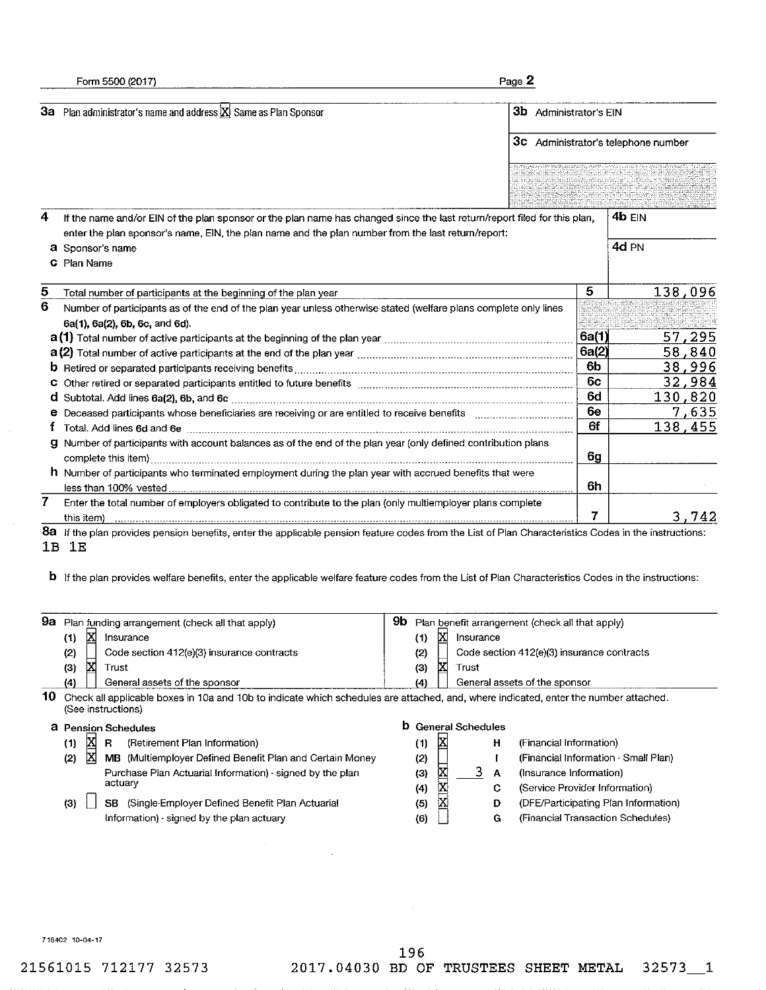|    | Form 5500 (2017)                                                                                                                                            |                            |                   |           |   | Page 2                                             |                |        |                  |
|----|-------------------------------------------------------------------------------------------------------------------------------------------------------------|----------------------------|-------------------|-----------|---|----------------------------------------------------|----------------|--------|------------------|
|    | 3a Plan administrator's name and address X Same as Plan Sponsor                                                                                             |                            |                   |           |   | <b>3b</b> Administrator's EIN                      |                |        |                  |
|    |                                                                                                                                                             |                            |                   |           |   | 3c Administrator's telephone number                |                |        |                  |
|    |                                                                                                                                                             |                            |                   |           |   |                                                    |                |        |                  |
|    |                                                                                                                                                             |                            |                   |           |   |                                                    |                |        |                  |
| 4  | If the name and/or EIN of the plan sponsor or the plan name has changed since the last return/report filed for this plan,                                   |                            |                   |           |   |                                                    |                | 4b EIN |                  |
|    | enter the plan sponsor's name, EIN, the plan name and the plan number from the last return/report:                                                          |                            |                   |           |   |                                                    |                |        |                  |
|    | a Sponsor's name                                                                                                                                            |                            |                   |           |   |                                                    |                | 4d PN  |                  |
|    | C Plan Name                                                                                                                                                 |                            |                   |           |   |                                                    |                |        |                  |
| 5  | Total number of participants at the beginning of the plan year                                                                                              |                            |                   |           |   |                                                    | 5              |        | 138,096          |
| 6  | Number of participants as of the end of the plan year unless otherwise stated (welfare plans complete only lines                                            |                            |                   |           |   |                                                    |                |        |                  |
|    | 6a(1), 6a(2), 6b, 6c, and 6d).                                                                                                                              |                            |                   |           |   |                                                    |                |        |                  |
|    |                                                                                                                                                             |                            |                   |           |   |                                                    | 6a(1)<br>6a(2) |        | 57,295           |
|    |                                                                                                                                                             |                            |                   |           |   |                                                    | 6b             |        | 58,840<br>38,996 |
|    |                                                                                                                                                             |                            |                   |           |   |                                                    | 6c             |        | 32,984           |
|    |                                                                                                                                                             |                            |                   |           |   |                                                    | 6d             |        | 130,820          |
|    | e Deceased participants whose beneficiaries are receiving or are entitled to receive benefits                                                               |                            |                   |           |   |                                                    | 6e             |        | 7,635            |
| t  |                                                                                                                                                             |                            |                   |           |   |                                                    | 6f             |        | 138,455          |
| g. | Number of participants with account balances as of the end of the plan year (only defined contribution plans                                                |                            |                   |           |   |                                                    |                |        |                  |
|    |                                                                                                                                                             |                            |                   |           |   |                                                    | 6g             |        |                  |
|    | $\hbar$ Number of participants who terminated employment during the plan year with accrued benefits that were                                               |                            |                   |           |   |                                                    |                |        |                  |
|    |                                                                                                                                                             |                            |                   |           |   |                                                    | 6h             |        |                  |
| 7. | Enter the total number of employers obligated to contribute to the plan (only multiemployer plans complete<br>this item                                     |                            |                   |           |   |                                                    | 7              |        | 3.742            |
|    | 8a If the plan provides pension benefits, enter the applicable pension feature codes from the List of Plan Characteristics Codes in the instructions:       |                            |                   |           |   |                                                    |                |        |                  |
| 1B | 1E                                                                                                                                                          |                            |                   |           |   |                                                    |                |        |                  |
|    |                                                                                                                                                             |                            |                   |           |   |                                                    |                |        |                  |
|    | <b>b</b> If the plan provides welfare benefits, enter the applicable welfare feature codes from the List of Plan Characteristics Codes in the instructions: |                            |                   |           |   |                                                    |                |        |                  |
|    |                                                                                                                                                             |                            |                   |           |   |                                                    |                |        |                  |
| 9a | Plan funding arrangement (check all that apply)                                                                                                             |                            |                   |           |   | 9b Plan benefit arrangement (check all that apply) |                |        |                  |
|    | <b>IX</b><br>Insurance<br>(1)                                                                                                                               | (1)                        | 龱                 | Insurance |   |                                                    |                |        |                  |
|    | (2)<br>Code section 412(e)(3) insurance contracts                                                                                                           | (2)                        |                   |           |   | Code section 412(e)(3) insurance contracts         |                |        |                  |
|    | M<br>(3)<br>Trust                                                                                                                                           | (3)                        | 龱                 | Trust     |   |                                                    |                |        |                  |
|    | (4)<br>General assets of the sponsor                                                                                                                        | (4)                        |                   |           |   | General assets of the sponsor                      |                |        |                  |
| 10 | Check all applicable boxes in 10a and 10b to indicate which schedules are attached, and, where indicated, enter the number attached.<br>(See instructions)  |                            |                   |           |   |                                                    |                |        |                  |
|    | a Pension Schedules                                                                                                                                         | <b>b</b> General Schedules |                   |           |   |                                                    |                |        |                  |
|    | X<br>(Retirement Plan Information)<br>(1)<br>R                                                                                                              | (1)                        | $\mathbf{\Sigma}$ |           | н | (Financial Information)                            |                |        |                  |
|    | ×<br>MB (Multiemployer Defined Benefit Plan and Certain Money<br>(2)                                                                                        | (2)                        |                   |           | ŧ | (Financial Information · Small Plan)               |                |        |                  |
|    | Purchase Plan Actuarial Information) - signed by the plan                                                                                                   | (3)                        | 区                 | 3,        | А | (Insurance Information)                            |                |        |                  |
|    | actuary                                                                                                                                                     | (4)                        | X                 |           | C | (Service Provider Information)                     |                |        |                  |

(3) SB (Single-Employer Defined Benefit Plan Actuarial Information) - signed by the plan actuary

| (1) |  | н | (Financial Information)              |
|-----|--|---|--------------------------------------|
| (2) |  |   | (Financial Information · Small Plan) |
| (S) |  | А | (Insurance Information)              |
| (4) |  | С | (Service Provider Information)       |
| (5) |  | D | (DFE/Participating Plan Information) |
| (6) |  | G | (Financial Transaction Schedules)    |
|     |  |   |                                      |

718402 10-04-17

 $\sim 10$ 

21561015 712177 32573

 $\mathcal{L}_{\mathcal{A}}$ 

 $32573 - 1$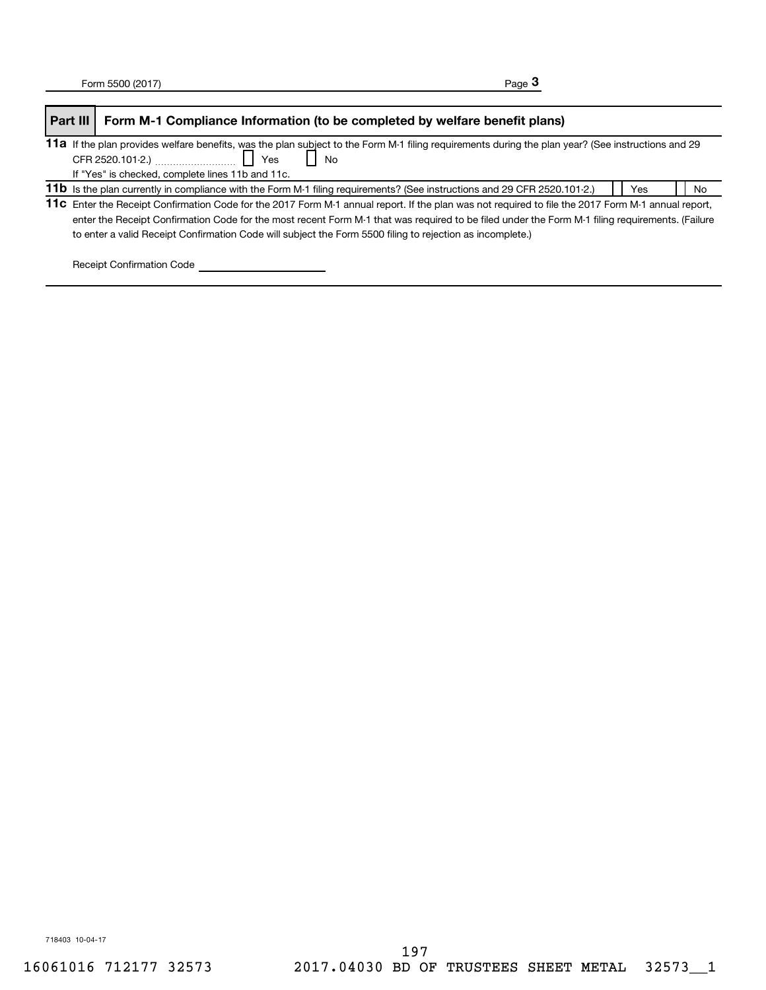| Part III | Form M-1 Compliance Information (to be completed by welfare benefit plans)                                                                                                                                                                                                                                                                                                                                         |    |
|----------|--------------------------------------------------------------------------------------------------------------------------------------------------------------------------------------------------------------------------------------------------------------------------------------------------------------------------------------------------------------------------------------------------------------------|----|
|          | 11a If the plan provides welfare benefits, was the plan subject to the Form M-1 filing requirements during the plan year? (See instructions and 29<br>CFR 2520.101-2.) $\frac{1}{2}$ $\frac{1}{2}$ $\frac{1}{2}$ Yes<br><b>No</b><br>If "Yes" is checked, complete lines 11b and 11c.                                                                                                                              |    |
|          | 11b Is the plan currently in compliance with the Form M-1 filing requirements? (See instructions and 29 CFR 2520.101-2.)<br>Yes                                                                                                                                                                                                                                                                                    | No |
|          | 11c Enter the Receipt Confirmation Code for the 2017 Form M-1 annual report. If the plan was not required to file the 2017 Form M-1 annual report,<br>enter the Receipt Confirmation Code for the most recent Form M-1 that was required to be filed under the Form M-1 filing requirements. (Failure<br>to enter a valid Receipt Confirmation Code will subject the Form 5500 filing to rejection as incomplete.) |    |

Receipt Confirmation Code \_\_\_\_\_\_\_\_\_\_\_\_\_\_\_\_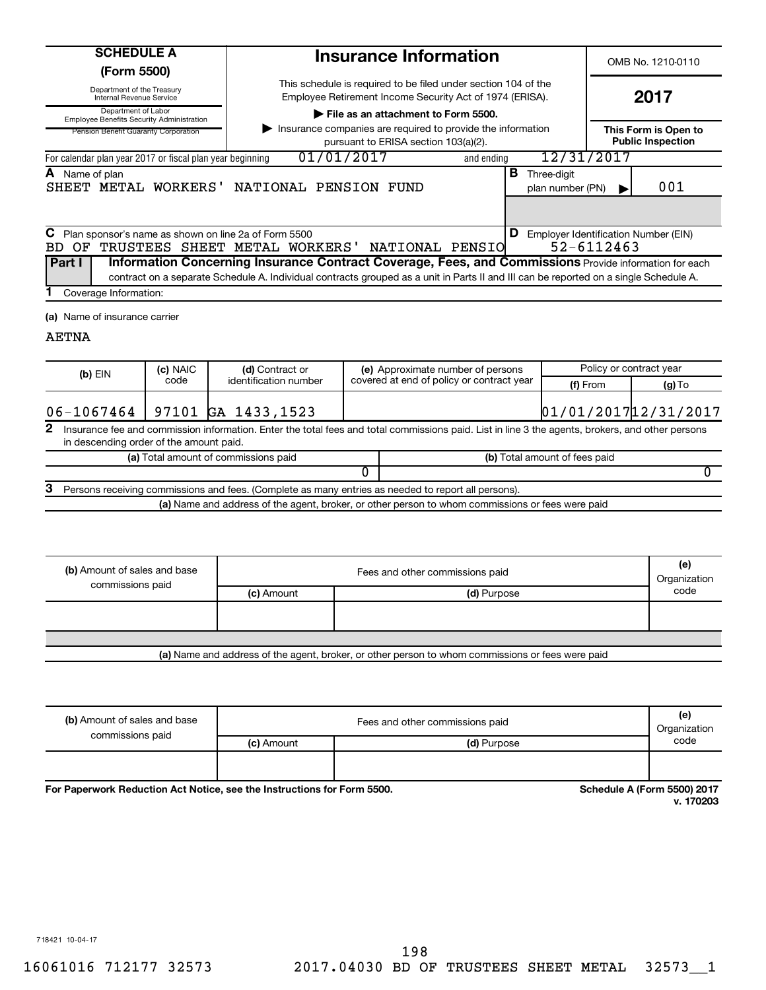| <b>SCHEDULE A</b> |  |
|-------------------|--|
|                   |  |

**(Form 5500)**

Department of the Treasury

Internal Revenue Service

Department of Labor Employee Benefits Security Administration

**| File as an attachment to Form 5500.**

This schedule is required to be filed under section 104 of the Employee Retirement Income Security Act of 1974 (ERISA).

**Insurance Information**

OMB No. 1210-0110

| Pension Benefit Guaranty Corporation                      | This Form is Open to<br><b>Public Inspection</b> |            |                                 |        |
|-----------------------------------------------------------|--------------------------------------------------|------------|---------------------------------|--------|
| For calendar plan year 2017 or fiscal plan year beginning | 01/01/2017                                       | and ending | 12/31/2017                      |        |
| <b>A</b> Name of plan                                     | SHEET METAL WORKERS' NATIONAL PENSION FUND       | В          | Three-digit<br>plan number (PN) | 001    |
|                                                           |                                                  |            |                                 |        |
| ⌒<br>$\sim$<br>                                           | ----                                             | n.         |                                 | $\sim$ |

|                                                                                                                                       | C Plan sponsor's name as shown on line 2a of Form 5500 |  | Employer Identification Number (EIN)<br>D |  |  |  |            |  |  |
|---------------------------------------------------------------------------------------------------------------------------------------|--------------------------------------------------------|--|-------------------------------------------|--|--|--|------------|--|--|
|                                                                                                                                       | BD OF TRUSTEES SHEET METAL WORKERS' NATIONAL PENSIO    |  |                                           |  |  |  | 52-6112463 |  |  |
| <b>Part I</b><br><b>Information Concerning Insurance Contract Coverage, Fees, and Commissions</b> Provide information for each        |                                                        |  |                                           |  |  |  |            |  |  |
| contract on a separate Schedule A. Individual contracts grouped as a unit in Parts II and III can be reported on a single Schedule A. |                                                        |  |                                           |  |  |  |            |  |  |
| Coverage Information:                                                                                                                 |                                                        |  |                                           |  |  |  |            |  |  |

**(a)** Name of insurance carrier

## AETNA

|                |                                                                                                                                                                                             | (c) NAIC | (d) Contract or                      |                               | (e) Approximate number of persons         |                                     | Policy or contract year |  |  |
|----------------|---------------------------------------------------------------------------------------------------------------------------------------------------------------------------------------------|----------|--------------------------------------|-------------------------------|-------------------------------------------|-------------------------------------|-------------------------|--|--|
|                | $(b)$ EIN                                                                                                                                                                                   | code     | identification number                |                               | covered at end of policy or contract year | (f) From                            | $(g)$ To                |  |  |
|                | 06-1067464                                                                                                                                                                                  |          | 97101 GA 1433,1523                   |                               |                                           | $01/01/2017$ <sup>12</sup> /31/2017 |                         |  |  |
| $\mathbf{2}^-$ | Insurance fee and commission information. Enter the total fees and total commissions paid. List in line 3 the agents, brokers, and other persons<br>in descending order of the amount paid. |          |                                      |                               |                                           |                                     |                         |  |  |
|                |                                                                                                                                                                                             |          | (a) Total amount of commissions paid | (b) Total amount of fees paid |                                           |                                     |                         |  |  |
|                |                                                                                                                                                                                             |          |                                      |                               |                                           |                                     |                         |  |  |
| З              | Persons receiving commissions and fees. (Complete as many entries as needed to report all persons).                                                                                         |          |                                      |                               |                                           |                                     |                         |  |  |
|                | (a) Name and address of the agent, broker, or other person to whom commissions or fees were paid                                                                                            |          |                                      |                               |                                           |                                     |                         |  |  |

| (b) Amount of sales and base<br>commissions paid                                                 | Fees and other commissions paid<br>Organization |             |      |  |  |
|--------------------------------------------------------------------------------------------------|-------------------------------------------------|-------------|------|--|--|
|                                                                                                  | (c) Amount                                      | (d) Purpose | code |  |  |
|                                                                                                  |                                                 |             |      |  |  |
|                                                                                                  |                                                 |             |      |  |  |
|                                                                                                  |                                                 |             |      |  |  |
| (a) Name and address of the agent, broker, or other person to whom commissions or fees were paid |                                                 |             |      |  |  |

| (b) Amount of sales and base<br>commissions paid | Fees and other commissions paid<br>Organization |             |      |  |  |
|--------------------------------------------------|-------------------------------------------------|-------------|------|--|--|
|                                                  | (c) Amount                                      | (d) Purpose | code |  |  |
|                                                  |                                                 |             |      |  |  |

**For Paperwork Reduction Act Notice, see the Instructions for Form 5500. Schedule A (Form 5500) 2017** 

**v. 170203**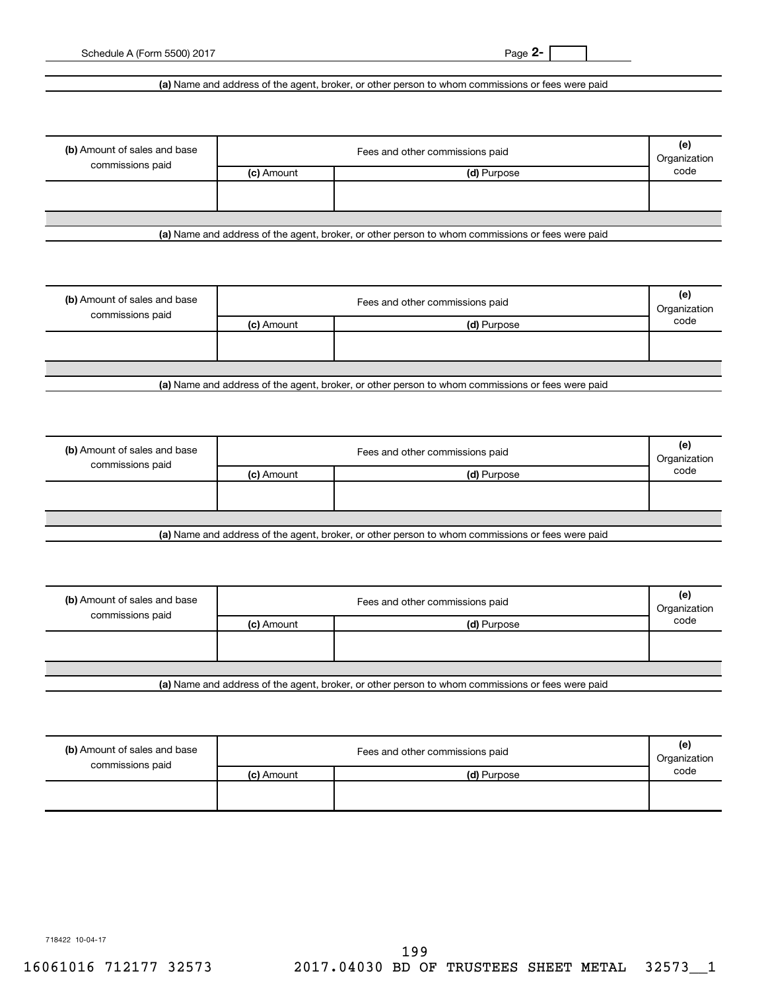**2-**

Schedule A (Form 5500) 2017

**(a)**  Name and address of the agent, broker, or other person to whom commissions or fees were paid

| (b) Amount of sales and base<br>commissions paid | Fees and other commissions paid |             |      |  |  |
|--------------------------------------------------|---------------------------------|-------------|------|--|--|
|                                                  | (c) Amount                      | (d) Purpose | code |  |  |
|                                                  |                                 |             |      |  |  |
|                                                  |                                 |             |      |  |  |
|                                                  |                                 |             |      |  |  |

**(a)**  Name and address of the agent, broker, or other person to whom commissions or fees were paid

| (b) Amount of sales and base<br>commissions paid | Fees and other commissions paid<br>Organization |             |      |  |  |
|--------------------------------------------------|-------------------------------------------------|-------------|------|--|--|
|                                                  | (c) Amount                                      | (d) Purpose | code |  |  |
|                                                  |                                                 |             |      |  |  |
|                                                  |                                                 |             |      |  |  |
|                                                  |                                                 |             |      |  |  |
| .                                                |                                                 | ______      |      |  |  |

**(a)**  Name and address of the agent, broker, or other person to whom commissions or fees were paid

| (b) Amount of sales and base |            | Fees and other commissions paid                                                                  |      |  |
|------------------------------|------------|--------------------------------------------------------------------------------------------------|------|--|
| commissions paid             | (c) Amount | (d) Purpose                                                                                      | code |  |
|                              |            |                                                                                                  |      |  |
|                              |            |                                                                                                  |      |  |
|                              |            |                                                                                                  |      |  |
|                              |            | Let Name and address of the sample broker, as other person to whom commissions or fees were poid |      |  |

**(a)**  Name and address of the agent, broker, or other person to whom commissions or fees were paid

| Fees and other commissions paid |             |      |  |  |
|---------------------------------|-------------|------|--|--|
| (c) Amount                      | (d) Purpose | code |  |  |
|                                 |             |      |  |  |
|                                 |             |      |  |  |
|                                 |             |      |  |  |
|                                 |             |      |  |  |

**(a)**  Name and address of the agent, broker, or other person to whom commissions or fees were paid

| (b) Amount of sales and base<br>commissions paid |            | Fees and other commissions paid | (e)<br>Organization |
|--------------------------------------------------|------------|---------------------------------|---------------------|
|                                                  | (c) Amount | (d) Purpose                     | code                |
|                                                  |            |                                 |                     |

718422 10-04-17

16061016 712177 32573 2017.04030 BD OF TRUSTEES SHEET METAL 32573\_\_1 199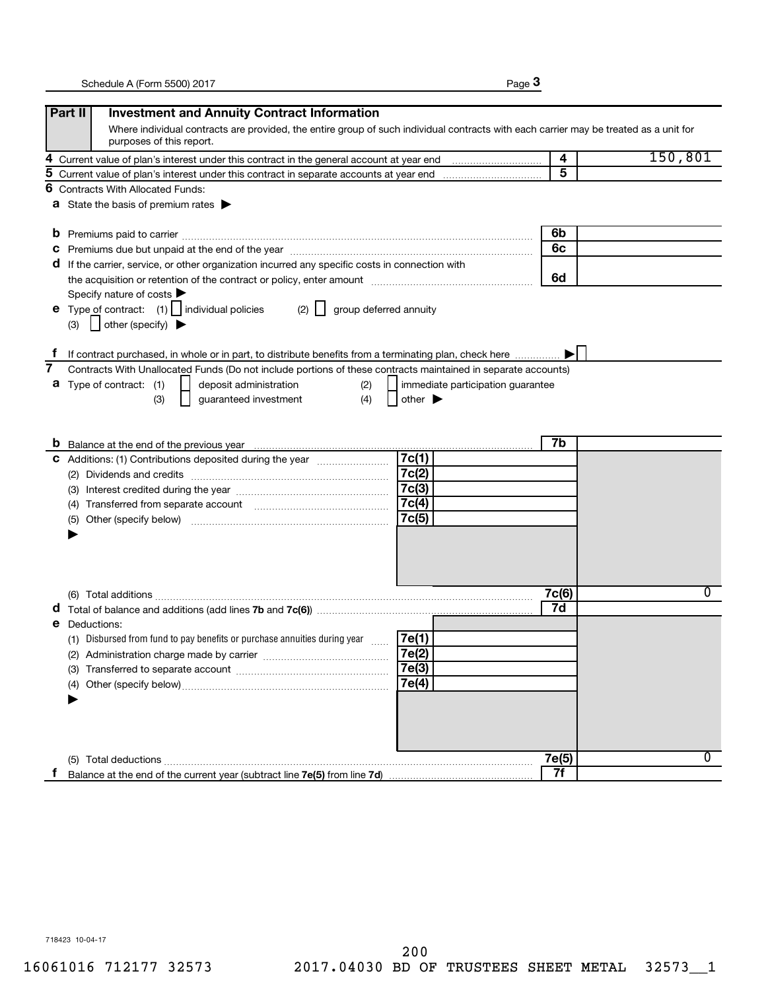|--|--|

|    | Part II<br><b>Investment and Annuity Contract Information</b>                                                                                                                                                                           |       |         |
|----|-----------------------------------------------------------------------------------------------------------------------------------------------------------------------------------------------------------------------------------------|-------|---------|
|    | Where individual contracts are provided, the entire group of such individual contracts with each carrier may be treated as a unit for<br>purposes of this report.                                                                       |       |         |
| 4  |                                                                                                                                                                                                                                         | 4     | 150,801 |
| 5  |                                                                                                                                                                                                                                         | 5     |         |
| 6  | <b>Contracts With Allocated Funds:</b>                                                                                                                                                                                                  |       |         |
|    | <b>a</b> State the basis of premium rates $\blacktriangleright$                                                                                                                                                                         |       |         |
|    | b                                                                                                                                                                                                                                       | 6b    |         |
|    | Premiums due but unpaid at the end of the year manufactured contains and an extraordinary premiums due but unpaid at the end of the year manufactured contains and an extraordinary present of the state of the state of the s<br>C     | 6c    |         |
|    | If the carrier, service, or other organization incurred any specific costs in connection with<br>a                                                                                                                                      |       |         |
|    | the acquisition or retention of the contract or policy, enter amount manufactured controller and the acquisition or retention of the contract or policy, enter amount                                                                   | 6d    |         |
|    | Specify nature of costs                                                                                                                                                                                                                 |       |         |
|    | Type of contract: $(1)$   individual policies<br>group deferred annuity<br>(2)<br>е                                                                                                                                                     |       |         |
|    | $\vert$ other (specify) $\blacktriangleright$<br>(3)                                                                                                                                                                                    |       |         |
| T. |                                                                                                                                                                                                                                         |       |         |
| 7  | If contract purchased, in whole or in part, to distribute benefits from a terminating plan, check here<br>Contracts With Unallocated Funds (Do not include portions of these contracts maintained in separate accounts)                 |       |         |
|    | Type of contract: (1)<br>deposit administration<br>(2)<br>immediate participation guarantee<br>а                                                                                                                                        |       |         |
|    | guaranteed investment<br>(4)<br>(3)<br>other $\blacktriangleright$                                                                                                                                                                      |       |         |
|    |                                                                                                                                                                                                                                         |       |         |
|    |                                                                                                                                                                                                                                         |       |         |
|    | <b>b</b> Balance at the end of the previous year <i>maching contained contained as the end</i> of the previous year and the state of the previous set of the previous set of the previous set of the previous set of the set of the set | 7b    |         |
|    | 7c(1)<br>C Additions: (1) Contributions deposited during the year                                                                                                                                                                       |       |         |
|    | 7c(2)                                                                                                                                                                                                                                   |       |         |
|    | 7c(3)<br>(3)                                                                                                                                                                                                                            |       |         |
|    | 7c(4)<br>(4)                                                                                                                                                                                                                            |       |         |
|    | 7c(5)<br>(5)                                                                                                                                                                                                                            |       |         |
|    |                                                                                                                                                                                                                                         |       |         |
|    |                                                                                                                                                                                                                                         |       |         |
|    |                                                                                                                                                                                                                                         |       |         |
|    |                                                                                                                                                                                                                                         |       |         |
|    |                                                                                                                                                                                                                                         | 7c(6) | 0       |
|    |                                                                                                                                                                                                                                         | 7d    |         |
|    | Deductions:<br>е                                                                                                                                                                                                                        |       |         |
|    | (1) Disbursed from fund to pay benefits or purchase annuities during year<br>7e(1)<br>$\ldots$                                                                                                                                          |       |         |
|    | 7e(2)<br>(2) Administration charge made by carrier                                                                                                                                                                                      |       |         |
|    | 7e(3)                                                                                                                                                                                                                                   |       |         |
|    | 7e(4)<br>(4)                                                                                                                                                                                                                            |       |         |
|    |                                                                                                                                                                                                                                         |       |         |
|    |                                                                                                                                                                                                                                         |       |         |
|    |                                                                                                                                                                                                                                         |       |         |
|    |                                                                                                                                                                                                                                         |       |         |
|    | (5) Total deductions                                                                                                                                                                                                                    | 7e(5) | 0       |
| Ť. |                                                                                                                                                                                                                                         | 7f    |         |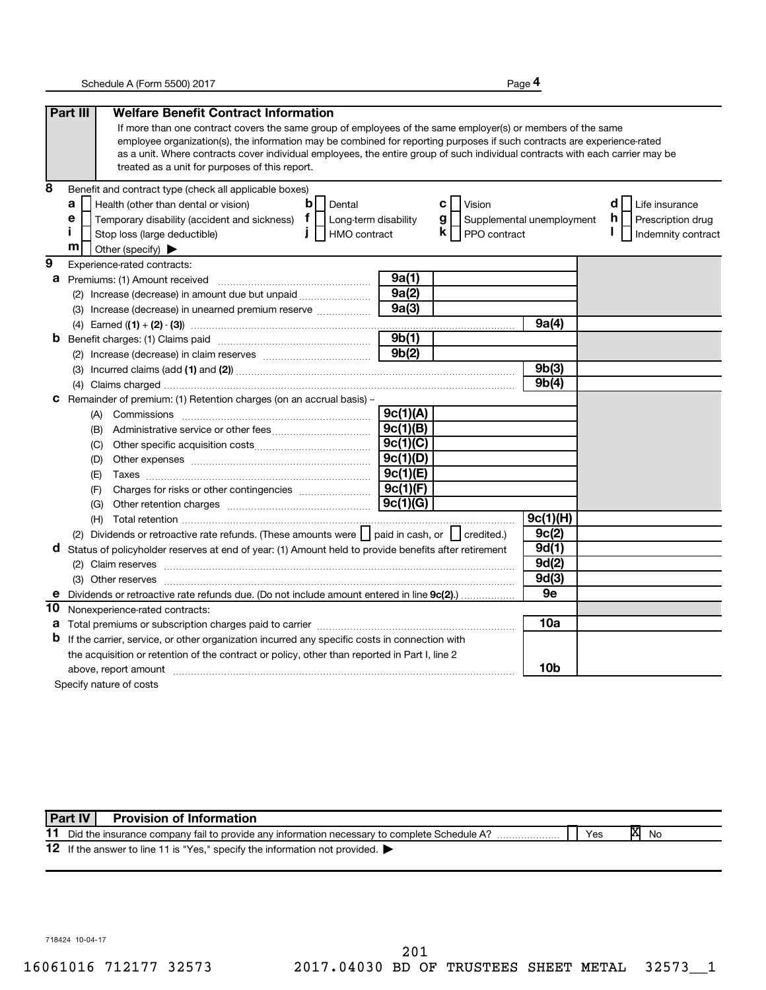**4**

|                | Part III<br><b>Welfare Benefit Contract Information</b>                                                                                                                                                                                                  |          |                                  |             |                          |
|----------------|----------------------------------------------------------------------------------------------------------------------------------------------------------------------------------------------------------------------------------------------------------|----------|----------------------------------|-------------|--------------------------|
|                | If more than one contract covers the same group of employees of the same employer(s) or members of the same                                                                                                                                              |          |                                  |             |                          |
|                | employee organization(s), the information may be combined for reporting purposes if such contracts are experience-rated                                                                                                                                  |          |                                  |             |                          |
|                | as a unit. Where contracts cover individual employees, the entire group of such individual contracts with each carrier may be                                                                                                                            |          |                                  |             |                          |
|                | treated as a unit for purposes of this report.                                                                                                                                                                                                           |          |                                  |             |                          |
| 8              | Benefit and contract type (check all applicable boxes)                                                                                                                                                                                                   |          |                                  |             |                          |
|                | $\mathbf b$<br>a<br>Health (other than dental or vision)<br>Dental                                                                                                                                                                                       |          | c l<br>Vision                    |             | d<br>Life insurance      |
|                | Temporary disability (accident and sickness) $\mathbf{f}$   Long-term disability<br>е                                                                                                                                                                    |          | g  <br>Supplemental unemployment |             | h.<br>Prescription drug  |
|                | Î.<br>$\mathbf{I}$<br>HMO contract<br>Stop loss (large deductible)                                                                                                                                                                                       |          | $\mathsf{k}$     PPO contract    |             | I.<br>Indemnity contract |
|                | m<br>Other (specify)                                                                                                                                                                                                                                     |          |                                  |             |                          |
| $\overline{9}$ | Experience-rated contracts:                                                                                                                                                                                                                              |          |                                  |             |                          |
| а              | Premiums: (1) Amount received                                                                                                                                                                                                                            | 9a(1)    |                                  |             |                          |
|                | (2) Increase (decrease) in amount due but unpaid <i></i>                                                                                                                                                                                                 | 9a(2)    |                                  |             |                          |
|                | (3) Increase (decrease) in unearned premium reserve                                                                                                                                                                                                      | 9a(3)    |                                  |             |                          |
|                |                                                                                                                                                                                                                                                          |          |                                  | 9a(4)       |                          |
| b              |                                                                                                                                                                                                                                                          | 9b(1)    |                                  |             |                          |
|                |                                                                                                                                                                                                                                                          | 9b(2)    |                                  |             |                          |
|                |                                                                                                                                                                                                                                                          |          |                                  | 9b(3)       |                          |
|                |                                                                                                                                                                                                                                                          |          |                                  | 9b(4)       |                          |
| с              | Remainder of premium: (1) Retention charges (on an accrual basis) -                                                                                                                                                                                      |          |                                  |             |                          |
|                |                                                                                                                                                                                                                                                          | 9c(1)(A) |                                  |             |                          |
|                | (B)                                                                                                                                                                                                                                                      | 9c(1)(B) |                                  |             |                          |
|                | (C)                                                                                                                                                                                                                                                      | 9c(1)(C) |                                  |             |                          |
|                | (D)                                                                                                                                                                                                                                                      | 9c(1)(D) |                                  |             |                          |
|                | (E)                                                                                                                                                                                                                                                      | 9c(1)(E) |                                  |             |                          |
|                | (F)                                                                                                                                                                                                                                                      | 9c(1)(F) |                                  |             |                          |
|                | (G)                                                                                                                                                                                                                                                      | 9c(1)(G) |                                  |             |                          |
|                |                                                                                                                                                                                                                                                          |          |                                  | 9c(1)(H)    |                          |
|                | (2) Dividends or retroactive rate refunds. (These amounts were     paid in cash, or     credited.)                                                                                                                                                       |          |                                  | 9c(2)       |                          |
| d              | Status of policyholder reserves at end of year: (1) Amount held to provide benefits after retirement                                                                                                                                                     |          |                                  | 9d(1)       |                          |
|                |                                                                                                                                                                                                                                                          |          |                                  | 9d(2)       |                          |
|                |                                                                                                                                                                                                                                                          |          |                                  | 9d(3)<br>9e |                          |
| е              | Dividends or retroactive rate refunds due. (Do not include amount entered in line 9c(2)                                                                                                                                                                  |          |                                  |             |                          |
| 10             | Nonexperience-rated contracts:                                                                                                                                                                                                                           |          |                                  | 10a         |                          |
| а<br>b         |                                                                                                                                                                                                                                                          |          |                                  |             |                          |
|                | If the carrier, service, or other organization incurred any specific costs in connection with                                                                                                                                                            |          |                                  |             |                          |
|                | the acquisition or retention of the contract or policy, other than reported in Part I, line 2                                                                                                                                                            |          |                                  | 10b         |                          |
|                | above, report amount material content and content and content and content and content and content and content and content and content and content and content and content and content and content and content and content and<br>Specify nature of costs |          |                                  |             |                          |
|                |                                                                                                                                                                                                                                                          |          |                                  |             |                          |

|    | Part IV | <b>Provision of Information</b>                                                             |     |    |    |
|----|---------|---------------------------------------------------------------------------------------------|-----|----|----|
|    |         | Did the insurance company fail to provide any information necessary to complete Schedule A? | Yes | IΧ | No |
| 12 |         | If the answer to line 11 is "Yes," specify the information not provided.                    |     |    |    |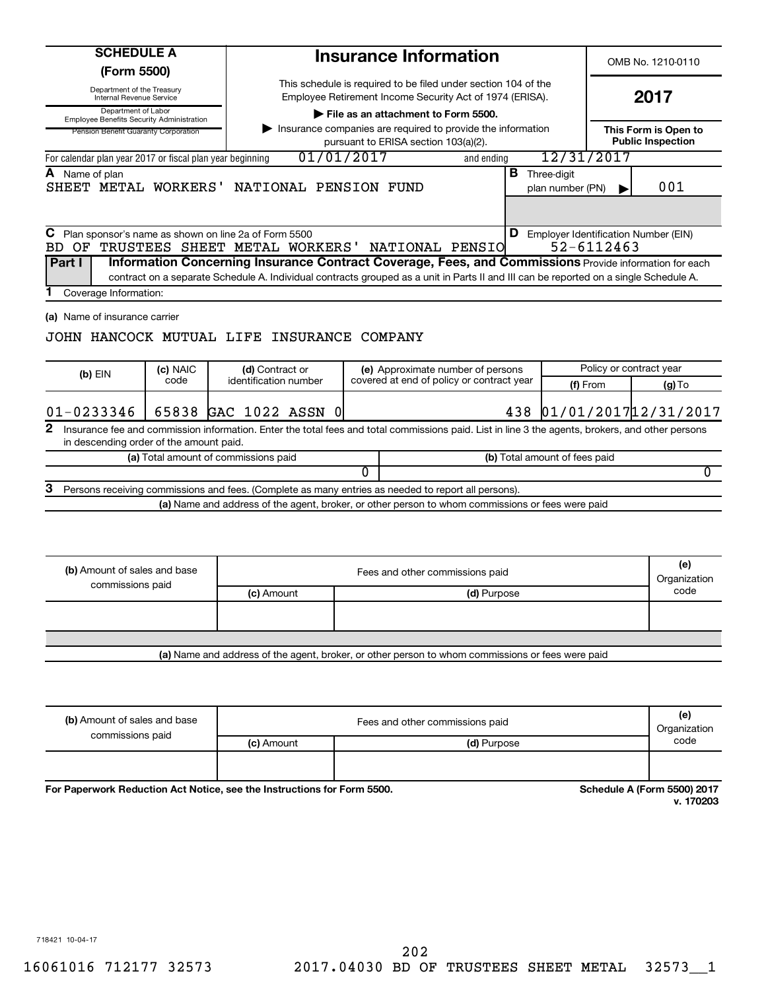| <b>SCHEDULE A</b><br>(Form 5500)                                        |                              |                                                                                                                                                                                                                                                                                                                                          |   | <b>Insurance Information</b>                                                                        |             |     |                                          |                                                             | OMB No. 1210-0110                                |                     |
|-------------------------------------------------------------------------|------------------------------|------------------------------------------------------------------------------------------------------------------------------------------------------------------------------------------------------------------------------------------------------------------------------------------------------------------------------------------|---|-----------------------------------------------------------------------------------------------------|-------------|-----|------------------------------------------|-------------------------------------------------------------|--------------------------------------------------|---------------------|
| Department of the Treasury                                              |                              |                                                                                                                                                                                                                                                                                                                                          |   | This schedule is required to be filed under section 104 of the                                      |             |     |                                          |                                                             |                                                  |                     |
| Internal Revenue Service                                                |                              |                                                                                                                                                                                                                                                                                                                                          |   | Employee Retirement Income Security Act of 1974 (ERISA).                                            |             |     |                                          |                                                             | 2017                                             |                     |
| Department of Labor<br><b>Employee Benefits Security Administration</b> |                              |                                                                                                                                                                                                                                                                                                                                          |   | File as an attachment to Form 5500.                                                                 |             |     |                                          |                                                             |                                                  |                     |
| Pension Benefit Guaranty Corporation                                    |                              |                                                                                                                                                                                                                                                                                                                                          |   | Insurance companies are required to provide the information<br>pursuant to ERISA section 103(a)(2). |             |     |                                          |                                                             | This Form is Open to<br><b>Public Inspection</b> |                     |
| For calendar plan year 2017 or fiscal plan year beginning               |                              | 01/01/2017                                                                                                                                                                                                                                                                                                                               |   |                                                                                                     | and ending  |     |                                          | 12/31/2017                                                  |                                                  |                     |
| Name of plan                                                            |                              | SHEET METAL WORKERS' NATIONAL PENSION FUND                                                                                                                                                                                                                                                                                               |   |                                                                                                     |             |     | <b>B</b> Three-digit<br>plan number (PN) |                                                             | 001                                              |                     |
| С<br>BD OF<br>Part I                                                    |                              | Plan sponsor's name as shown on line 2a of Form 5500<br>TRUSTEES SHEET METAL WORKERS'<br>Information Concerning Insurance Contract Coverage, Fees, and Commissions Provide information for each<br>contract on a separate Schedule A. Individual contracts grouped as a unit in Parts II and III can be reported on a single Schedule A. |   | NATIONAL PENSIO                                                                                     |             |     |                                          | <b>D</b> Employer Identification Number (EIN)<br>52-6112463 |                                                  |                     |
| Coverage Information:                                                   |                              |                                                                                                                                                                                                                                                                                                                                          |   |                                                                                                     |             |     |                                          |                                                             |                                                  |                     |
| $(b)$ EIN                                                               | (c) NAIC<br>code             | JOHN HANCOCK MUTUAL LIFE INSURANCE COMPANY<br>(d) Contract or<br>identification number                                                                                                                                                                                                                                                   |   | (e) Approximate number of persons<br>covered at end of policy or contract year                      |             |     |                                          | Policy or contract year                                     |                                                  |                     |
|                                                                         |                              |                                                                                                                                                                                                                                                                                                                                          |   |                                                                                                     |             |     |                                          | (f) From                                                    |                                                  | $(g)$ To            |
| $01 - 0233346$                                                          |                              | 65838 GAC 1022 ASSN 0                                                                                                                                                                                                                                                                                                                    |   |                                                                                                     |             | 438 |                                          | 01/01/2017 12/31/2017                                       |                                                  |                     |
| 2<br>in descending order of the amount paid.                            |                              | Insurance fee and commission information. Enter the total fees and total commissions paid. List in line 3 the agents, brokers, and other persons                                                                                                                                                                                         |   |                                                                                                     |             |     |                                          |                                                             |                                                  |                     |
|                                                                         |                              | (a) Total amount of commissions paid                                                                                                                                                                                                                                                                                                     |   |                                                                                                     |             |     | (b) Total amount of fees paid            |                                                             |                                                  |                     |
|                                                                         |                              |                                                                                                                                                                                                                                                                                                                                          | 0 |                                                                                                     |             |     |                                          |                                                             |                                                  | 0                   |
| з                                                                       |                              | Persons receiving commissions and fees. (Complete as many entries as needed to report all persons).                                                                                                                                                                                                                                      |   |                                                                                                     |             |     |                                          |                                                             |                                                  |                     |
|                                                                         |                              | (a) Name and address of the agent, broker, or other person to whom commissions or fees were paid                                                                                                                                                                                                                                         |   |                                                                                                     |             |     |                                          |                                                             |                                                  |                     |
| (b) Amount of sales and base<br>commissions paid                        |                              |                                                                                                                                                                                                                                                                                                                                          |   | Fees and other commissions paid                                                                     |             |     |                                          |                                                             |                                                  | (e)<br>Organization |
|                                                                         |                              | (c) Amount                                                                                                                                                                                                                                                                                                                               |   |                                                                                                     | (d) Purpose |     |                                          |                                                             |                                                  | code                |
|                                                                         |                              |                                                                                                                                                                                                                                                                                                                                          |   |                                                                                                     |             |     |                                          |                                                             |                                                  |                     |
|                                                                         |                              | (a) Name and address of the agent, broker, or other person to whom commissions or fees were paid                                                                                                                                                                                                                                         |   |                                                                                                     |             |     |                                          |                                                             |                                                  |                     |
|                                                                         | (b) Amount of sales and base |                                                                                                                                                                                                                                                                                                                                          |   | Fees and other commissions paid                                                                     |             |     |                                          |                                                             |                                                  | (e)                 |

| (b) Amount of sales and base<br>commissions paid | Fees and other commissions paid |             |      |  |
|--------------------------------------------------|---------------------------------|-------------|------|--|
|                                                  | (c) Amount                      | (d) Purpose | code |  |
|                                                  |                                 |             |      |  |
|                                                  |                                 |             |      |  |

For Paperwork Reduction Act Notice, see the Instructions for Form 5500.

**Schedule A (Form 5500) 2017**<br>v. 170203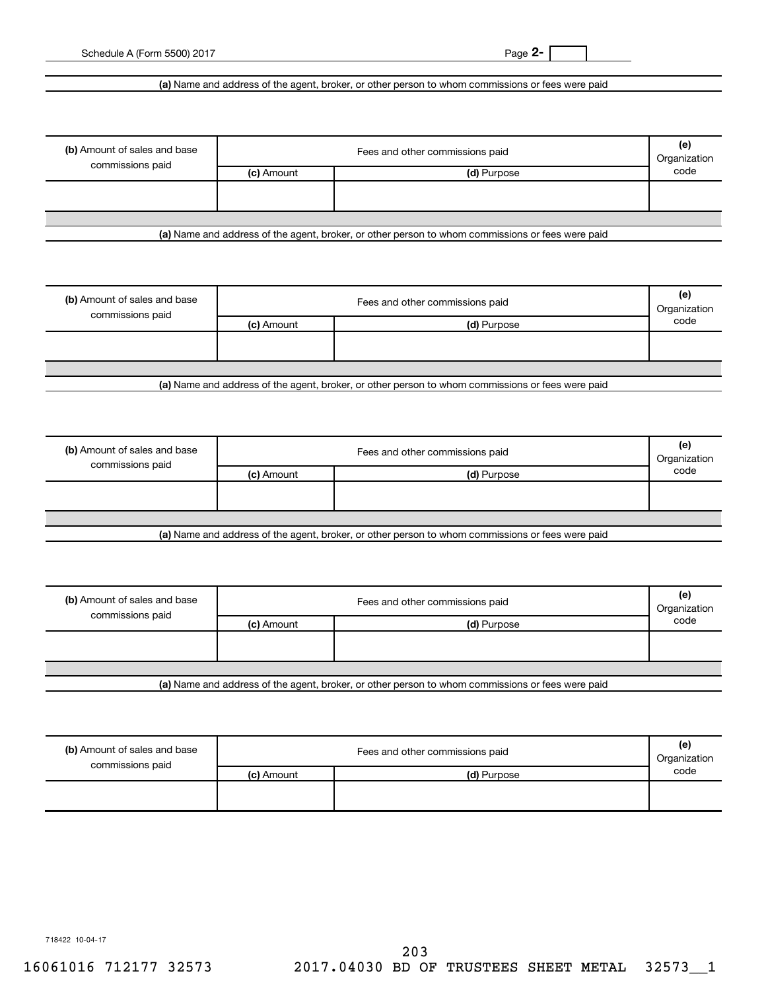**2-**

Schedule A (Form 5500) 2017

**(a)**  Name and address of the agent, broker, or other person to whom commissions or fees were paid

| (b) Amount of sales and base<br>commissions paid | Fees and other commissions paid |             |      |  |  |
|--------------------------------------------------|---------------------------------|-------------|------|--|--|
|                                                  | (c) Amount                      | (d) Purpose | code |  |  |
|                                                  |                                 |             |      |  |  |
|                                                  |                                 |             |      |  |  |

**(a)**  Name and address of the agent, broker, or other person to whom commissions or fees were paid

| (b) Amount of sales and base<br>commissions paid | Fees and other commissions paid<br>Organization |             |      |  |  |
|--------------------------------------------------|-------------------------------------------------|-------------|------|--|--|
|                                                  | (c) Amount                                      | (d) Purpose | code |  |  |
|                                                  |                                                 |             |      |  |  |
|                                                  |                                                 |             |      |  |  |
|                                                  |                                                 |             |      |  |  |
| .                                                |                                                 | ______      |      |  |  |

**(a)**  Name and address of the agent, broker, or other person to whom commissions or fees were paid

| (b) Amount of sales and base<br>commissions paid | Fees and other commissions paid |                                                                                                  |      |
|--------------------------------------------------|---------------------------------|--------------------------------------------------------------------------------------------------|------|
|                                                  | (c) Amount                      | (d) Purpose                                                                                      | code |
|                                                  |                                 |                                                                                                  |      |
|                                                  |                                 |                                                                                                  |      |
|                                                  |                                 |                                                                                                  |      |
|                                                  |                                 | Let Name and address of the sample broker, as other person to whom commissions or fees were poid |      |

**(a)**  Name and address of the agent, broker, or other person to whom commissions or fees were paid

| (b) Amount of sales and base<br>commissions paid | Fees and other commissions paid |             |      |  |  |
|--------------------------------------------------|---------------------------------|-------------|------|--|--|
|                                                  | (c) Amount                      | (d) Purpose | code |  |  |
|                                                  |                                 |             |      |  |  |
|                                                  |                                 |             |      |  |  |
|                                                  |                                 |             |      |  |  |
| .                                                |                                 | .           |      |  |  |

**(a)**  Name and address of the agent, broker, or other person to whom commissions or fees were paid

| (b) Amount of sales and base<br>commissions paid |            | Fees and other commissions paid<br>Organization |      |  |
|--------------------------------------------------|------------|-------------------------------------------------|------|--|
|                                                  | (c) Amount | (d) Purpose                                     | code |  |
|                                                  |            |                                                 |      |  |

718422 10-04-17

16061016 712177 32573 2017.04030 BD OF TRUSTEES SHEET METAL 32573\_\_1 203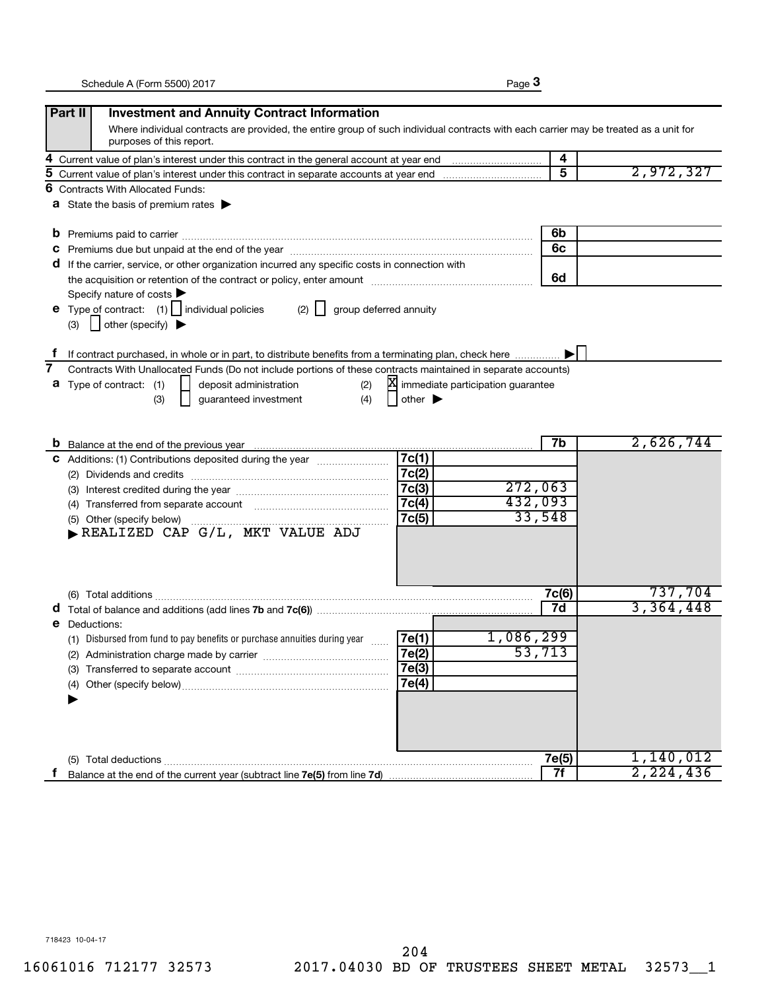|--|--|

|    | Part II<br><b>Investment and Annuity Contract Information</b>                                                                         |                             |                                     |       |           |
|----|---------------------------------------------------------------------------------------------------------------------------------------|-----------------------------|-------------------------------------|-------|-----------|
|    | Where individual contracts are provided, the entire group of such individual contracts with each carrier may be treated as a unit for |                             |                                     |       |           |
|    | purposes of this report.                                                                                                              |                             |                                     |       |           |
| 4  |                                                                                                                                       |                             |                                     | 4     |           |
| 5  |                                                                                                                                       |                             |                                     | 5     | 2,972,327 |
| 6  | <b>Contracts With Allocated Funds:</b>                                                                                                |                             |                                     |       |           |
|    | <b>a</b> State the basis of premium rates $\blacktriangleright$                                                                       |                             |                                     |       |           |
|    |                                                                                                                                       |                             |                                     |       |           |
| b  |                                                                                                                                       |                             |                                     | 6b    |           |
| с  |                                                                                                                                       |                             |                                     | 6c    |           |
| a  | If the carrier, service, or other organization incurred any specific costs in connection with                                         |                             |                                     |       |           |
|    |                                                                                                                                       |                             |                                     | 6d    |           |
|    | Specify nature of costs                                                                                                               |                             |                                     |       |           |
|    | <b>e</b> Type of contract: $(1)$   individual policies<br>$(2)$    <br>group deferred annuity                                         |                             |                                     |       |           |
|    | $\vert$ other (specify) $\blacktriangleright$<br>(3)                                                                                  |                             |                                     |       |           |
|    |                                                                                                                                       |                             |                                     |       |           |
|    | If contract purchased, in whole or in part, to distribute benefits from a terminating plan, check here                                |                             |                                     |       |           |
| 7  | Contracts With Unallocated Funds (Do not include portions of these contracts maintained in separate accounts)                         |                             |                                     |       |           |
|    | <b>a</b> Type of contract: (1)<br>deposit administration<br>(2)                                                                       |                             | X immediate participation guarantee |       |           |
|    | (4)<br>guaranteed investment<br>(3)                                                                                                   | other $\blacktriangleright$ |                                     |       |           |
|    |                                                                                                                                       |                             |                                     |       |           |
|    |                                                                                                                                       |                             |                                     | 7b    | 2,626,744 |
|    |                                                                                                                                       | 7c(1)                       |                                     |       |           |
| c. | Additions: (1) Contributions deposited during the year <i></i>                                                                        | 7c(2)                       |                                     |       |           |
|    |                                                                                                                                       | 7c(3)                       | 272,063                             |       |           |
|    |                                                                                                                                       | 7c(4)                       | 432,093                             |       |           |
|    |                                                                                                                                       | 7c(5)                       | 33,548                              |       |           |
|    | (5) Other (specify below)                                                                                                             |                             |                                     |       |           |
|    |                                                                                                                                       |                             |                                     |       |           |
|    |                                                                                                                                       |                             |                                     |       |           |
|    |                                                                                                                                       |                             |                                     |       |           |
|    |                                                                                                                                       |                             |                                     | 7c(6) | 737,704   |
|    |                                                                                                                                       |                             |                                     | 7d    | 3,364,448 |
| е  | Deductions:                                                                                                                           |                             |                                     |       |           |
|    | (1) Disbursed from fund to pay benefits or purchase annuities during year                                                             | 7e(1)                       | 1,086,299                           |       |           |
|    | (2) Administration charge made by carrier                                                                                             | 7e(2)                       | 53,713                              |       |           |
|    |                                                                                                                                       | 7e(3)                       |                                     |       |           |
|    | (4)                                                                                                                                   | 7e(4)                       |                                     |       |           |
|    |                                                                                                                                       |                             |                                     |       |           |
|    |                                                                                                                                       |                             |                                     |       |           |
|    |                                                                                                                                       |                             |                                     |       |           |
|    |                                                                                                                                       |                             |                                     |       |           |
|    | (5) Total deductions                                                                                                                  |                             |                                     | 7e(5) | 1,140,012 |
| Ť. |                                                                                                                                       |                             |                                     | 7f    | 2,224,436 |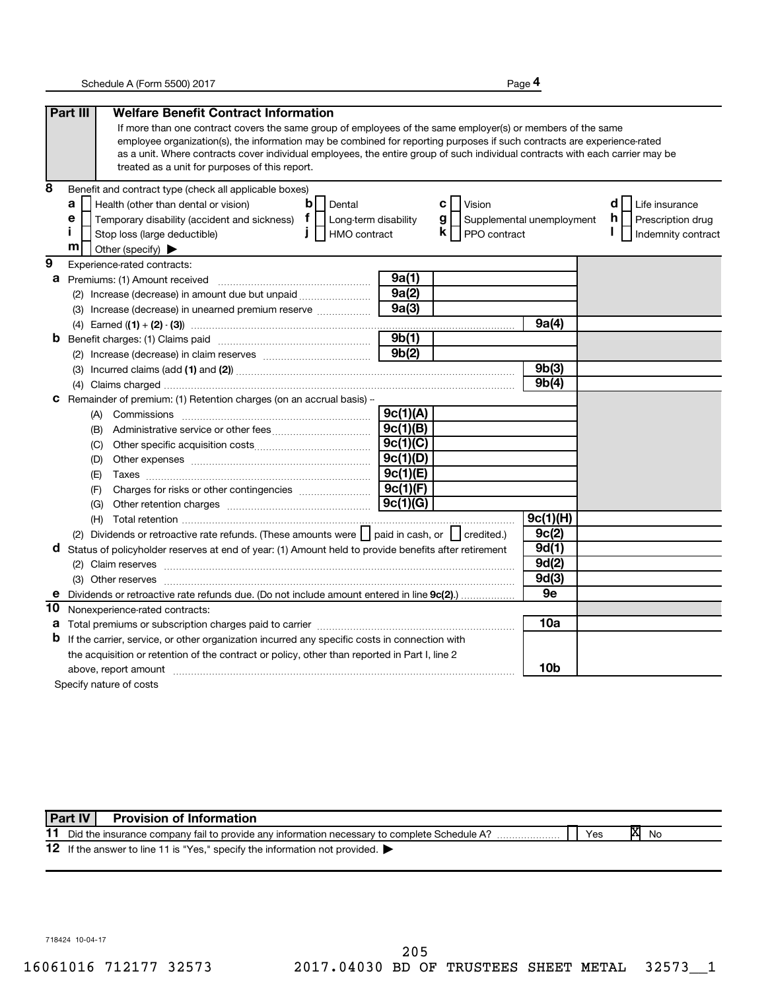**4**

|                | Part III<br><b>Welfare Benefit Contract Information</b>                                                                                                                                                                                                  |          |                                  |             |                          |
|----------------|----------------------------------------------------------------------------------------------------------------------------------------------------------------------------------------------------------------------------------------------------------|----------|----------------------------------|-------------|--------------------------|
|                | If more than one contract covers the same group of employees of the same employer(s) or members of the same                                                                                                                                              |          |                                  |             |                          |
|                | employee organization(s), the information may be combined for reporting purposes if such contracts are experience-rated                                                                                                                                  |          |                                  |             |                          |
|                | as a unit. Where contracts cover individual employees, the entire group of such individual contracts with each carrier may be                                                                                                                            |          |                                  |             |                          |
|                | treated as a unit for purposes of this report.                                                                                                                                                                                                           |          |                                  |             |                          |
| 8              | Benefit and contract type (check all applicable boxes)                                                                                                                                                                                                   |          |                                  |             |                          |
|                | $\mathbf b$<br>a<br>Health (other than dental or vision)<br>Dental                                                                                                                                                                                       |          | c l<br>Vision                    |             | d<br>Life insurance      |
|                | Temporary disability (accident and sickness) $\mathbf{f}$   Long-term disability<br>е                                                                                                                                                                    |          | g  <br>Supplemental unemployment |             | h.<br>Prescription drug  |
|                | Î.<br>$\mathbf{I}$<br>HMO contract<br>Stop loss (large deductible)                                                                                                                                                                                       |          | $\mathsf{k}$     PPO contract    |             | I.<br>Indemnity contract |
|                | m<br>Other (specify)                                                                                                                                                                                                                                     |          |                                  |             |                          |
| $\overline{9}$ | Experience-rated contracts:                                                                                                                                                                                                                              |          |                                  |             |                          |
| а              | Premiums: (1) Amount received                                                                                                                                                                                                                            | 9a(1)    |                                  |             |                          |
|                | (2) Increase (decrease) in amount due but unpaid <i></i>                                                                                                                                                                                                 | 9a(2)    |                                  |             |                          |
|                | (3) Increase (decrease) in unearned premium reserve                                                                                                                                                                                                      | 9a(3)    |                                  |             |                          |
|                |                                                                                                                                                                                                                                                          |          |                                  | 9a(4)       |                          |
| b              |                                                                                                                                                                                                                                                          | 9b(1)    |                                  |             |                          |
|                |                                                                                                                                                                                                                                                          | 9b(2)    |                                  |             |                          |
|                |                                                                                                                                                                                                                                                          |          |                                  | 9b(3)       |                          |
|                |                                                                                                                                                                                                                                                          |          |                                  | 9b(4)       |                          |
| с              | Remainder of premium: (1) Retention charges (on an accrual basis) -                                                                                                                                                                                      |          |                                  |             |                          |
|                |                                                                                                                                                                                                                                                          | 9c(1)(A) |                                  |             |                          |
|                | (B)                                                                                                                                                                                                                                                      | 9c(1)(B) |                                  |             |                          |
|                | (C)                                                                                                                                                                                                                                                      | 9c(1)(C) |                                  |             |                          |
|                | (D)                                                                                                                                                                                                                                                      | 9c(1)(D) |                                  |             |                          |
|                | (E)                                                                                                                                                                                                                                                      | 9c(1)(E) |                                  |             |                          |
|                | (F)                                                                                                                                                                                                                                                      | 9c(1)(F) |                                  |             |                          |
|                | (G)                                                                                                                                                                                                                                                      | 9c(1)(G) |                                  |             |                          |
|                |                                                                                                                                                                                                                                                          |          |                                  | 9c(1)(H)    |                          |
|                | (2) Dividends or retroactive rate refunds. (These amounts were     paid in cash, or     credited.)                                                                                                                                                       |          |                                  | 9c(2)       |                          |
| d              | Status of policyholder reserves at end of year: (1) Amount held to provide benefits after retirement                                                                                                                                                     |          |                                  | 9d(1)       |                          |
|                |                                                                                                                                                                                                                                                          |          |                                  | 9d(2)       |                          |
|                |                                                                                                                                                                                                                                                          |          |                                  | 9d(3)<br>9e |                          |
| е              | Dividends or retroactive rate refunds due. (Do not include amount entered in line 9c(2)                                                                                                                                                                  |          |                                  |             |                          |
| 10             | Nonexperience-rated contracts:                                                                                                                                                                                                                           |          |                                  | 10a         |                          |
| а<br>b         |                                                                                                                                                                                                                                                          |          |                                  |             |                          |
|                | If the carrier, service, or other organization incurred any specific costs in connection with                                                                                                                                                            |          |                                  |             |                          |
|                | the acquisition or retention of the contract or policy, other than reported in Part I, line 2                                                                                                                                                            |          |                                  | 10b         |                          |
|                | above, report amount material content and content and content and content and content and content and content and content and content and content and content and content and content and content and content and content and<br>Specify nature of costs |          |                                  |             |                          |
|                |                                                                                                                                                                                                                                                          |          |                                  |             |                          |

|    | Part IV | <b>Provision of Information</b>                                                             |     |    |    |
|----|---------|---------------------------------------------------------------------------------------------|-----|----|----|
|    |         | Did the insurance company fail to provide any information necessary to complete Schedule A? | Yes | IΧ | No |
| 12 |         | If the answer to line 11 is "Yes," specify the information not provided.                    |     |    |    |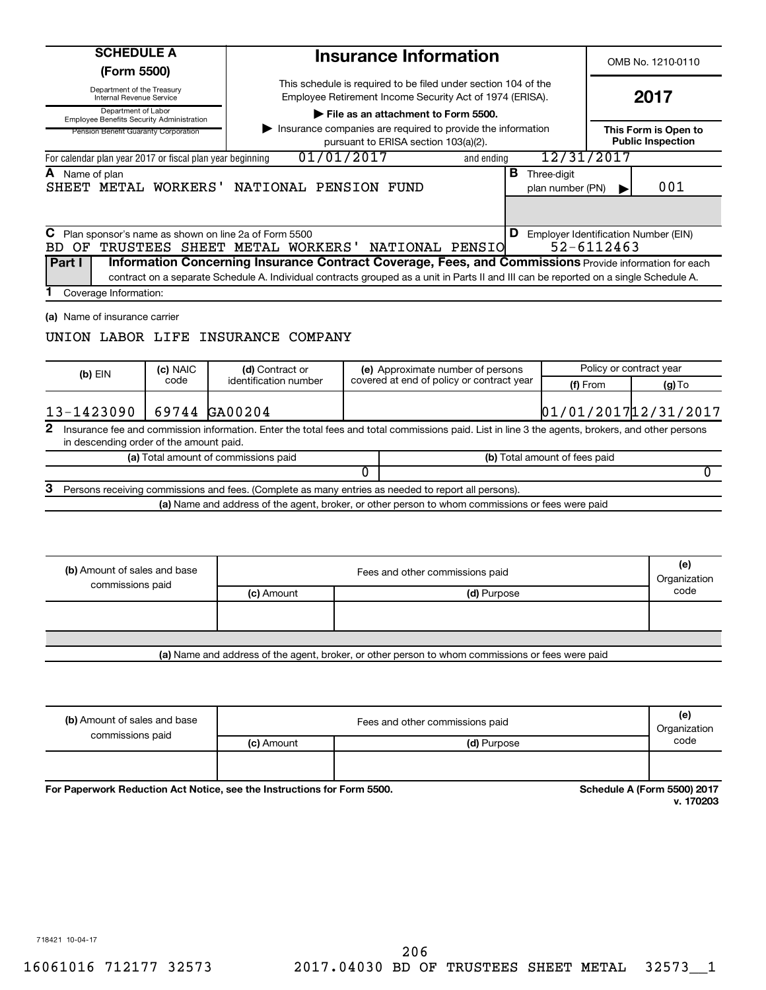| <b>SCHEDULE A</b><br>(Form 5500)                                                                                |          |                                                                                               | <b>Insurance Information</b>                                                                                                                                                                                                                                       |  |                                                             | OMB No. 1210-0110                                |
|-----------------------------------------------------------------------------------------------------------------|----------|-----------------------------------------------------------------------------------------------|--------------------------------------------------------------------------------------------------------------------------------------------------------------------------------------------------------------------------------------------------------------------|--|-------------------------------------------------------------|--------------------------------------------------|
| Department of the Treasury<br>Internal Revenue Service                                                          |          |                                                                                               | This schedule is required to be filed under section 104 of the<br>Employee Retirement Income Security Act of 1974 (ERISA).                                                                                                                                         |  |                                                             |                                                  |
| Department of Labor<br><b>Employee Benefits Security Administration</b><br>Pension Benefit Guaranty Corporation |          |                                                                                               | File as an attachment to Form 5500.<br>Insurance companies are required to provide the information<br>pursuant to ERISA section 103(a)(2).                                                                                                                         |  |                                                             | This Form is Open to<br><b>Public Inspection</b> |
| For calendar plan year 2017 or fiscal plan year beginning                                                       |          |                                                                                               | 01/01/2017<br>and ending                                                                                                                                                                                                                                           |  | 12/31/2017                                                  |                                                  |
| A Name of plan                                                                                                  |          | SHEET METAL WORKERS' NATIONAL PENSION FUND                                                    |                                                                                                                                                                                                                                                                    |  | <b>B</b> Three-digit<br>plan number (PN)                    | 001                                              |
| Part I<br>Coverage Information:                                                                                 |          | C Plan sponsor's name as shown on line 2a of Form 5500<br>BD OF TRUSTEES SHEET METAL WORKERS' | NATIONAL PENSIO<br>Information Concerning Insurance Contract Coverage, Fees, and Commissions Provide information for each<br>contract on a separate Schedule A. Individual contracts grouped as a unit in Parts II and III can be reported on a single Schedule A. |  | <b>D</b> Employer Identification Number (EIN)<br>52-6112463 |                                                  |
| (a) Name of insurance carrier                                                                                   | (c) NAIC | UNION LABOR LIFE INSURANCE COMPANY<br>(d) Contract or                                         | (e) Approximate number of persons                                                                                                                                                                                                                                  |  |                                                             | Policy or contract year                          |
| (b) EIN                                                                                                         | code     | identification number                                                                         | covered at end of policy or contract year                                                                                                                                                                                                                          |  | (f) From                                                    | $(g)$ To                                         |
| 13-1423090                                                                                                      |          | 69744 GA00204                                                                                 |                                                                                                                                                                                                                                                                    |  |                                                             | 01/01/2017 12/31/2017                            |
| $\mathbf{2}$<br>in descending order of the amount paid.                                                         |          |                                                                                               | Insurance fee and commission information. Enter the total fees and total commissions paid. List in line 3 the agents, brokers, and other persons                                                                                                                   |  |                                                             |                                                  |
|                                                                                                                 |          | (a) Total amount of commissions paid                                                          |                                                                                                                                                                                                                                                                    |  | (b) Total amount of fees paid                               |                                                  |
|                                                                                                                 |          |                                                                                               | 0                                                                                                                                                                                                                                                                  |  |                                                             | 0                                                |
| З                                                                                                               |          |                                                                                               | Persons receiving commissions and fees. (Complete as many entries as needed to report all persons).<br>(a) Name and address of the agent, broker, or other person to whom commissions or fees were paid                                                            |  |                                                             |                                                  |
|                                                                                                                 |          |                                                                                               |                                                                                                                                                                                                                                                                    |  |                                                             |                                                  |
| (b) Amount of sales and base                                                                                    |          |                                                                                               | Fees and other commissions paid                                                                                                                                                                                                                                    |  |                                                             | (e)<br>Organization                              |
| commissions paid                                                                                                |          | (c) Amount                                                                                    | (d) Purpose                                                                                                                                                                                                                                                        |  |                                                             | code                                             |
|                                                                                                                 |          |                                                                                               |                                                                                                                                                                                                                                                                    |  |                                                             |                                                  |

| (b) Amount of sales and base | Fees and other commissions paid |             |      |
|------------------------------|---------------------------------|-------------|------|
| commissions paid             | (c) Amount                      | (d) Purpose | code |
|                              |                                 |             |      |
|                              |                                 |             |      |

For Paperwork Reduction Act Notice, see the Instructions for Form 5500.

**Schedule A (Form 5500) 2017**<br>v. 170203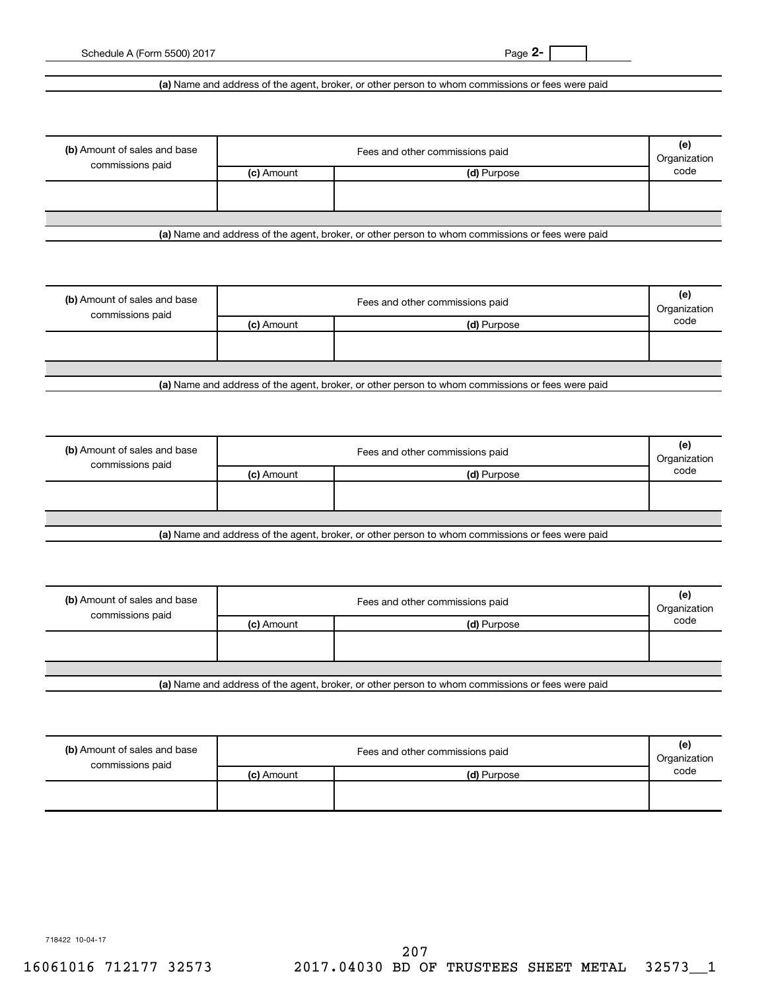**2-**

## **(a)**  Name and address of the agent, broker, or other person to whom commissions or fees were paid

| (b) Amount of sales and base<br>commissions paid | Fees and other commissions paid |             |      |  |
|--------------------------------------------------|---------------------------------|-------------|------|--|
|                                                  | (c) Amount                      | (d) Purpose | code |  |
|                                                  |                                 |             |      |  |
|                                                  |                                 |             |      |  |
|                                                  |                                 |             |      |  |

**(a)**  Name and address of the agent, broker, or other person to whom commissions or fees were paid

| (b) Amount of sales and base<br>commissions paid | Fees and other commissions paid |             |      |  |  |
|--------------------------------------------------|---------------------------------|-------------|------|--|--|
|                                                  | (c) Amount                      | (d) Purpose | code |  |  |
|                                                  |                                 |             |      |  |  |
|                                                  |                                 |             |      |  |  |
|                                                  |                                 |             |      |  |  |
| .                                                |                                 |             |      |  |  |

**(a)**  Name and address of the agent, broker, or other person to whom commissions or fees were paid

| (b) Amount of sales and base<br>commissions paid | Fees and other commissions paid |                                                                                                 |      |
|--------------------------------------------------|---------------------------------|-------------------------------------------------------------------------------------------------|------|
|                                                  | (c) Amount                      | (d) Purpose                                                                                     | code |
|                                                  |                                 |                                                                                                 |      |
|                                                  |                                 |                                                                                                 |      |
|                                                  |                                 |                                                                                                 |      |
|                                                  |                                 | Let Name and address of the seart broker, as other person to whom commissions or face were poid |      |

**(a)**  Name and address of the agent, broker, or other person to whom commissions or fees were paid

| (b) Amount of sales and base<br>commissions paid | Fees and other commissions paid<br>Organization |             |      |  |
|--------------------------------------------------|-------------------------------------------------|-------------|------|--|
|                                                  | (c) Amount                                      | (d) Purpose | code |  |
|                                                  |                                                 |             |      |  |
|                                                  |                                                 |             |      |  |
| .                                                |                                                 | .<br>.      |      |  |

**(a)**  Name and address of the agent, broker, or other person to whom commissions or fees were paid

| (b) Amount of sales and base<br>commissions paid |            | Fees and other commissions paid | (e)<br>Organization |
|--------------------------------------------------|------------|---------------------------------|---------------------|
|                                                  | (c) Amount | (d) Purpose                     | code                |
|                                                  |            |                                 |                     |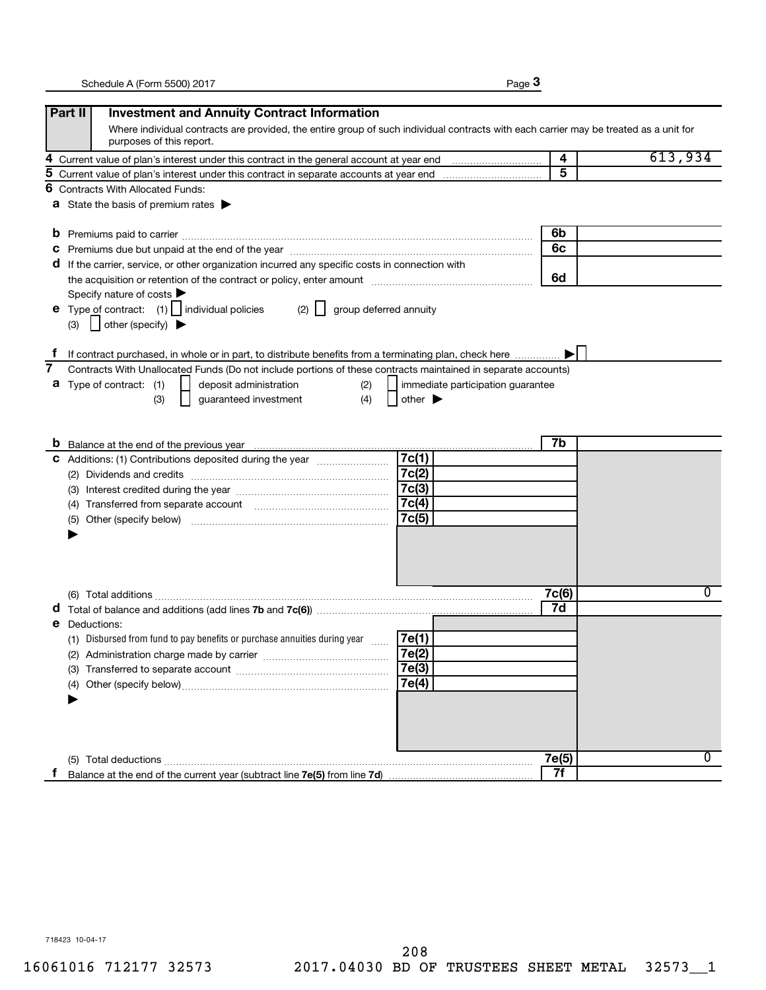|--|--|

|    | Part II<br><b>Investment and Annuity Contract Information</b>                                                                                                                                                                  |       |         |
|----|--------------------------------------------------------------------------------------------------------------------------------------------------------------------------------------------------------------------------------|-------|---------|
|    | Where individual contracts are provided, the entire group of such individual contracts with each carrier may be treated as a unit for<br>purposes of this report.                                                              |       |         |
| 4  |                                                                                                                                                                                                                                | 4     | 613,934 |
| 5  |                                                                                                                                                                                                                                | 5     |         |
| 6  | <b>Contracts With Allocated Funds:</b>                                                                                                                                                                                         |       |         |
|    | <b>a</b> State the basis of premium rates $\blacktriangleright$                                                                                                                                                                |       |         |
| b  |                                                                                                                                                                                                                                | 6b    |         |
| C  | Premiums due but unpaid at the end of the year manufactured and the sear and the sear and the sear and the sear and the sear and the sear and the search of the search of the search of the search of the search of the search | 6c    |         |
| a  | If the carrier, service, or other organization incurred any specific costs in connection with                                                                                                                                  |       |         |
|    |                                                                                                                                                                                                                                | 6d    |         |
|    | Specify nature of costs                                                                                                                                                                                                        |       |         |
|    | <b>e</b> Type of contract: $(1)$   individual policies<br>(2)<br>group deferred annuity                                                                                                                                        |       |         |
|    | $\vert$ other (specify) $\blacktriangleright$<br>(3)                                                                                                                                                                           |       |         |
|    |                                                                                                                                                                                                                                |       |         |
|    | If contract purchased, in whole or in part, to distribute benefits from a terminating plan, check here                                                                                                                         |       |         |
| 7  | Contracts With Unallocated Funds (Do not include portions of these contracts maintained in separate accounts)                                                                                                                  |       |         |
|    | <b>a</b> Type of contract: (1)<br>deposit administration<br>(2)<br>immediate participation guarantee                                                                                                                           |       |         |
|    | (4)<br>guaranteed investment<br>other $\blacktriangleright$<br>(3)                                                                                                                                                             |       |         |
|    |                                                                                                                                                                                                                                |       |         |
|    |                                                                                                                                                                                                                                |       |         |
|    |                                                                                                                                                                                                                                | 7b    |         |
|    | 7c(1)<br>C Additions: (1) Contributions deposited during the year                                                                                                                                                              |       |         |
|    | 7c(2)                                                                                                                                                                                                                          |       |         |
|    | 7c(3)                                                                                                                                                                                                                          |       |         |
|    | 7c(4)<br>(4) Transferred from separate account [11] [11] Transferred from separate account                                                                                                                                     |       |         |
|    | 7c(5)<br>(5)                                                                                                                                                                                                                   |       |         |
|    |                                                                                                                                                                                                                                |       |         |
|    |                                                                                                                                                                                                                                |       |         |
|    |                                                                                                                                                                                                                                |       |         |
|    |                                                                                                                                                                                                                                |       |         |
|    |                                                                                                                                                                                                                                | 7c(6) | 0       |
|    |                                                                                                                                                                                                                                | 7d    |         |
| е  | Deductions:                                                                                                                                                                                                                    |       |         |
|    | (1) Disbursed from fund to pay benefits or purchase annuities during year<br>7e(1)                                                                                                                                             |       |         |
|    | 7e(2)<br>(2) Administration charge made by carrier                                                                                                                                                                             |       |         |
|    | 7e(3)                                                                                                                                                                                                                          |       |         |
|    | 7e(4)<br>(4)                                                                                                                                                                                                                   |       |         |
|    |                                                                                                                                                                                                                                |       |         |
|    |                                                                                                                                                                                                                                |       |         |
|    |                                                                                                                                                                                                                                |       |         |
|    |                                                                                                                                                                                                                                |       |         |
|    | (5) Total deductions                                                                                                                                                                                                           | 7e(5) | 0       |
| Ť. |                                                                                                                                                                                                                                | 7f    |         |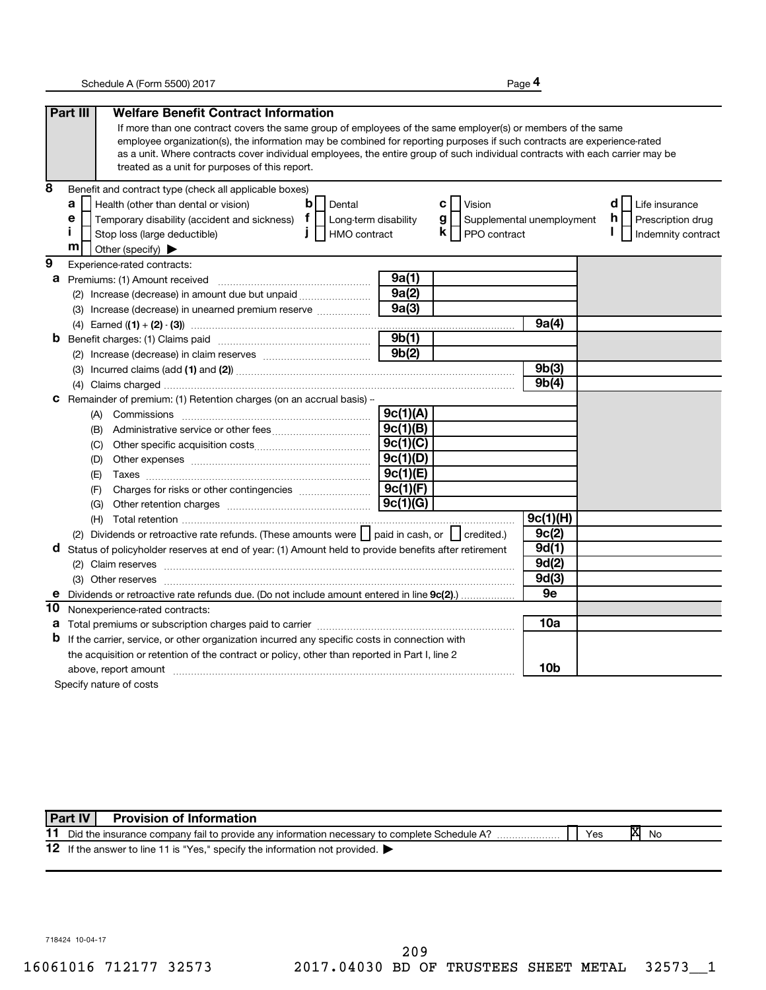**4**

|                | Part III<br><b>Welfare Benefit Contract Information</b>                                                                                                                                                                                                  |          |                                  |             |                          |
|----------------|----------------------------------------------------------------------------------------------------------------------------------------------------------------------------------------------------------------------------------------------------------|----------|----------------------------------|-------------|--------------------------|
|                | If more than one contract covers the same group of employees of the same employer(s) or members of the same                                                                                                                                              |          |                                  |             |                          |
|                | employee organization(s), the information may be combined for reporting purposes if such contracts are experience-rated                                                                                                                                  |          |                                  |             |                          |
|                | as a unit. Where contracts cover individual employees, the entire group of such individual contracts with each carrier may be                                                                                                                            |          |                                  |             |                          |
|                | treated as a unit for purposes of this report.                                                                                                                                                                                                           |          |                                  |             |                          |
| 8              | Benefit and contract type (check all applicable boxes)                                                                                                                                                                                                   |          |                                  |             |                          |
|                | $\mathbf b$<br>a<br>Health (other than dental or vision)<br>Dental                                                                                                                                                                                       |          | c l<br>Vision                    |             | d<br>Life insurance      |
|                | Temporary disability (accident and sickness) $\mathbf{f}$   Long-term disability<br>е                                                                                                                                                                    |          | g  <br>Supplemental unemployment |             | h.<br>Prescription drug  |
|                | Î.<br>$\mathbf{I}$<br>HMO contract<br>Stop loss (large deductible)                                                                                                                                                                                       |          | $\mathsf{k}$     PPO contract    |             | I.<br>Indemnity contract |
|                | m<br>Other (specify)                                                                                                                                                                                                                                     |          |                                  |             |                          |
| $\overline{9}$ | Experience-rated contracts:                                                                                                                                                                                                                              |          |                                  |             |                          |
| а              | Premiums: (1) Amount received                                                                                                                                                                                                                            | 9a(1)    |                                  |             |                          |
|                | (2) Increase (decrease) in amount due but unpaid <i></i>                                                                                                                                                                                                 | 9a(2)    |                                  |             |                          |
|                | (3) Increase (decrease) in unearned premium reserve                                                                                                                                                                                                      | 9a(3)    |                                  |             |                          |
|                |                                                                                                                                                                                                                                                          |          |                                  | 9a(4)       |                          |
| b              |                                                                                                                                                                                                                                                          | 9b(1)    |                                  |             |                          |
|                |                                                                                                                                                                                                                                                          | 9b(2)    |                                  |             |                          |
|                |                                                                                                                                                                                                                                                          |          |                                  | 9b(3)       |                          |
|                |                                                                                                                                                                                                                                                          |          |                                  | 9b(4)       |                          |
| с              | Remainder of premium: (1) Retention charges (on an accrual basis) -                                                                                                                                                                                      |          |                                  |             |                          |
|                |                                                                                                                                                                                                                                                          | 9c(1)(A) |                                  |             |                          |
|                | (B)                                                                                                                                                                                                                                                      | 9c(1)(B) |                                  |             |                          |
|                | (C)                                                                                                                                                                                                                                                      | 9c(1)(C) |                                  |             |                          |
|                | (D)                                                                                                                                                                                                                                                      | 9c(1)(D) |                                  |             |                          |
|                | (E)                                                                                                                                                                                                                                                      | 9c(1)(E) |                                  |             |                          |
|                | (F)                                                                                                                                                                                                                                                      | 9c(1)(F) |                                  |             |                          |
|                | (G)                                                                                                                                                                                                                                                      | 9c(1)(G) |                                  |             |                          |
|                |                                                                                                                                                                                                                                                          |          |                                  | 9c(1)(H)    |                          |
|                | (2) Dividends or retroactive rate refunds. (These amounts were     paid in cash, or     credited.)                                                                                                                                                       |          |                                  | 9c(2)       |                          |
| d              | Status of policyholder reserves at end of year: (1) Amount held to provide benefits after retirement                                                                                                                                                     |          |                                  | 9d(1)       |                          |
|                |                                                                                                                                                                                                                                                          |          |                                  | 9d(2)       |                          |
|                |                                                                                                                                                                                                                                                          |          |                                  | 9d(3)<br>9e |                          |
| е              | Dividends or retroactive rate refunds due. (Do not include amount entered in line 9c(2)                                                                                                                                                                  |          |                                  |             |                          |
| 10             | Nonexperience-rated contracts:                                                                                                                                                                                                                           |          |                                  | 10a         |                          |
| а<br>b         |                                                                                                                                                                                                                                                          |          |                                  |             |                          |
|                | If the carrier, service, or other organization incurred any specific costs in connection with                                                                                                                                                            |          |                                  |             |                          |
|                | the acquisition or retention of the contract or policy, other than reported in Part I, line 2                                                                                                                                                            |          |                                  | 10b         |                          |
|                | above, report amount material content and content and content and content and content and content and content and content and content and content and content and content and content and content and content and content and<br>Specify nature of costs |          |                                  |             |                          |
|                |                                                                                                                                                                                                                                                          |          |                                  |             |                          |

|    | Part IV<br><b>Provision of Information</b>                                                  |     |   |    |
|----|---------------------------------------------------------------------------------------------|-----|---|----|
| 11 | Did the insurance company fail to provide any information necessary to complete Schedule A? | Yes | M | No |
|    | 12 If the answer to line 11 is "Yes," specify the information not provided.                 |     |   |    |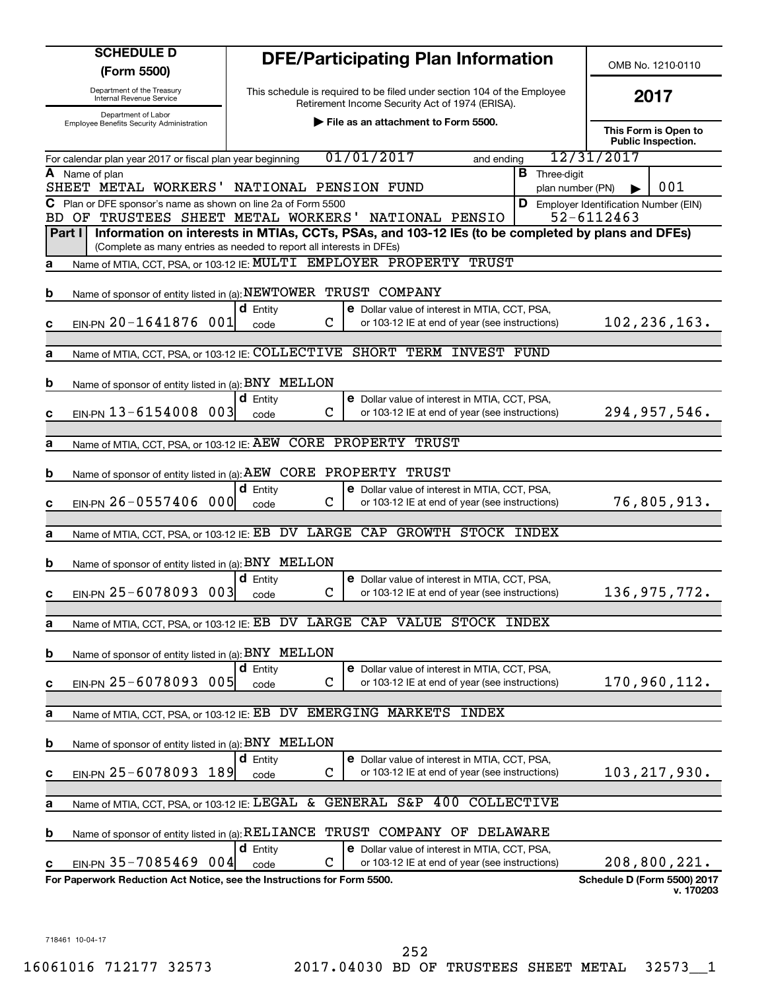| <b>SCHEDULE D</b><br>(Form 5500)                                                                         |                                        | <b>DFE/Participating Plan Information</b>                                                                                  |                                          | OMB No. 1210-0110                                  |  |
|----------------------------------------------------------------------------------------------------------|----------------------------------------|----------------------------------------------------------------------------------------------------------------------------|------------------------------------------|----------------------------------------------------|--|
| Department of the Treasury<br>Internal Revenue Service                                                   |                                        | This schedule is required to be filed under section 104 of the Employee<br>Retirement Income Security Act of 1974 (ERISA). |                                          | 2017                                               |  |
| Department of Labor<br>Employee Benefits Security Administration                                         |                                        | File as an attachment to Form 5500.                                                                                        |                                          |                                                    |  |
| For calendar plan year 2017 or fiscal plan year beginning                                                |                                        | 01/01/2017<br>and ending                                                                                                   |                                          | <b>Public Inspection.</b><br>12/31/2017            |  |
| A Name of plan<br>SHEET METAL WORKERS'                                                                   | NATIONAL PENSION FUND                  |                                                                                                                            | <b>B</b> Three-digit<br>plan number (PN) | 001                                                |  |
| C Plan or DFE sponsor's name as shown on line 2a of Form 5500<br>OF TRUSTEES SHEET METAL WORKERS'<br>BD. |                                        | NATIONAL PENSIO                                                                                                            | D                                        | Employer Identification Number (EIN)<br>52-6112463 |  |
| Part I<br>(Complete as many entries as needed to report all interests in DFEs)                           |                                        | Information on interests in MTIAs, CCTs, PSAs, and 103-12 IEs (to be completed by plans and DFEs)                          |                                          |                                                    |  |
| а                                                                                                        |                                        | Name of MTIA, CCT, PSA, or 103-12 IE: MULTI EMPLOYER PROPERTY TRUST                                                        |                                          |                                                    |  |
| Name of sponsor of entity listed in (a): NEWTOWER TRUST COMPANY<br>b                                     |                                        |                                                                                                                            |                                          |                                                    |  |
| EIN-PN 20-1641876 001<br>c                                                                               | $d$ Entity<br>$\mathbf C$<br>code      | <b>e</b> Dollar value of interest in MTIA, CCT, PSA,<br>or 103-12 IE at end of year (see instructions)                     |                                          | 102, 236, 163.                                     |  |
| a                                                                                                        |                                        | Name of MTIA, CCT, PSA, or 103-12 IE: COLLECTIVE SHORT TERM INVEST FUND                                                    |                                          |                                                    |  |
| Name of sponsor of entity listed in (a): BNY MELLON<br>b                                                 |                                        |                                                                                                                            |                                          |                                                    |  |
|                                                                                                          | <b>d</b> Entity                        | <b>e</b> Dollar value of interest in MTIA, CCT, PSA,                                                                       |                                          |                                                    |  |
| EIN-PN 13-6154008 003<br>c                                                                               | C<br>code                              | or 103-12 IE at end of year (see instructions)                                                                             |                                          | 294,957,546.                                       |  |
| Name of MTIA, CCT, PSA, or 103-12 IE: AEW CORE PROPERTY TRUST<br>a                                       |                                        |                                                                                                                            |                                          |                                                    |  |
| Name of sponsor of entity listed in (a): AEW CORE PROPERTY TRUST<br>b                                    |                                        |                                                                                                                            |                                          |                                                    |  |
| EIN-PN 26-0557406 000<br>c                                                                               | <b>d</b> Entity<br>$\mathbf C$<br>code | <b>e</b> Dollar value of interest in MTIA, CCT, PSA,<br>or 103-12 IE at end of year (see instructions)                     |                                          | 76,805,913.                                        |  |
|                                                                                                          |                                        |                                                                                                                            |                                          |                                                    |  |
| Name of MTIA, CCT, PSA, or 103-12 IE: EB DV LARGE CAP<br>a                                               |                                        | <b>GROWTH STOCK INDEX</b>                                                                                                  |                                          |                                                    |  |
| Name of sponsor of entity listed in (a): BNY MELLON<br>b                                                 |                                        |                                                                                                                            |                                          |                                                    |  |
| EIN-PN 25-6078093<br>$003$<br>С                                                                          | <b>d</b> Entity<br>C<br>code           | <b>e</b> Dollar value of interest in MTIA, CCT, PSA,<br>or 103-12 IE at end of year (see instructions)                     |                                          | 136, 975, 772.                                     |  |
| Name of MTIA, CCT, PSA, or 103-12 IE: EB<br>а                                                            | DV                                     | LARGE CAP VALUE STOCK INDEX                                                                                                |                                          |                                                    |  |
| Name of sponsor of entity listed in (a): BNY MELLON<br>b                                                 |                                        |                                                                                                                            |                                          |                                                    |  |
|                                                                                                          | <b>d</b> Entity                        | e Dollar value of interest in MTIA, CCT, PSA,                                                                              |                                          |                                                    |  |
| EIN-PN 25-6078093 005<br>c                                                                               | C<br>code                              | or 103-12 IE at end of year (see instructions)                                                                             |                                          | 170,960,112.                                       |  |
| Name of MTIA, CCT, PSA, or 103-12 IE: EB<br>а                                                            | DV                                     | <b>EMERGING MARKETS</b><br><b>INDEX</b>                                                                                    |                                          |                                                    |  |
| Name of sponsor of entity listed in (a): BNY MELLON<br>b                                                 |                                        |                                                                                                                            |                                          |                                                    |  |
| $EIN-PN$ 25-6078093<br>189<br>c                                                                          | $d$ Entity<br>$\mathbf C$<br>code      | e Dollar value of interest in MTIA, CCT, PSA,<br>or 103-12 IE at end of year (see instructions)                            |                                          | 103, 217, 930.                                     |  |
| Name of MTIA, CCT, PSA, or 103-12 IE: LEGAL<br>а                                                         | &                                      | GENERAL S&P<br>400<br>COLLECTIVE                                                                                           |                                          |                                                    |  |
| Name of sponsor of entity listed in (a): RELIANCE<br>b                                                   |                                        | TRUST COMPANY OF DELAWARE                                                                                                  |                                          |                                                    |  |
|                                                                                                          | <b>d</b> Entity                        | <b>e</b> Dollar value of interest in MTIA, CCT, PSA,                                                                       |                                          |                                                    |  |
| EIN-PN 35-7085469 004<br>c<br>For Paperwork Reduction Act Notice, see the Instructions for Form 5500.    | С<br>code                              | or 103-12 IE at end of year (see instructions)                                                                             |                                          | 208,800,221.<br><b>Schedule D (Form 5500) 2017</b> |  |
|                                                                                                          |                                        |                                                                                                                            |                                          | v. 170203                                          |  |
|                                                                                                          |                                        |                                                                                                                            |                                          |                                                    |  |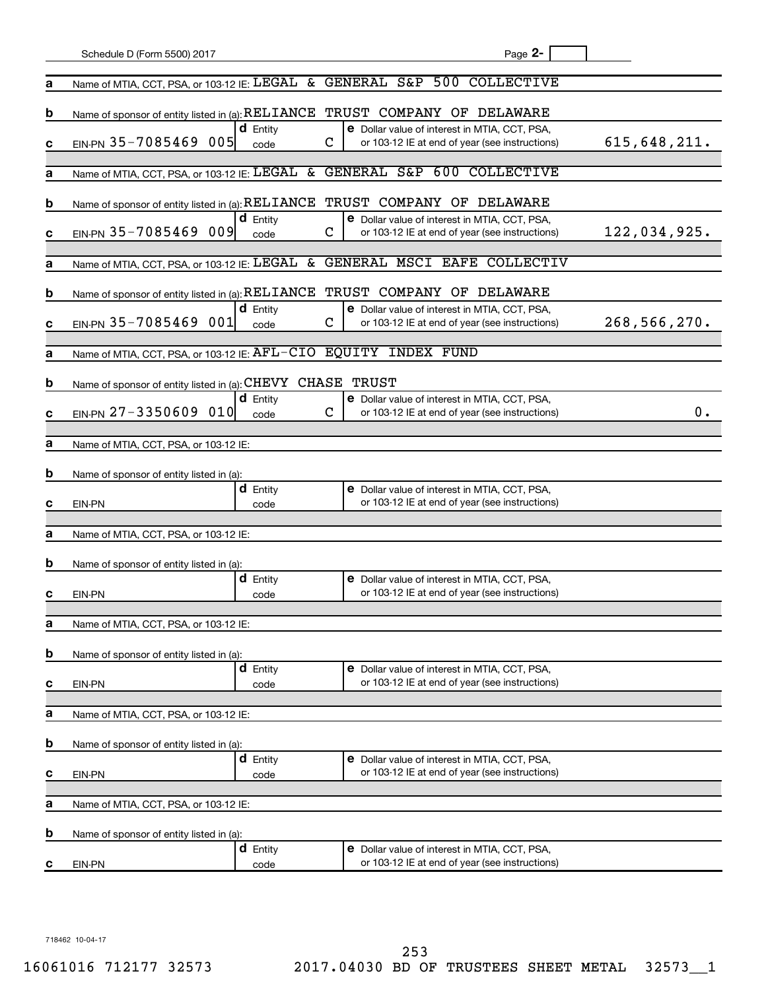|   | Schedule D (Form 5500) 2017                                     |                         | Page 2-                                                                                                                     |
|---|-----------------------------------------------------------------|-------------------------|-----------------------------------------------------------------------------------------------------------------------------|
| а | Name of MTIA, CCT, PSA, or 103-12 IE: LEGAL                     | &.                      | GENERAL S&P 500 COLLECTIVE                                                                                                  |
| b | Name of sponsor of entity listed in (a): RELIANCE               |                         | TRUST COMPANY OF DELAWARE                                                                                                   |
| с | EIN-PN 35-7085469<br>005                                        | <b>d</b> Entity<br>code | <b>e</b> Dollar value of interest in MTIA, CCT, PSA,<br>615,648,211.<br>C<br>or 103-12 IE at end of year (see instructions) |
| а | Name of MTIA, CCT, PSA, or 103-12 IE: LEGAL                     | &.                      | GENERAL S&P 600 COLLECTIVE                                                                                                  |
| b | Name of sponsor of entity listed in (a): RELIANCE               |                         | TRUST COMPANY OF DELAWARE                                                                                                   |
| с | EIN-PN 35-7085469<br>009                                        | $d$ Entity<br>code      | <b>e</b> Dollar value of interest in MTIA, CCT, PSA,<br>122,034,925.<br>C<br>or 103-12 IE at end of year (see instructions) |
|   |                                                                 | &.                      | GENERAL MSCI EAFE COLLECTIV                                                                                                 |
| а | Name of MTIA, CCT, PSA, or 103-12 IE: LEGAL                     |                         |                                                                                                                             |
| b | Name of sponsor of entity listed in (a): RELIANCE               |                         | TRUST COMPANY OF DELAWARE                                                                                                   |
| с | EIN-PN 35-7085469<br>001                                        | $d$ Entity<br>code      | <b>e</b> Dollar value of interest in MTIA, CCT, PSA,<br>268,566,270.<br>C<br>or 103-12 IE at end of year (see instructions) |
| а | Name of MTIA, CCT, PSA, or 103-12 IE: AFL-CIO EQUITY INDEX FUND |                         |                                                                                                                             |
|   |                                                                 |                         |                                                                                                                             |
| b | Name of sponsor of entity listed in (a): CHEVY                  |                         | CHASE TRUST                                                                                                                 |
| с | EIN-PN 27-3350609<br>010                                        | $d$ Entity<br>code      | e Dollar value of interest in MTIA, CCT, PSA,<br>C<br>О.<br>or 103-12 IE at end of year (see instructions)                  |
| а | Name of MTIA, CCT, PSA, or 103-12 IE:                           |                         |                                                                                                                             |
|   |                                                                 |                         |                                                                                                                             |
| b | Name of sponsor of entity listed in (a):                        |                         |                                                                                                                             |
| с | EIN-PN                                                          | <b>d</b> Entity<br>code | e Dollar value of interest in MTIA, CCT, PSA,<br>or 103-12 IE at end of year (see instructions)                             |
|   |                                                                 |                         |                                                                                                                             |
| а | Name of MTIA, CCT, PSA, or 103-12 IE:                           |                         |                                                                                                                             |
| b | Name of sponsor of entity listed in (a):                        |                         |                                                                                                                             |
|   |                                                                 | <b>d</b> Entity         | e Dollar value of interest in MTIA, CCT, PSA,                                                                               |
| с | EIN-PN                                                          | code                    | or 103-12 IE at end of year (see instructions)                                                                              |
| а | Name of MTIA, CCT, PSA, or 103-12 IE:                           |                         |                                                                                                                             |
|   |                                                                 |                         |                                                                                                                             |
| b | Name of sponsor of entity listed in (a):                        | <b>d</b> Entity         | e Dollar value of interest in MTIA, CCT, PSA,                                                                               |
| с | EIN-PN                                                          | code                    | or 103-12 IE at end of year (see instructions)                                                                              |
|   |                                                                 |                         |                                                                                                                             |
| а | Name of MTIA, CCT, PSA, or 103-12 IE:                           |                         |                                                                                                                             |
| b | Name of sponsor of entity listed in (a):                        |                         |                                                                                                                             |
| с | EIN-PN                                                          | <b>d</b> Entity<br>code | e Dollar value of interest in MTIA, CCT, PSA,<br>or 103-12 IE at end of year (see instructions)                             |
| а | Name of MTIA, CCT, PSA, or 103-12 IE:                           |                         |                                                                                                                             |
| b |                                                                 |                         |                                                                                                                             |
|   | Name of sponsor of entity listed in (a):                        | <b>d</b> Entity         | e Dollar value of interest in MTIA, CCT, PSA,                                                                               |
| с | EIN-PN                                                          | code                    | or 103-12 IE at end of year (see instructions)                                                                              |

718462 10-04-17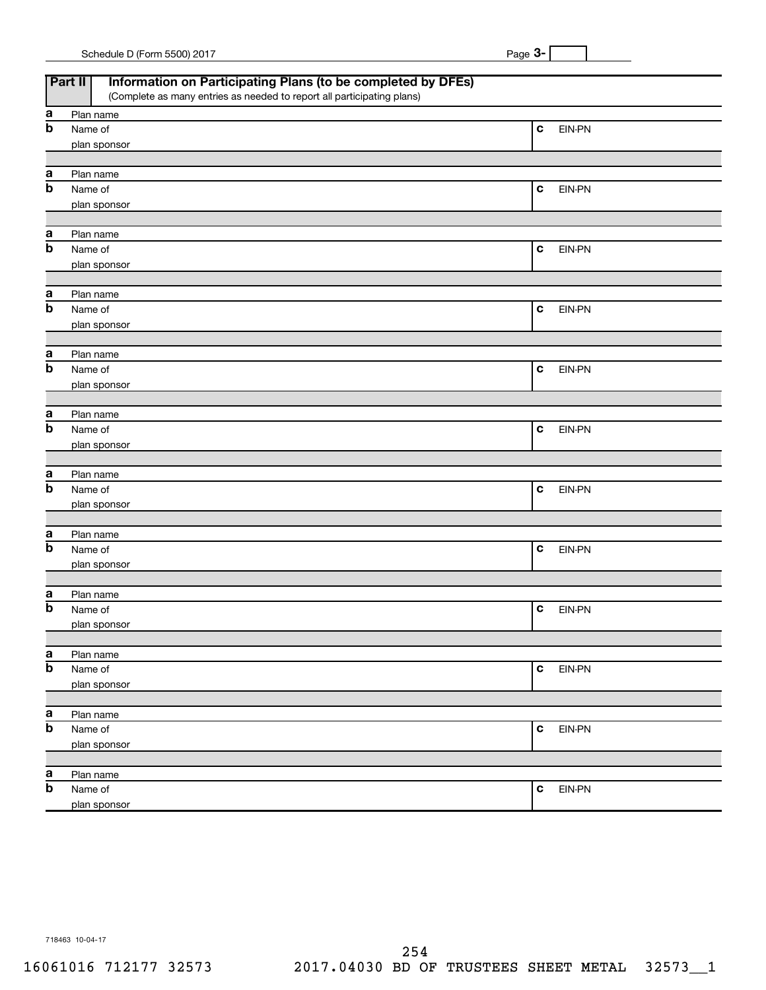| Schedule D (Form 5500) 2017 | Page |
|-----------------------------|------|
|-----------------------------|------|

|                           | Information on Participating Plans (to be completed by DFEs)<br>Part II |             |        |
|---------------------------|-------------------------------------------------------------------------|-------------|--------|
|                           | (Complete as many entries as needed to report all participating plans)  |             |        |
| a                         | Plan name                                                               |             |        |
| $\mathbf b$               | Name of                                                                 | $\mathbf c$ | EIN-PN |
|                           | plan sponsor                                                            |             |        |
|                           |                                                                         |             |        |
| а                         | Plan name                                                               |             |        |
| $\mathbf b$               | Name of                                                                 | $\mathbf c$ | EIN-PN |
|                           |                                                                         |             |        |
|                           | plan sponsor                                                            |             |        |
|                           |                                                                         |             |        |
| а                         | Plan name                                                               |             |        |
| $\mathbf b$               | Name of                                                                 | $\mathbf c$ | EIN-PN |
|                           | plan sponsor                                                            |             |        |
|                           |                                                                         |             |        |
| a                         | Plan name                                                               |             |        |
| $\mathbf b$               | Name of                                                                 | $\mathbf c$ | EIN-PN |
|                           | plan sponsor                                                            |             |        |
|                           |                                                                         |             |        |
| a                         | Plan name                                                               |             |        |
| $\mathbf b$               | Name of                                                                 | $\mathbf c$ | EIN-PN |
|                           | plan sponsor                                                            |             |        |
|                           |                                                                         |             |        |
| а                         | Plan name                                                               |             |        |
| $\mathbf b$               | Name of                                                                 | $\mathbf c$ | EIN-PN |
|                           |                                                                         |             |        |
|                           | plan sponsor                                                            |             |        |
|                           |                                                                         |             |        |
| а                         | Plan name                                                               |             |        |
| $\mathbf b$               | Name of                                                                 | $\mathbf c$ | EIN-PN |
|                           | plan sponsor                                                            |             |        |
|                           |                                                                         |             |        |
| a                         | Plan name                                                               |             |        |
| $\mathbf b$               | Name of                                                                 | $\mathbf c$ | EIN-PN |
|                           | plan sponsor                                                            |             |        |
|                           |                                                                         |             |        |
| а                         | Plan name                                                               |             |        |
| $\boldsymbol{\mathsf{b}}$ | Name of                                                                 | $\mathbf c$ | EIN-PN |
|                           | plan sponsor                                                            |             |        |
|                           |                                                                         |             |        |
| a                         | Plan name                                                               |             |        |
| b                         | Name of                                                                 | $\mathbf c$ | EIN-PN |
|                           | plan sponsor                                                            |             |        |
|                           |                                                                         |             |        |
|                           |                                                                         |             |        |
| $\mathbf a$               | Plan name                                                               |             |        |
| b                         | Name of                                                                 | $\mathbf c$ | EIN-PN |
|                           | plan sponsor                                                            |             |        |
|                           |                                                                         |             |        |
| a                         | Plan name                                                               |             |        |
| b                         | Name of                                                                 | $\mathbf c$ | EIN-PN |
|                           | plan sponsor                                                            |             |        |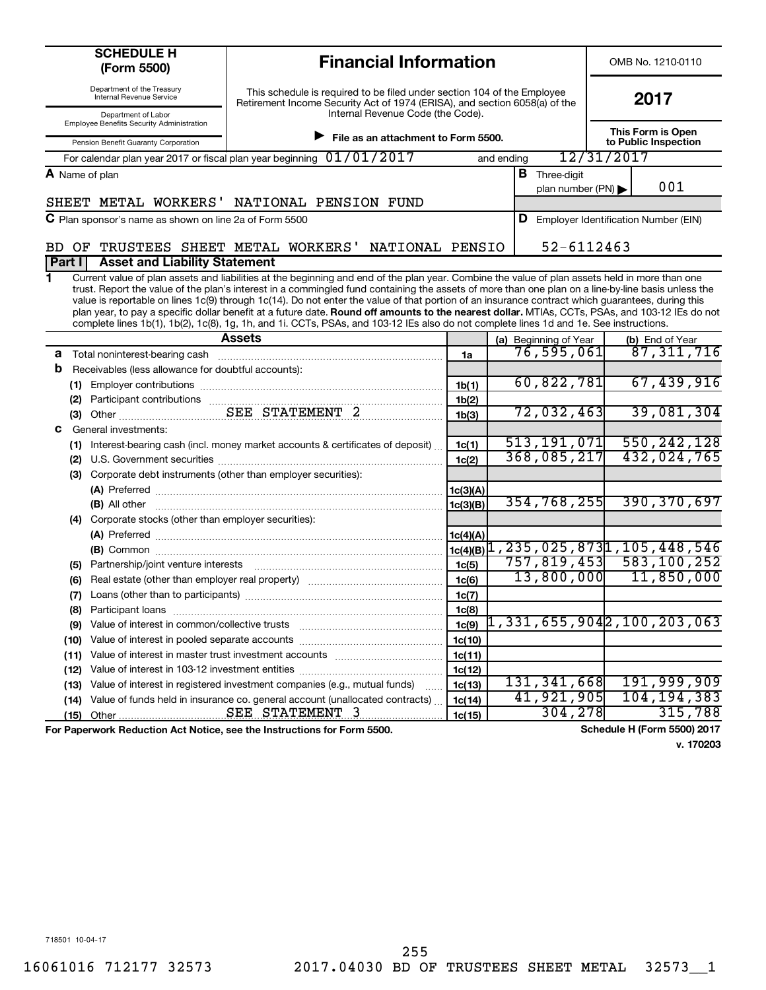| <b>SCHEDULE H</b><br>(Form 5500)                                                                               | <b>Financial Information</b>                                                                                                                                                                                                                                                                                                                                                                                                                                                                                                                                                                        |                    |            |                                                                                  |            | OMB No. 1210-0110                         |                                 |  |
|----------------------------------------------------------------------------------------------------------------|-----------------------------------------------------------------------------------------------------------------------------------------------------------------------------------------------------------------------------------------------------------------------------------------------------------------------------------------------------------------------------------------------------------------------------------------------------------------------------------------------------------------------------------------------------------------------------------------------------|--------------------|------------|----------------------------------------------------------------------------------|------------|-------------------------------------------|---------------------------------|--|
| Department of the Treasury<br><b>Internal Revenue Service</b>                                                  | This schedule is required to be filed under section 104 of the Employee<br>Retirement Income Security Act of 1974 (ERISA), and section 6058(a) of the<br>Internal Revenue Code (the Code).                                                                                                                                                                                                                                                                                                                                                                                                          |                    |            |                                                                                  |            | 2017                                      |                                 |  |
| Department of Labor<br>Employee Benefits Security Administration                                               |                                                                                                                                                                                                                                                                                                                                                                                                                                                                                                                                                                                                     |                    |            |                                                                                  |            |                                           |                                 |  |
| Pension Benefit Guaranty Corporation                                                                           | File as an attachment to Form 5500.                                                                                                                                                                                                                                                                                                                                                                                                                                                                                                                                                                 |                    |            |                                                                                  |            | This Form is Open<br>to Public Inspection |                                 |  |
|                                                                                                                | For calendar plan year 2017 or fiscal plan year beginning 01/01/2017                                                                                                                                                                                                                                                                                                                                                                                                                                                                                                                                |                    | and ending |                                                                                  | 12/31/2017 |                                           |                                 |  |
| A Name of plan                                                                                                 |                                                                                                                                                                                                                                                                                                                                                                                                                                                                                                                                                                                                     |                    |            | <b>B</b> Three-digit                                                             |            |                                           |                                 |  |
|                                                                                                                |                                                                                                                                                                                                                                                                                                                                                                                                                                                                                                                                                                                                     |                    |            | plan number (PN)                                                                 |            | 001                                       |                                 |  |
|                                                                                                                | SHEET METAL WORKERS' NATIONAL PENSION FUND                                                                                                                                                                                                                                                                                                                                                                                                                                                                                                                                                          |                    |            |                                                                                  |            |                                           |                                 |  |
| <b>C</b> Plan sponsor's name as shown on line 2a of Form 5500                                                  |                                                                                                                                                                                                                                                                                                                                                                                                                                                                                                                                                                                                     |                    |            | <b>D</b> Employer Identification Number (EIN)                                    |            |                                           |                                 |  |
|                                                                                                                |                                                                                                                                                                                                                                                                                                                                                                                                                                                                                                                                                                                                     |                    |            | 52-6112463                                                                       |            |                                           |                                 |  |
| BD.<br>OF<br><b>Asset and Liability Statement</b><br>Part I                                                    | TRUSTEES SHEET METAL WORKERS'<br>NATIONAL PENSIO                                                                                                                                                                                                                                                                                                                                                                                                                                                                                                                                                    |                    |            |                                                                                  |            |                                           |                                 |  |
| 1                                                                                                              | Current value of plan assets and liabilities at the beginning and end of the plan year. Combine the value of plan assets held in more than one                                                                                                                                                                                                                                                                                                                                                                                                                                                      |                    |            |                                                                                  |            |                                           |                                 |  |
|                                                                                                                | trust. Report the value of the plan's interest in a commingled fund containing the assets of more than one plan on a line-by-line basis unless the<br>value is reportable on lines 1c(9) through 1c(14). Do not enter the value of that portion of an insurance contract which guarantees, during this<br>plan year, to pay a specific dollar benefit at a future date. Round off amounts to the nearest dollar. MTIAs, CCTs, PSAs, and 103-12 IEs do not<br>complete lines 1b(1), 1b(2), 1c(8), 1g, 1h, and 1i. CCTs, PSAs, and 103-12 IEs also do not complete lines 1d and 1e. See instructions. |                    |            |                                                                                  |            |                                           |                                 |  |
|                                                                                                                | <b>Assets</b>                                                                                                                                                                                                                                                                                                                                                                                                                                                                                                                                                                                       |                    |            | (a) Beginning of Year                                                            |            |                                           | (b) End of Year<br>87, 311, 716 |  |
| а                                                                                                              |                                                                                                                                                                                                                                                                                                                                                                                                                                                                                                                                                                                                     | 1a                 |            | 76,595,061                                                                       |            |                                           |                                 |  |
| b<br>Receivables (less allowance for doubtful accounts):                                                       |                                                                                                                                                                                                                                                                                                                                                                                                                                                                                                                                                                                                     |                    |            |                                                                                  |            |                                           |                                 |  |
|                                                                                                                |                                                                                                                                                                                                                                                                                                                                                                                                                                                                                                                                                                                                     | 1 <sub>b</sub> (1) |            | 60,822,781                                                                       |            |                                           | 67,439,916                      |  |
|                                                                                                                |                                                                                                                                                                                                                                                                                                                                                                                                                                                                                                                                                                                                     | 1b(2)              |            |                                                                                  |            |                                           |                                 |  |
|                                                                                                                |                                                                                                                                                                                                                                                                                                                                                                                                                                                                                                                                                                                                     | 1b(3)              |            | $\overline{72,032,463}$                                                          |            |                                           | 39,081,304                      |  |
| General investments:<br>с                                                                                      |                                                                                                                                                                                                                                                                                                                                                                                                                                                                                                                                                                                                     |                    |            |                                                                                  |            |                                           |                                 |  |
| (1)                                                                                                            | Interest-bearing cash (incl. money market accounts & certificates of deposit)                                                                                                                                                                                                                                                                                                                                                                                                                                                                                                                       | 1c(1)              |            | 513, 191, 071                                                                    |            | 550, 242, 128                             |                                 |  |
|                                                                                                                |                                                                                                                                                                                                                                                                                                                                                                                                                                                                                                                                                                                                     | 1c(2)              |            | 368,085,217                                                                      |            |                                           | 432,024,765                     |  |
| (3)                                                                                                            | Corporate debt instruments (other than employer securities):                                                                                                                                                                                                                                                                                                                                                                                                                                                                                                                                        |                    |            |                                                                                  |            |                                           |                                 |  |
|                                                                                                                |                                                                                                                                                                                                                                                                                                                                                                                                                                                                                                                                                                                                     | 1c(3)(A)           |            |                                                                                  |            |                                           |                                 |  |
|                                                                                                                |                                                                                                                                                                                                                                                                                                                                                                                                                                                                                                                                                                                                     | lc(3)(B)           |            | 354, 768, 255                                                                    |            | 390, 370, 697                             |                                 |  |
| (4) Corporate stocks (other than employer securities):                                                         |                                                                                                                                                                                                                                                                                                                                                                                                                                                                                                                                                                                                     |                    |            |                                                                                  |            |                                           |                                 |  |
|                                                                                                                |                                                                                                                                                                                                                                                                                                                                                                                                                                                                                                                                                                                                     | 1c(4)(A)           |            | $\frac{1}{1C(4)(B)}$ $\frac{1}{1}$ , 235, 025, 873 $\frac{1}{1}$ , 105, 448, 546 |            |                                           |                                 |  |
|                                                                                                                |                                                                                                                                                                                                                                                                                                                                                                                                                                                                                                                                                                                                     |                    |            | 757,819,453                                                                      |            |                                           | 583,100,252                     |  |
| Partnership/joint venture interests<br>(5)                                                                     |                                                                                                                                                                                                                                                                                                                                                                                                                                                                                                                                                                                                     | 1c(5)              |            | 13,800,000                                                                       |            |                                           | 11,850,000                      |  |
| (6)                                                                                                            |                                                                                                                                                                                                                                                                                                                                                                                                                                                                                                                                                                                                     | 1c(6)              |            |                                                                                  |            |                                           |                                 |  |
| (7)                                                                                                            |                                                                                                                                                                                                                                                                                                                                                                                                                                                                                                                                                                                                     | 1c(7)              |            |                                                                                  |            |                                           |                                 |  |
| Participant loans<br>(8)<br>Value of interest in common/collective trusts                                      |                                                                                                                                                                                                                                                                                                                                                                                                                                                                                                                                                                                                     | 1c(8)              |            | 1,331,655,9042,100,203,063                                                       |            |                                           |                                 |  |
| (9)                                                                                                            |                                                                                                                                                                                                                                                                                                                                                                                                                                                                                                                                                                                                     | 1c(9)              |            |                                                                                  |            |                                           |                                 |  |
| Value of interest in pooled separate accounts<br>(10)<br>Value of interest in master trust investment accounts |                                                                                                                                                                                                                                                                                                                                                                                                                                                                                                                                                                                                     | 1c(10)             |            |                                                                                  |            |                                           |                                 |  |
| (11)<br>Value of interest in 103-12 investment entities                                                        |                                                                                                                                                                                                                                                                                                                                                                                                                                                                                                                                                                                                     | 1c(11)             |            |                                                                                  |            |                                           |                                 |  |
| (12)<br>(13)                                                                                                   | Value of interest in registered investment companies (e.g., mutual funds)                                                                                                                                                                                                                                                                                                                                                                                                                                                                                                                           | 1c(12)             |            | 131,341,668                                                                      |            | 191,999,909                               |                                 |  |
| (14)                                                                                                           | Value of funds held in insurance co. general account (unallocated contracts)                                                                                                                                                                                                                                                                                                                                                                                                                                                                                                                        | 1c(13)<br>1c(14)   |            | 41,921,905                                                                       |            | 104, 194, 383                             |                                 |  |
| (15)                                                                                                           |                                                                                                                                                                                                                                                                                                                                                                                                                                                                                                                                                                                                     | 1c(15)             |            | 304,278                                                                          |            |                                           | 315,788                         |  |
|                                                                                                                |                                                                                                                                                                                                                                                                                                                                                                                                                                                                                                                                                                                                     |                    |            |                                                                                  |            |                                           | Cohodulo H (Eorm EE00) 2017     |  |

For Paperwork Reduction Act Notice, see the Instructions for Form 5500. Schedule H (Form 5500) 2017

**v. 170203**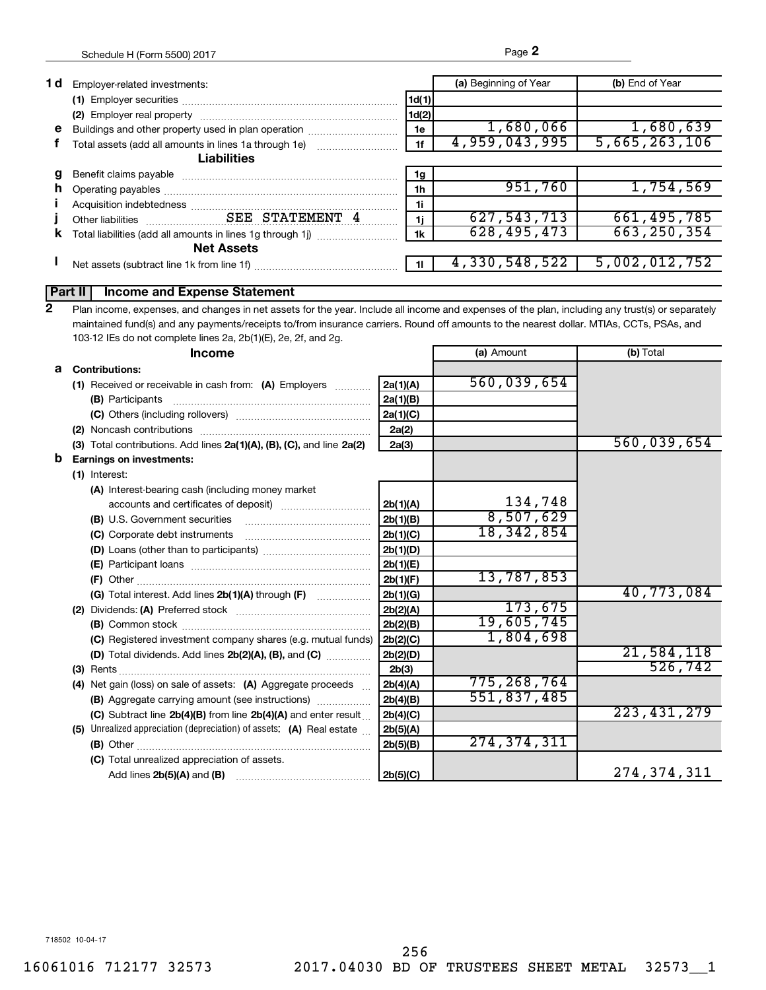| 1 d | Employer-related investments:                         |       | (a) Beginning of Year | (b) End of Year |
|-----|-------------------------------------------------------|-------|-----------------------|-----------------|
|     |                                                       | 1d(1) |                       |                 |
|     |                                                       | 1d(2) |                       |                 |
| e   | Buildings and other property used in plan operation   | 1e    | 1,680,066             | 1,680,639       |
|     | Total assets (add all amounts in lines 1a through 1e) | 1f    | 4,959,043,995         | 5,665,263,106   |
|     | <b>Liabilities</b>                                    |       |                       |                 |
|     |                                                       | 1g    |                       |                 |
| n.  |                                                       | 1h    | 951,760               | 1,754,569       |
|     |                                                       | 1i    |                       |                 |
|     |                                                       | 1i    | 627,543,713           | 661,495,785     |
| к   |                                                       | 1k    | 628, 495, 473         | 663, 250, 354   |
|     | <b>Net Assets</b>                                     |       |                       |                 |
|     | Net assets (subtract line 1k from line 1f)            |       | 4,330,548,522         | 5,002,012,752   |
|     |                                                       |       |                       |                 |

## **Part II Income and Expense Statement**

Plan income, expenses, and changes in net assets for the year. Include all income and expenses of the plan, including any trust(s) or separately maintained fund(s) and any payments/receipts to/from insurance carriers. Round off amounts to the nearest dollar. MTIAs, CCTs, PSAs, and 103-12 IEs do not complete lines 2a, 2b(1)(E), 2e, 2f, and 2g. **2**

|   | <b>Income</b>                                                         |          | (a) Amount    | (b) Total     |
|---|-----------------------------------------------------------------------|----------|---------------|---------------|
|   | a Contributions:                                                      |          |               |               |
|   | (1) Received or receivable in cash from: (A) Employers                | 2a(1)(A) | 560,039,654   |               |
|   | (B) Participants                                                      | 2a(1)(B) |               |               |
|   |                                                                       | 2a(1)(C) |               |               |
|   |                                                                       | 2a(2)    |               |               |
|   | (3) Total contributions. Add lines 2a(1)(A), (B), (C), and line 2a(2) | 2a(3)    |               | 560,039,654   |
| b | <b>Earnings on investments:</b>                                       |          |               |               |
|   | (1) Interest:                                                         |          |               |               |
|   | (A) Interest-bearing cash (including money market                     |          |               |               |
|   |                                                                       | 2b(1)(A) | 134,748       |               |
|   | (B) U.S. Government securities                                        | 2b(1)(B) | 8,507,629     |               |
|   | (C) Corporate debt instruments                                        | 2b(1)(C) | 18,342,854    |               |
|   |                                                                       | 2b(1)(D) |               |               |
|   |                                                                       | 2b(1)(E) |               |               |
|   |                                                                       | 2b(1)(F) | 13,787,853    |               |
|   |                                                                       | 2b(1)(G) |               | 40,773,084    |
|   |                                                                       | 2b(2)(A) | 173,675       |               |
|   |                                                                       | 2b(2)(B) | 19,605,745    |               |
|   | (C) Registered investment company shares (e.g. mutual funds)          | 2b(2)(C) | 1,804,698     |               |
|   | (D) Total dividends. Add lines 2b(2)(A), (B), and (C)                 | 2b(2)(D) |               | 21,584,118    |
|   |                                                                       | 2b(3)    |               | 526,742       |
|   | (4) Net gain (loss) on sale of assets: (A) Aggregate proceeds         | 2b(4)(A) | 775,268,764   |               |
|   | (B) Aggregate carrying amount (see instructions)                      | 2b(4)(B) | 551,837,485   |               |
|   | (C) Subtract line $2b(4)(B)$ from line $2b(4)(A)$ and enter result    | 2b(4)(C) |               | 223, 431, 279 |
|   | (5) Unrealized appreciation (depreciation) of assets: (A) Real estate | 2b(5)(A) |               |               |
|   |                                                                       | 2b(5)(B) | 274, 374, 311 |               |
|   | (C) Total unrealized appreciation of assets.                          |          |               |               |
|   |                                                                       | 2b(5)(C) |               | 274, 374, 311 |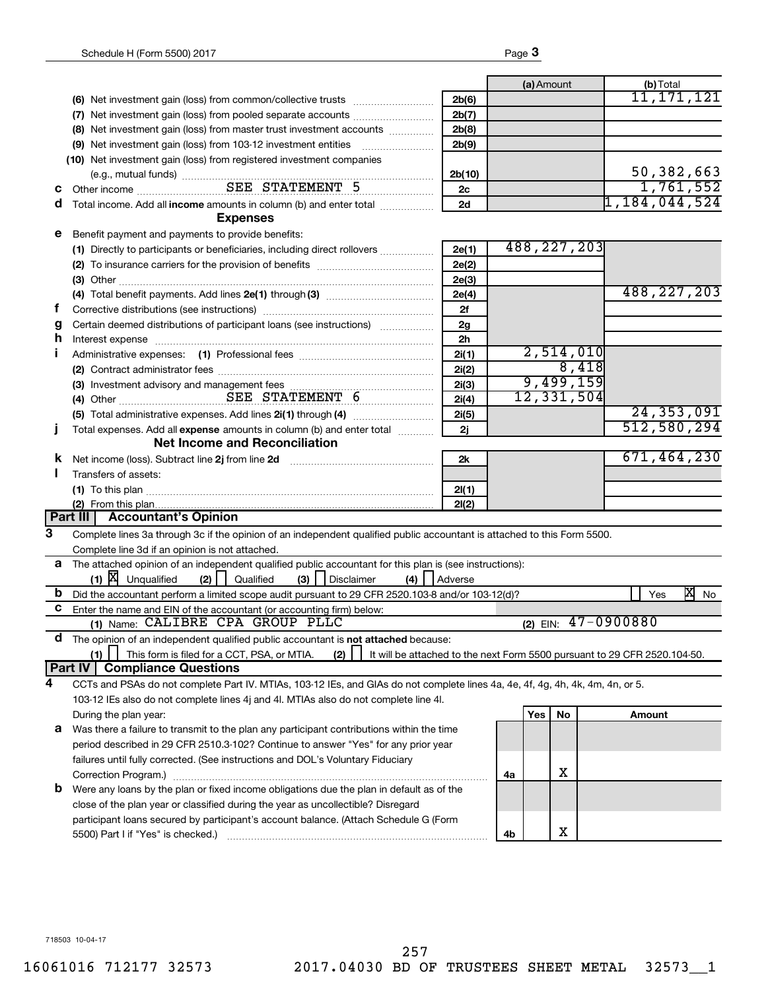|    |                                                                                                                                                                                                                                |         |    | (a) Amount |               | (b) Total               |              |
|----|--------------------------------------------------------------------------------------------------------------------------------------------------------------------------------------------------------------------------------|---------|----|------------|---------------|-------------------------|--------------|
|    |                                                                                                                                                                                                                                | 2b(6)   |    |            |               |                         | 11,171,121   |
|    | (7) Net investment gain (loss) from pooled separate accounts                                                                                                                                                                   | 2b(7)   |    |            |               |                         |              |
|    | (8) Net investment gain (loss) from master trust investment accounts                                                                                                                                                           | 2b(8)   |    |            |               |                         |              |
|    |                                                                                                                                                                                                                                | 2b(9)   |    |            |               |                         |              |
|    | (10) Net investment gain (loss) from registered investment companies                                                                                                                                                           |         |    |            |               |                         |              |
|    |                                                                                                                                                                                                                                | 2b(10)  |    |            |               |                         | 50, 382, 663 |
| С  |                                                                                                                                                                                                                                | 2с      |    |            |               |                         | 1,761,552    |
| a  | Total income. Add all income amounts in column (b) and enter total <i></i>                                                                                                                                                     | 2d      |    |            |               | 1, 184, 044, 524        |              |
|    | <b>Expenses</b>                                                                                                                                                                                                                |         |    |            |               |                         |              |
| е  | Benefit payment and payments to provide benefits:                                                                                                                                                                              |         |    |            |               |                         |              |
|    | (1) Directly to participants or beneficiaries, including direct rollovers                                                                                                                                                      | 2e(1)   |    |            | 488, 227, 203 |                         |              |
|    |                                                                                                                                                                                                                                | 2e(2)   |    |            |               |                         |              |
|    |                                                                                                                                                                                                                                | 2e(3)   |    |            |               |                         |              |
|    |                                                                                                                                                                                                                                | 2e(4)   |    |            |               | 488, 227, 203           |              |
| Ť. |                                                                                                                                                                                                                                | 2f      |    |            |               |                         |              |
| g  | Certain deemed distributions of participant loans (see instructions)                                                                                                                                                           | 2g      |    |            |               |                         |              |
| h  | Interest expense material contracts and contracts and contracts are in the contracts of the contracts of the contracts of the contracts of the contracts of the contracts of the contracts of the contracts of the contracts o | 2h      |    |            |               |                         |              |
| П  |                                                                                                                                                                                                                                | 2i(1)   |    |            | 2,514,010     |                         |              |
|    |                                                                                                                                                                                                                                | 2i(2)   |    |            | 8,418         |                         |              |
|    |                                                                                                                                                                                                                                | 2i(3)   |    |            | 9,499,159     |                         |              |
|    | (4) Other SEE STATEMENT 6                                                                                                                                                                                                      | 2i(4)   |    |            | 12,331,504    |                         |              |
|    |                                                                                                                                                                                                                                | 2i(5)   |    |            |               |                         | 24, 353, 091 |
| т  | Total expenses. Add all expense amounts in column (b) and enter total                                                                                                                                                          | 2j      |    |            |               | 512,580,294             |              |
|    | <b>Net Income and Reconciliation</b>                                                                                                                                                                                           |         |    |            |               |                         |              |
| ĸ  | Net income (loss). Subtract line 2j from line 2d                                                                                                                                                                               | 2k      |    |            |               | 671,464,230             |              |
| Ш  | Transfers of assets:                                                                                                                                                                                                           |         |    |            |               |                         |              |
|    |                                                                                                                                                                                                                                | 2I(1)   |    |            |               |                         |              |
|    |                                                                                                                                                                                                                                | 2I(2)   |    |            |               |                         |              |
|    | Part III   Accountant's Opinion                                                                                                                                                                                                |         |    |            |               |                         |              |
| 3  | Complete lines 3a through 3c if the opinion of an independent qualified public accountant is attached to this Form 5500.                                                                                                       |         |    |            |               |                         |              |
|    | Complete line 3d if an opinion is not attached.                                                                                                                                                                                |         |    |            |               |                         |              |
|    | a The attached opinion of an independent qualified public accountant for this plan is (see instructions):                                                                                                                      |         |    |            |               |                         |              |
|    | $(1)$ $X$ Unqualified<br>(3)<br>(2)<br>(4)<br>Qualified<br>  Disclaimer                                                                                                                                                        | Adverse |    |            |               |                         |              |
| b  | Did the accountant perform a limited scope audit pursuant to 29 CFR 2520.103-8 and/or 103-12(d)?                                                                                                                               |         |    |            |               | Yes                     | x<br>No      |
| C. | Enter the name and EIN of the accountant (or accounting firm) below:                                                                                                                                                           |         |    |            |               |                         |              |
|    | (1) Name: CALIBRE CPA GROUP PLLC                                                                                                                                                                                               |         |    |            |               | (2) EIN: $47 - 0900880$ |              |
| a  | The opinion of an independent qualified public accountant is not attached because:                                                                                                                                             |         |    |            |               |                         |              |
|    | (1)<br>This form is filed for a CCT, PSA, or MTIA.<br>(2)<br>It will be attached to the next Form 5500 pursuant to 29 CFR 2520.104-50.<br>Part IV<br><b>Compliance Questions</b>                                               |         |    |            |               |                         |              |
| 4  | CCTs and PSAs do not complete Part IV. MTIAs, 103-12 IEs, and GIAs do not complete lines 4a, 4e, 4f, 4g, 4h, 4k, 4m, 4n, or 5.                                                                                                 |         |    |            |               |                         |              |
|    | 103-12 IEs also do not complete lines 4j and 4l. MTIAs also do not complete line 4l.                                                                                                                                           |         |    |            |               |                         |              |
|    |                                                                                                                                                                                                                                |         |    | Yes        | No            | Amount                  |              |
|    | During the plan year:                                                                                                                                                                                                          |         |    |            |               |                         |              |
| a  | Was there a failure to transmit to the plan any participant contributions within the time<br>period described in 29 CFR 2510.3-102? Continue to answer "Yes" for any prior year                                                |         |    |            |               |                         |              |
|    | failures until fully corrected. (See instructions and DOL's Voluntary Fiduciary                                                                                                                                                |         |    |            |               |                         |              |
|    | Correction Program.)                                                                                                                                                                                                           |         | 4a |            | х             |                         |              |
| b  | Were any loans by the plan or fixed income obligations due the plan in default as of the                                                                                                                                       |         |    |            |               |                         |              |
|    | close of the plan year or classified during the year as uncollectible? Disregard                                                                                                                                               |         |    |            |               |                         |              |
|    | participant loans secured by participant's account balance. (Attach Schedule G (Form                                                                                                                                           |         |    |            |               |                         |              |
|    | 5500) Part I if "Yes" is checked.)                                                                                                                                                                                             |         | 4b |            | x             |                         |              |
|    |                                                                                                                                                                                                                                |         |    |            |               |                         |              |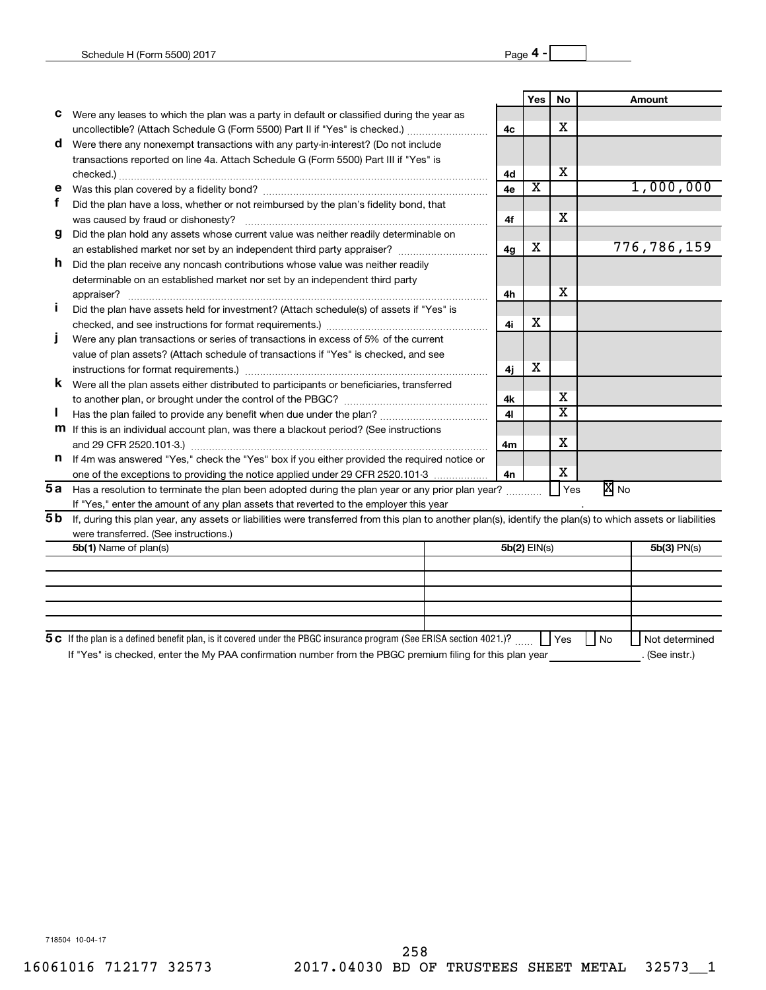|     |                                                                                                                                                              |                | Yes I        | No  |      | Amount      |
|-----|--------------------------------------------------------------------------------------------------------------------------------------------------------------|----------------|--------------|-----|------|-------------|
| с   | Were any leases to which the plan was a party in default or classified during the year as                                                                    |                |              |     |      |             |
|     | uncollectible? (Attach Schedule G (Form 5500) Part II if "Yes" is checked.)                                                                                  | 4 <sub>c</sub> |              | х   |      |             |
| d   | Were there any nonexempt transactions with any party-in-interest? (Do not include                                                                            |                |              |     |      |             |
|     | transactions reported on line 4a. Attach Schedule G (Form 5500) Part III if "Yes" is                                                                         |                |              |     |      |             |
|     | checked.)                                                                                                                                                    | 4d             |              | х   |      |             |
| е   |                                                                                                                                                              | 4e             | х            |     |      | 1,000,000   |
|     | Did the plan have a loss, whether or not reimbursed by the plan's fidelity bond, that                                                                        |                |              |     |      |             |
|     | was caused by fraud or dishonesty?                                                                                                                           | 4f             |              | X   |      |             |
| g   | Did the plan hold any assets whose current value was neither readily determinable on                                                                         |                |              |     |      |             |
|     |                                                                                                                                                              | 4g             | х            |     |      | 776,786,159 |
| h.  | Did the plan receive any noncash contributions whose value was neither readily                                                                               |                |              |     |      |             |
|     | determinable on an established market nor set by an independent third party                                                                                  |                |              |     |      |             |
|     |                                                                                                                                                              | 4h             |              | х   |      |             |
|     | Did the plan have assets held for investment? (Attach schedule(s) of assets if "Yes" is                                                                      |                |              |     |      |             |
|     |                                                                                                                                                              | 4i             | х            |     |      |             |
|     | Were any plan transactions or series of transactions in excess of 5% of the current                                                                          |                |              |     |      |             |
|     | value of plan assets? (Attach schedule of transactions if "Yes" is checked, and see                                                                          |                |              |     |      |             |
|     |                                                                                                                                                              | 4i             | х            |     |      |             |
| K   | Were all the plan assets either distributed to participants or beneficiaries, transferred                                                                    |                |              |     |      |             |
|     |                                                                                                                                                              | 4k             |              | х   |      |             |
|     |                                                                                                                                                              | 41             |              | X   |      |             |
|     | <b>m</b> If this is an individual account plan, was there a blackout period? (See instructions                                                               |                |              |     |      |             |
|     | and 29 CFR 2520.101-3.)                                                                                                                                      | 4 <sub>m</sub> |              | х   |      |             |
| n   | If 4m was answered "Yes," check the "Yes" box if you either provided the required notice or                                                                  |                |              |     |      |             |
|     | one of the exceptions to providing the notice applied under 29 CFR 2520.101-3                                                                                | 4n             |              | х   |      |             |
| 5а  | Has a resolution to terminate the plan been adopted during the plan year or any prior plan year?                                                             |                |              | Yes | X No |             |
|     | If "Yes," enter the amount of any plan assets that reverted to the employer this year                                                                        |                |              |     |      |             |
| 5 b | If, during this plan year, any assets or liabilities were transferred from this plan to another plan(s), identify the plan(s) to which assets or liabilities |                |              |     |      |             |
|     | were transferred. (See instructions.)                                                                                                                        |                |              |     |      |             |
|     | 5b(1) Name of plan(s)                                                                                                                                        |                | 5b(2) EIN(s) |     |      | 5b(3) PN(s) |
|     |                                                                                                                                                              |                |              |     |      |             |
|     |                                                                                                                                                              |                |              |     |      |             |

| 5 c If the plan is a defined benefit plan, is it covered under the PBGC insurance program (See ERISA section 4021.)?                                                                                                               | l Yes<br>l No | Not determined       |
|------------------------------------------------------------------------------------------------------------------------------------------------------------------------------------------------------------------------------------|---------------|----------------------|
| $\mathcal{L}$ . The contract of the contract of the contract of the contract of the contract of the contract of the contract of the contract of the contract of the contract of the contract of the contract of the contract of th |               | $\sim$ $\sim$ $\sim$ |

If "Yes" is checked, enter the My PAA confirmation number from the PBGC premium filing for this plan year \_\_\_\_\_\_\_\_\_\_\_\_\_\_. (See instr.)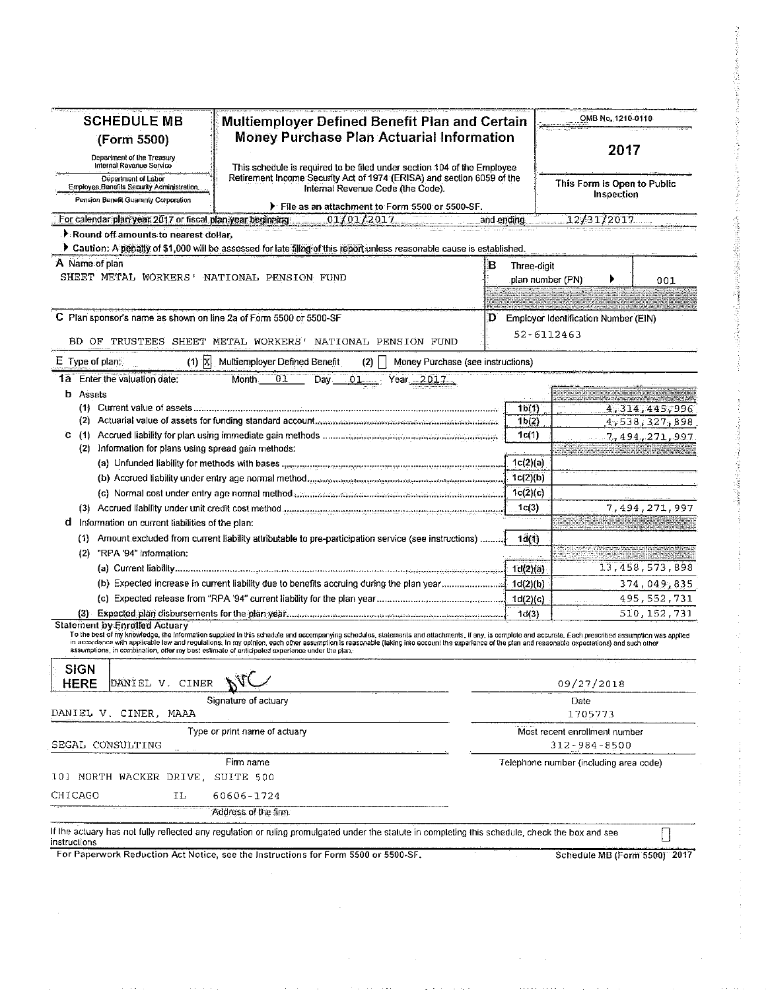| <b>SCHEDULE MB</b>                                                | Multiemployer Defined Benefit Plan and Certain                                                                                                                                                                                                                                                                                                                                                                                                                                                                |                                          | OMB No.: 1210-0110                            |
|-------------------------------------------------------------------|---------------------------------------------------------------------------------------------------------------------------------------------------------------------------------------------------------------------------------------------------------------------------------------------------------------------------------------------------------------------------------------------------------------------------------------------------------------------------------------------------------------|------------------------------------------|-----------------------------------------------|
| (Form 5500)                                                       | <b>Money Purchase Plan Actuarial Information</b>                                                                                                                                                                                                                                                                                                                                                                                                                                                              |                                          |                                               |
| Department of the Treasury                                        |                                                                                                                                                                                                                                                                                                                                                                                                                                                                                                               | 2017                                     |                                               |
| Internal Revenue Service                                          | This schedule is required to be filed under section 104 of the Employee                                                                                                                                                                                                                                                                                                                                                                                                                                       |                                          |                                               |
| Department of Labor<br>Employee Benefits Security Administration  | Retirement Income Security Act of 1974 (ERISA) and section 6059 of the<br>Internal Revenue Code (the Code).                                                                                                                                                                                                                                                                                                                                                                                                   |                                          | This Form is Open to Public                   |
| Pension Benefit Guaranty Corporation                              | File as an attachment to Form 5500 or 5500-SF.                                                                                                                                                                                                                                                                                                                                                                                                                                                                |                                          | Inspection                                    |
|                                                                   | For calendar plan year 2017 or fiscal plan year beginning $\sim 01/01/2017$                                                                                                                                                                                                                                                                                                                                                                                                                                   | and ending                               | 12/31/2017                                    |
| Round off amounts to nearest dollar.                              |                                                                                                                                                                                                                                                                                                                                                                                                                                                                                                               |                                          |                                               |
|                                                                   | > Caution: A penally of \$1,000 will be assessed for late filing of this report unless reasonable cause is established.                                                                                                                                                                                                                                                                                                                                                                                       |                                          |                                               |
| A Name of plan                                                    |                                                                                                                                                                                                                                                                                                                                                                                                                                                                                                               | в<br>Three-digit                         |                                               |
| SHEET METAL WORKERS' NATIONAL PENSION FUND                        |                                                                                                                                                                                                                                                                                                                                                                                                                                                                                                               |                                          | plan number (PN)<br>001                       |
|                                                                   |                                                                                                                                                                                                                                                                                                                                                                                                                                                                                                               |                                          |                                               |
|                                                                   |                                                                                                                                                                                                                                                                                                                                                                                                                                                                                                               |                                          |                                               |
| C Plan sponsor's name as shown on line 2a of Form 5500 or 5500-SF |                                                                                                                                                                                                                                                                                                                                                                                                                                                                                                               | D                                        | Employer Identification Number (EIN)          |
|                                                                   | BD OF TRUSTEES SHEET METAL WORKERS' NATIONAL PENSION FUND                                                                                                                                                                                                                                                                                                                                                                                                                                                     |                                          | 52-6112463                                    |
|                                                                   |                                                                                                                                                                                                                                                                                                                                                                                                                                                                                                               |                                          |                                               |
| $(1)$ $\overline{X}$<br>$E$ Type of plane.                        | Multiemployer Defined Benefit<br>Money Purchase (see instructions)<br>(2)                                                                                                                                                                                                                                                                                                                                                                                                                                     |                                          |                                               |
| 1a Enter the valuation date:                                      | 01<br>Month.<br>Day $01$<br>Year 2017                                                                                                                                                                                                                                                                                                                                                                                                                                                                         |                                          |                                               |
| <b>b</b> Assets                                                   |                                                                                                                                                                                                                                                                                                                                                                                                                                                                                                               |                                          |                                               |
|                                                                   |                                                                                                                                                                                                                                                                                                                                                                                                                                                                                                               | 1 <sub>b</sub> (1)<br>1 <sub>b</sub> (2) | 4,314,445,996<br>4,538,327,898                |
| C.                                                                |                                                                                                                                                                                                                                                                                                                                                                                                                                                                                                               | 1c(1)                                    | 7,494,271,997                                 |
| (2) Information for plans using spread gain methods:              |                                                                                                                                                                                                                                                                                                                                                                                                                                                                                                               |                                          |                                               |
|                                                                   |                                                                                                                                                                                                                                                                                                                                                                                                                                                                                                               | 1c(2)(a)                                 |                                               |
|                                                                   | (b) Accrued liability under entry age normal method analytical continuous international companion                                                                                                                                                                                                                                                                                                                                                                                                             | 1c(2)(b)                                 |                                               |
|                                                                   | (c) Normal cost under entry age normal method communication in a construction of the content of the                                                                                                                                                                                                                                                                                                                                                                                                           | 1c(2)(c)                                 |                                               |
|                                                                   |                                                                                                                                                                                                                                                                                                                                                                                                                                                                                                               | 1c(3)                                    | 7,494,271,997                                 |
| Information on current liabilities of the plan:<br>d              |                                                                                                                                                                                                                                                                                                                                                                                                                                                                                                               |                                          |                                               |
|                                                                   | (1) Amount excluded from current liability attributable to pre-participation service (see instructions)                                                                                                                                                                                                                                                                                                                                                                                                       | 1d(1)                                    |                                               |
| "RPA '94" information:<br>(2)                                     |                                                                                                                                                                                                                                                                                                                                                                                                                                                                                                               |                                          |                                               |
|                                                                   |                                                                                                                                                                                                                                                                                                                                                                                                                                                                                                               | Id(2)(a)                                 | 13,458,573,898                                |
|                                                                   |                                                                                                                                                                                                                                                                                                                                                                                                                                                                                                               |                                          | 374,049,835                                   |
|                                                                   |                                                                                                                                                                                                                                                                                                                                                                                                                                                                                                               | Id(2)(c)                                 | 495, 552, 731                                 |
|                                                                   |                                                                                                                                                                                                                                                                                                                                                                                                                                                                                                               | 1d(3)                                    | 510,152,731                                   |
| <b>Statement by Enrolled Actuary</b>                              | To the best of my knowledge, the information supplied in this schedule and accompanying schedules, statements and attachments, if any, is complete and accurate, Each prescribed assumption was applied<br>in accordance with applicable law and regulations. In my opinion, each other assumption is reasonable (laking into account the experience of the plan and reasonable oxpectations) and such other<br>assumptions, in combination, offer my best estimate of anticipated experience under the plan. |                                          |                                               |
| <b>SIGN</b><br>DANIEL V. CINER<br><b>HERE</b>                     |                                                                                                                                                                                                                                                                                                                                                                                                                                                                                                               |                                          | 09/27/2018                                    |
| DANIEL V. CINER, MAAA                                             | Signature of actuary                                                                                                                                                                                                                                                                                                                                                                                                                                                                                          |                                          | Date<br>1705773                               |
| SEGAL CONSULTING                                                  | Type or print name of actuary                                                                                                                                                                                                                                                                                                                                                                                                                                                                                 |                                          | Most recent enrollment number<br>312-984-8500 |
|                                                                   | Firm name                                                                                                                                                                                                                                                                                                                                                                                                                                                                                                     |                                          | Telephone number (including area code)        |
| 101 NORTH WACKER DRIVE, SUITE 500                                 |                                                                                                                                                                                                                                                                                                                                                                                                                                                                                                               |                                          |                                               |
| CHICAGO<br>ΙL                                                     | 60606-1724                                                                                                                                                                                                                                                                                                                                                                                                                                                                                                    |                                          |                                               |
|                                                                   | Address of the firm.                                                                                                                                                                                                                                                                                                                                                                                                                                                                                          |                                          |                                               |
|                                                                   |                                                                                                                                                                                                                                                                                                                                                                                                                                                                                                               |                                          |                                               |
| instructions                                                      | If the actuary has not fully reflected any regulation or ruling promulgated under the statute in completing this schedule, check the box and see                                                                                                                                                                                                                                                                                                                                                              |                                          |                                               |
|                                                                   | For Paperwork Reduction Act Notice, see the Instructions for Form 5500 or 5500-SF.                                                                                                                                                                                                                                                                                                                                                                                                                            |                                          | Schedule MB (Form 5500) 2017                  |

 $\hat{\mathcal{A}}$ 

 $\frac{1}{2}$ 

 $\alpha = 1/2$ 

**SANGER COMPANY**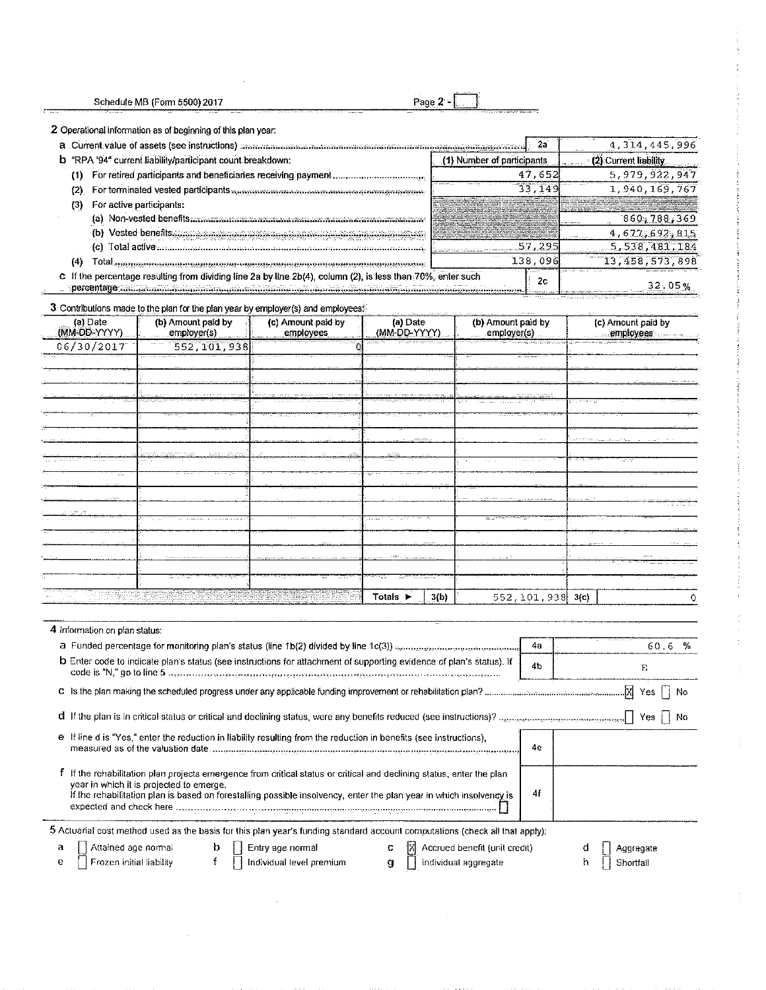Page 2 -

i.

2 Operational information as of beginning of this plan year:

| a Current value of assets (see instructions) monoconconcernational contractation and contract monoconcernations | 4.314.445.996              |                        |
|-----------------------------------------------------------------------------------------------------------------|----------------------------|------------------------|
| b "RPA '94" current liability/participant count breakdown:                                                      | (1) Number of participants | (2) Current liability. |
| For retired participants and beneficiaries receiving payment,                                                   | 47,652                     | 5, 979, 922, 947       |
| For terminated vested participants minimum compressions in a compression of                                     | 33.                        | 1.940,169.767          |
| For active participants:                                                                                        |                            |                        |
| Non-vested benefits                                                                                             |                            | 860,788,369            |
| Vested benefits                                                                                                 |                            | 4,677,692,815          |
| Total active                                                                                                    | . 295                      | 5,538,481,184          |
| otal summon manuscriptum computerem computerem computerem computerem                                            | 138.096                    | 13, 458, 573, 898      |
| c If the percentage resulting from dividing line 2a by line 2b(4), column (2), is less than 70%, enter such     | 2с                         | 32.05%                 |

3 Contributions made to the plan for the plan year by employer(s) and employees.

| (a) Date<br>(MM-OD-YYYY) | (b) Amount paid by<br>employer(s) | (c) Amount paid by<br>employees | (a) Date<br>(MM-DD-YYYY) | (b) Amount paid by<br>employer(s) | (c) Amount paid by<br>employees     |
|--------------------------|-----------------------------------|---------------------------------|--------------------------|-----------------------------------|-------------------------------------|
| 06/30/2017               | 552,101,938                       |                                 |                          |                                   |                                     |
|                          |                                   |                                 |                          |                                   |                                     |
|                          |                                   |                                 |                          |                                   |                                     |
|                          |                                   |                                 |                          |                                   |                                     |
|                          |                                   |                                 |                          |                                   | contract and contract               |
| matic.                   | ಮಾಣ್ಯ                             |                                 |                          |                                   |                                     |
|                          |                                   |                                 |                          |                                   |                                     |
|                          |                                   |                                 | $\ldots$                 | 100.00                            | and the theory produced and a final |
|                          | .                                 |                                 | <b>COLOR</b>             | .                                 | : :.:. <b>:</b>                     |
|                          |                                   |                                 |                          |                                   |                                     |
|                          |                                   |                                 |                          |                                   |                                     |
|                          |                                   |                                 |                          | and his discussion.               |                                     |
|                          |                                   |                                 |                          | .                                 | $\sim$                              |
|                          |                                   |                                 |                          |                                   |                                     |
|                          |                                   |                                 |                          |                                   | mar in 19                           |
|                          |                                   |                                 |                          | .                                 |                                     |
|                          |                                   |                                 |                          |                                   |                                     |
|                          |                                   |                                 |                          |                                   |                                     |
|                          |                                   |                                 | 3(b)<br>Totals >         | 552, 101, 938 3(c)                |                                     |

| 4 Information on plan status:                                                                                                                                                                                                                                                                                                                                                                                                                                                                                            |                |                 |
|--------------------------------------------------------------------------------------------------------------------------------------------------------------------------------------------------------------------------------------------------------------------------------------------------------------------------------------------------------------------------------------------------------------------------------------------------------------------------------------------------------------------------|----------------|-----------------|
| a Funded percentage for monitoring plan's status (line 1b(2) divided by line 1c(3)) means and consumer management                                                                                                                                                                                                                                                                                                                                                                                                        | 4а             | 60.6%           |
| <b>b</b> Enter code to indicate plan's status (see instructions for attachment of supporting evidence of plan's status). If                                                                                                                                                                                                                                                                                                                                                                                              | 4 <sub>b</sub> | Ë               |
|                                                                                                                                                                                                                                                                                                                                                                                                                                                                                                                          |                | Yes    No       |
|                                                                                                                                                                                                                                                                                                                                                                                                                                                                                                                          |                | Yes  <br>No     |
| e If line d is "Yes," enter the reduction in liability resulting from the reduction in benefits (see instructions),                                                                                                                                                                                                                                                                                                                                                                                                      | 4e             |                 |
| If the rehabilitation plan projects emergence from critical status or critical and declining status, enter the plan<br>vear in which it is projected to emerge.<br>If the rehabilitation plan is based on forestalling possible insolvency, enter the plan year in which insolvency is<br>expected and check here with processes and check the companies and check here with the companies of the contract of the contract of the contract of the contract of the contract of the contract of the contract of the contra | 4f             |                 |
| 5 Actuarial cost method used as the basis for this plan year's funding standard account computations (check all that apply);                                                                                                                                                                                                                                                                                                                                                                                             |                |                 |
| Attained age normal<br>b<br>Accrued benefit (unit credit)<br>Entry age normal<br>а<br>c                                                                                                                                                                                                                                                                                                                                                                                                                                  |                | Aggregate       |
| Frozen initial liability<br>Individual level premium<br>e<br>Individual aggregate<br>$\mathbf{g}$                                                                                                                                                                                                                                                                                                                                                                                                                        |                | Shortfall<br>'n |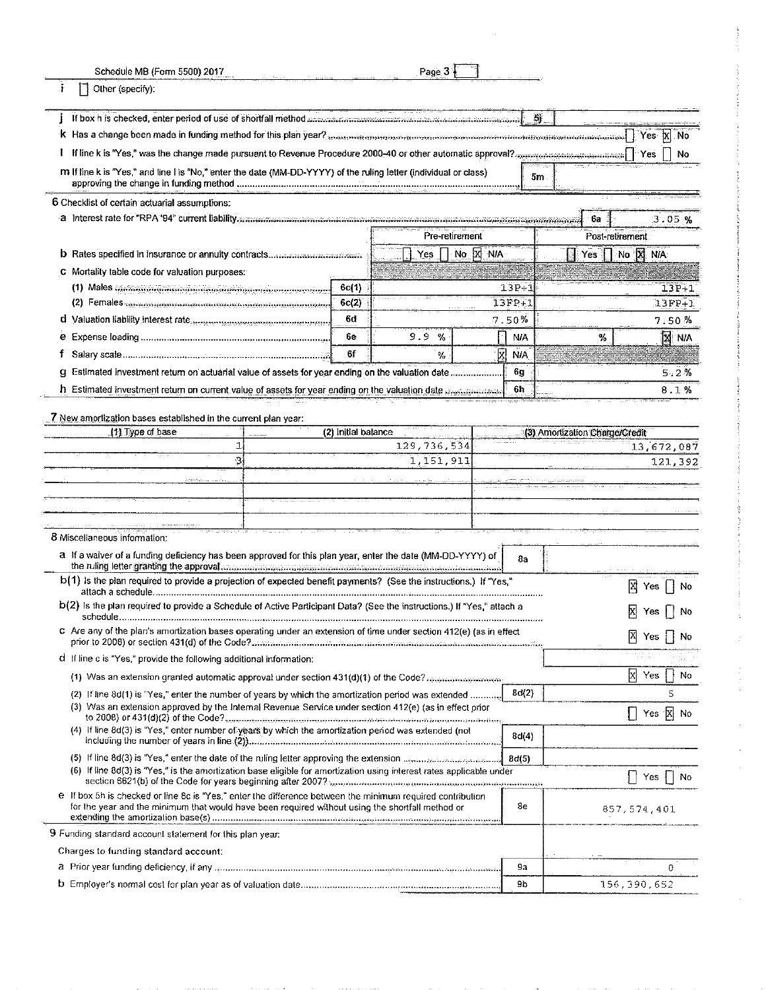| Schedule MB (Form 5500) 2017                                                                                                                                                                                                                              |                          |                     | Page 3         |    |       |                    |                                |                              |
|-----------------------------------------------------------------------------------------------------------------------------------------------------------------------------------------------------------------------------------------------------------|--------------------------|---------------------|----------------|----|-------|--------------------|--------------------------------|------------------------------|
| ÷.<br>Other (specify):                                                                                                                                                                                                                                    |                          |                     |                |    |       |                    |                                |                              |
| If box h is checked, enter period of use of shortfall method announcements concerns in the constant method.                                                                                                                                               |                          |                     |                |    |       | 斴                  |                                |                              |
| <b>k</b> Has a change been made in funding method for this plan year? $_{3}$ as meaning as series as mean as a series as a series and the series of $\lceil$                                                                                              |                          |                     |                |    |       |                    |                                | Yes X<br><b>No</b>           |
| If line k is "Yes," was the change made pursuant to Revenue Procedure 2000-40 or other automatic approval? merrorational manufacturers of Pres                                                                                                            |                          |                     |                |    |       |                    |                                | Νo                           |
| m If line k is "Yes," and line I is "No," enter the date (MM-DD-YYYY) of the ruling letter (individual or class)                                                                                                                                          |                          |                     |                |    |       | 5m                 |                                |                              |
| 6 Checklist of certain actuarial assumptions:                                                                                                                                                                                                             |                          |                     |                |    |       |                    |                                |                              |
|                                                                                                                                                                                                                                                           |                          |                     |                |    |       |                    | -6a                            | 3.05%                        |
|                                                                                                                                                                                                                                                           |                          |                     | Pre-retirement |    |       |                    |                                | Post-retirement              |
|                                                                                                                                                                                                                                                           |                          |                     | Yes            | No | X NIA |                    | Yes.                           | No X N/A                     |
| C Mortality table code for valuation purposes:                                                                                                                                                                                                            |                          |                     |                |    |       |                    |                                |                              |
| (1) Males communications in construction of the contract of the contract of the contract of the contract of the contract of the contract of the contract of the contract of the contract of the contract of the contract of th                            |                          | 6c(1)               |                |    |       | $13P + 3$          |                                | $13P+1$                      |
| (2) Females communication communication in construction of                                                                                                                                                                                                |                          | 6c(2)<br>6d         |                |    |       | 13FP+1             |                                | $13FP+1$                     |
| d Valuation liability interest rate and conservations are conservative and                                                                                                                                                                                |                          | 6e                  | 9.9<br>$\%$    |    | 7.50% |                    |                                | 7.50%                        |
| f                                                                                                                                                                                                                                                         |                          | 6f                  | ℅              |    | И     | <b>NA</b><br>NIA.  | ₩                              | <b>N</b> NA                  |
| g Estimated investment return on actuarial value of assets for year ending on the valuation date                                                                                                                                                          |                          |                     |                |    |       | 6g                 |                                |                              |
| h Estimated investment return on current value of assets for year ending on the valuation date announcement                                                                                                                                               |                          |                     |                |    |       | 6h.                |                                | 5.2%<br>8.1%                 |
|                                                                                                                                                                                                                                                           |                          |                     |                |    |       |                    |                                |                              |
| 7 New amortization bases established in the current plan year:                                                                                                                                                                                            |                          |                     |                |    |       |                    |                                |                              |
| (1) Type of base                                                                                                                                                                                                                                          |                          | (2) Initial balance |                |    |       |                    | (3) Amortization Charge/Credit |                              |
|                                                                                                                                                                                                                                                           | 129,736,534<br>1.<br>-31 |                     |                |    |       |                    |                                | 13,672,087                   |
| 1,151,911                                                                                                                                                                                                                                                 |                          |                     |                |    |       |                    | 121,392                        |                              |
|                                                                                                                                                                                                                                                           |                          |                     |                |    |       |                    |                                |                              |
|                                                                                                                                                                                                                                                           |                          |                     |                |    |       |                    |                                |                              |
|                                                                                                                                                                                                                                                           |                          |                     |                |    |       |                    |                                |                              |
| 8 Miscellaneous information:                                                                                                                                                                                                                              |                          |                     |                |    |       |                    |                                |                              |
| a If a waiver of a funding deficiency has been approved for this plan year, enter the date (MM-DD-YYYY) of<br>the ruling letter granting the approval communications in intervention and containing the ruling letter granting the                        |                          |                     |                |    |       | 8a                 |                                |                              |
| $b(1)$ is the plan required to provide a projection of expected benefit payments? (See the instructions.) If "Yes,"                                                                                                                                       |                          |                     |                |    |       |                    |                                | $X \mid Y$ es<br>No          |
| b(2) is the plan required to provide a Schedule of Active Participant Data? (See the instructions.) If "Yes," attach a                                                                                                                                    |                          |                     |                |    |       |                    |                                | $\boxtimes$ Yes $\Box$<br>No |
| C Are any of the plan's amortization bases operating under an extension of time under section 412(e) (as in effect                                                                                                                                        |                          |                     |                |    |       |                    |                                |                              |
|                                                                                                                                                                                                                                                           |                          |                     |                |    |       |                    |                                | 冈<br>Yes<br>No               |
| d If line c is "Yes," provide the following additional information:                                                                                                                                                                                       |                          |                     |                |    |       |                    |                                |                              |
|                                                                                                                                                                                                                                                           |                          |                     |                |    |       |                    |                                | $\mathbf{x}$<br>Yes<br>No    |
| (2) If line 8d(1) is "Yes," enter the number of years by which the amortization period was extended                                                                                                                                                       |                          |                     |                |    |       | 8d(2)              |                                | 5                            |
| (3) Was an extension approved by the Internal Revenue Service under section 412(e) (as in effect prior<br>to 2008) or 431(d)(2) of the Code?……………………………………………………………………………………………                                                                           |                          |                     |                |    |       |                    |                                | Yes $\overline{X}$ No        |
| (4) If line 8d(3) is "Yes," enter number of years by which the amortization period was extended (not                                                                                                                                                      |                          |                     |                |    |       | 8d(4)              |                                |                              |
| (5) If line 8d(3) is "Yes," enter the date of the ruling letter approving the extension means and conservative                                                                                                                                            |                          |                     |                |    |       | 8 <sub>d</sub> (5) |                                |                              |
| (6) If line 8d(3) is "Yes," is the amortization base eligible for amortization using interest rates applicable under<br>section 6621(b) of the Code for years beginning after 2007? members and proportional construction of the Code for years beginning |                          |                     |                |    |       |                    |                                | $Yes$    <br>No              |
| e If box 5h is checked or line 8c is "Yes," enter the difference between the minimum required contribution<br>for the year and the minimum that would have been required without using the shortfall method or                                            |                          |                     |                |    |       | 8e                 |                                | 857,574,401                  |
|                                                                                                                                                                                                                                                           |                          |                     |                |    |       |                    |                                |                              |
| 9 Funding standard account statement for this plan year:                                                                                                                                                                                                  |                          |                     |                |    |       |                    |                                |                              |
| Charges to funding standard account:                                                                                                                                                                                                                      |                          |                     |                |    |       |                    |                                |                              |
| a Prior year funding deficiency, if any measurement continuous continuous continuous continuous continuous                                                                                                                                                |                          |                     |                |    |       | 9a<br>9b           |                                | 0                            |
|                                                                                                                                                                                                                                                           |                          |                     |                |    |       |                    |                                | 156,390,652                  |

 $\mathcal{L}_{\mathcal{A}}$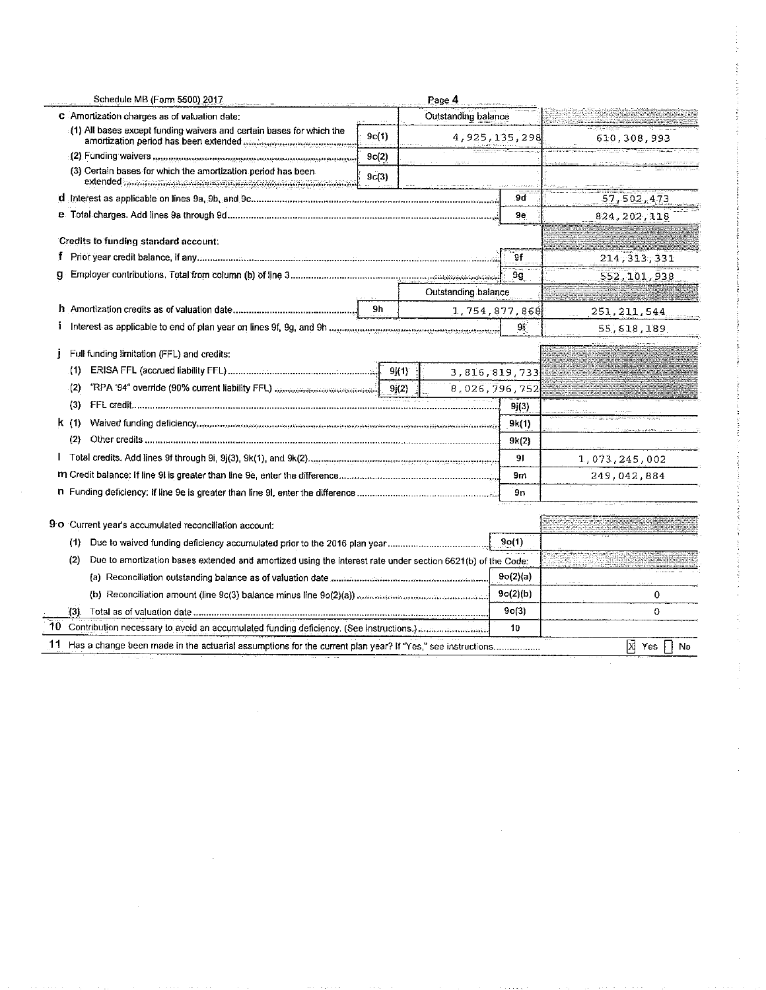| Schedule MB (Form 5500) 2017                                                                                       |       | Page 4              |               |               |
|--------------------------------------------------------------------------------------------------------------------|-------|---------------------|---------------|---------------|
| C Amortization charges as of valuation date:                                                                       |       | Outstanding balance |               |               |
| (1) All bases except funding waivers and certain bases for which the                                               | 9c(1) |                     | 4,925,135,298 | 610,308,993   |
| (2) Funding waivers manual conservation communication conservation                                                 | 9c(2) |                     |               |               |
| (3) Certain bases for which the amortization period has been.                                                      | 9c(3) |                     |               |               |
|                                                                                                                    |       |                     | 9d            | 57,502,473    |
|                                                                                                                    |       |                     | 9e            | 824, 202, 118 |
| Credits to funding standard account:                                                                               |       |                     |               |               |
|                                                                                                                    |       |                     | 9f            | 214,313,331   |
| a                                                                                                                  |       |                     | 9q            | 552,101,938   |
|                                                                                                                    |       | Outstanding balance |               |               |
|                                                                                                                    | 9h    |                     | 1,754,877,868 | 251, 211, 544 |
| Interest as applicable to end of plan year on lines 9f, 9g, and 9h monetary communications in the series           |       |                     | 91.           | 55, 618, 189  |
|                                                                                                                    |       |                     |               |               |
| Full funding limitation (FFL) and credits:                                                                         |       |                     |               |               |
| (1)                                                                                                                | 9(1)  |                     | 3,816,819,733 |               |
| "RPA '94" override (90% current liability FFL) minimissimaminaminal<br>(2)                                         | 9j(2) |                     | 8,026,796,752 |               |
| (3)                                                                                                                |       |                     | 9j(3)         |               |
| K (1)                                                                                                              |       |                     | 9k(1)         |               |
| (2)                                                                                                                |       |                     | 9k(2)         |               |
|                                                                                                                    |       |                     | 91            | 1,073,245,002 |
|                                                                                                                    |       |                     | 9m            | 249,042,884   |
|                                                                                                                    |       |                     | 9n            |               |
| 9 o Current year's accumulated reconciliation account:                                                             |       |                     |               |               |
| (1)                                                                                                                |       |                     | 9o(1)         |               |
| (2)<br>Due to amortization bases extended and amortized using the interest rate under section 6621(b) of the Code: |       |                     |               |               |
|                                                                                                                    |       |                     | 9o(2)(a)      |               |
|                                                                                                                    |       |                     | $9o(2)$ (b)   | 0             |
|                                                                                                                    |       |                     | 9o(3)         | 0             |
| $\left[3\right]$                                                                                                   |       |                     | 10            |               |
| 11 Has a change been made in the actuarial assumptions for the current plan year? If "Yes," see instructions       |       |                     |               | 囨<br>No       |
|                                                                                                                    |       |                     |               | Yes           |

 $\sim 10^{-1}$ 

 $\sim$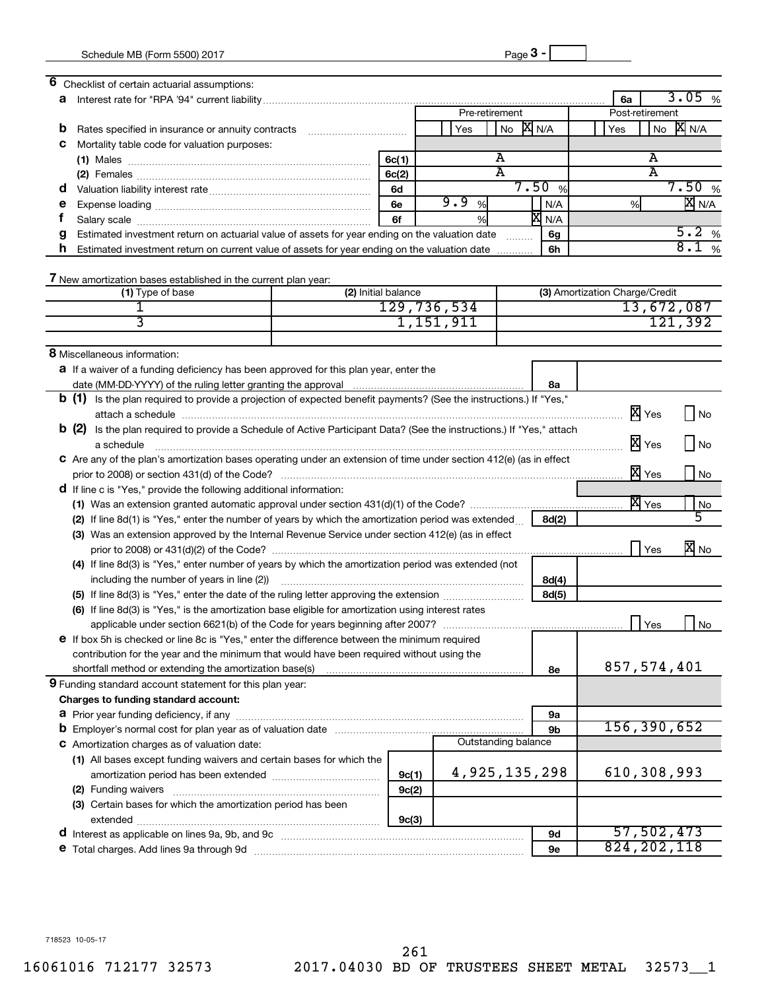| 6<br>Checklist of certain actuarial assumptions:                                                                             |                     |                |                     |                                |                                   |
|------------------------------------------------------------------------------------------------------------------------------|---------------------|----------------|---------------------|--------------------------------|-----------------------------------|
| а                                                                                                                            |                     |                |                     | 6a                             | 3.05<br>%                         |
|                                                                                                                              |                     | Pre-retirement |                     | Post-retirement                |                                   |
| b<br>Rates specified in insurance or annuity contracts                                                                       |                     | Yes            | <b>X</b> N/A<br>No  | Yes                            | X N/A<br>No                       |
| Mortality table code for valuation purposes:<br>с                                                                            |                     |                |                     |                                |                                   |
|                                                                                                                              | 6c(1)               |                | Α                   |                                | А                                 |
|                                                                                                                              | 6c(2)               |                | A                   |                                | A                                 |
| a                                                                                                                            | 6d                  |                | 7.50%               |                                | 7.50%                             |
| е                                                                                                                            | 6e                  | 9.9<br>%       | N/A                 | %                              | <b>X</b> N/A                      |
|                                                                                                                              | 6f                  | %              | <b>X</b> N/A        |                                |                                   |
| Estimated investment return on actuarial value of assets for year ending on the valuation date<br>g                          |                     |                | 6g<br>.             |                                | 5.2%                              |
| h<br>Estimated investment return on current value of assets for year ending on the valuation date                            |                     |                | 6h                  |                                | 8.1%                              |
|                                                                                                                              |                     |                |                     |                                |                                   |
| 7 New amortization bases established in the current plan year:                                                               |                     |                |                     |                                |                                   |
| (1) Type of base                                                                                                             | (2) Initial balance |                |                     | (3) Amortization Charge/Credit |                                   |
|                                                                                                                              |                     | 129, 736, 534  |                     |                                | 13,672,087                        |
| 3                                                                                                                            |                     | 1,151,911      |                     |                                | 121,392                           |
|                                                                                                                              |                     |                |                     |                                |                                   |
| 8 Miscellaneous information:                                                                                                 |                     |                |                     |                                |                                   |
|                                                                                                                              |                     |                |                     |                                |                                   |
| <b>a</b> If a waiver of a funding deficiency has been approved for this plan year, enter the                                 |                     |                |                     |                                |                                   |
|                                                                                                                              |                     |                | 8а                  |                                |                                   |
| <b>b</b> (1) Is the plan required to provide a projection of expected benefit payments? (See the instructions.) If "Yes,"    |                     |                |                     |                                |                                   |
|                                                                                                                              |                     |                |                     | X Yes                          | No                                |
| <b>b</b> (2) Is the plan required to provide a Schedule of Active Participant Data? (See the instructions.) If "Yes," attach |                     |                |                     |                                |                                   |
| a schedule                                                                                                                   |                     |                |                     | X Yes                          | No                                |
| C Are any of the plan's amortization bases operating under an extension of time under section 412(e) (as in effect           |                     |                |                     |                                |                                   |
|                                                                                                                              |                     |                |                     | X Yes                          | No                                |
| <b>d</b> If line c is "Yes," provide the following additional information:                                                   |                     |                |                     |                                |                                   |
|                                                                                                                              |                     |                |                     | $\overline{\mathbb{X}}$ Yes    | No                                |
| (2) If line 8d(1) is "Yes," enter the number of years by which the amortization period was extended                          |                     |                | 8d(2)               |                                |                                   |
| (3) Was an extension approved by the Internal Revenue Service under section 412(e) (as in effect                             |                     |                |                     |                                |                                   |
|                                                                                                                              |                     |                |                     |                                | $\overline{\mathbf{x}}$ No<br>Yes |
| (4) If line 8d(3) is "Yes," enter number of years by which the amortization period was extended (not                         |                     |                |                     |                                |                                   |
| including the number of years in line (2))                                                                                   |                     |                | 8d(4)               |                                |                                   |
|                                                                                                                              |                     |                | 8d(5)               |                                |                                   |
| (6) If line 8d(3) is "Yes," is the amortization base eligible for amortization using interest rates                          |                     |                |                     |                                |                                   |
|                                                                                                                              |                     |                |                     |                                | Yes<br>No                         |
| e If box 5h is checked or line 8c is "Yes," enter the difference between the minimum required                                |                     |                |                     |                                |                                   |
| contribution for the year and the minimum that would have been required without using the                                    |                     |                |                     |                                |                                   |
| shortfall method or extending the amortization base(s)                                                                       |                     |                | 8e                  |                                | 857,574,401                       |
| 9 Funding standard account statement for this plan year:                                                                     |                     |                |                     |                                |                                   |
| Charges to funding standard account:                                                                                         |                     |                |                     |                                |                                   |
|                                                                                                                              |                     |                | <b>9a</b>           |                                |                                   |
|                                                                                                                              |                     |                | 9b                  |                                | 156,390,652                       |
| C Amortization charges as of valuation date:                                                                                 |                     |                | Outstanding balance |                                |                                   |
| (1) All bases except funding waivers and certain bases for which the                                                         |                     |                |                     |                                |                                   |
|                                                                                                                              |                     |                | 4,925,135,298       |                                | 610,308,993                       |
|                                                                                                                              | 9c(1)               |                |                     |                                |                                   |
| (2) Funding waivers                                                                                                          | 9c(2)               |                |                     |                                |                                   |
| (3) Certain bases for which the amortization period has been                                                                 |                     |                |                     |                                |                                   |
|                                                                                                                              | 9c(3)               |                |                     |                                |                                   |
| d Interest as applicable on lines 9a, 9b, and 9c [11] manufactures manufactures as applicable on lines 9a, 9b, and 9c        |                     |                | 9d                  |                                | 57,502,473                        |
| e Total charges. Add lines 9a through 9d                                                                                     |                     |                | <b>9e</b>           |                                | 824, 202, 118                     |

718523 10-05-17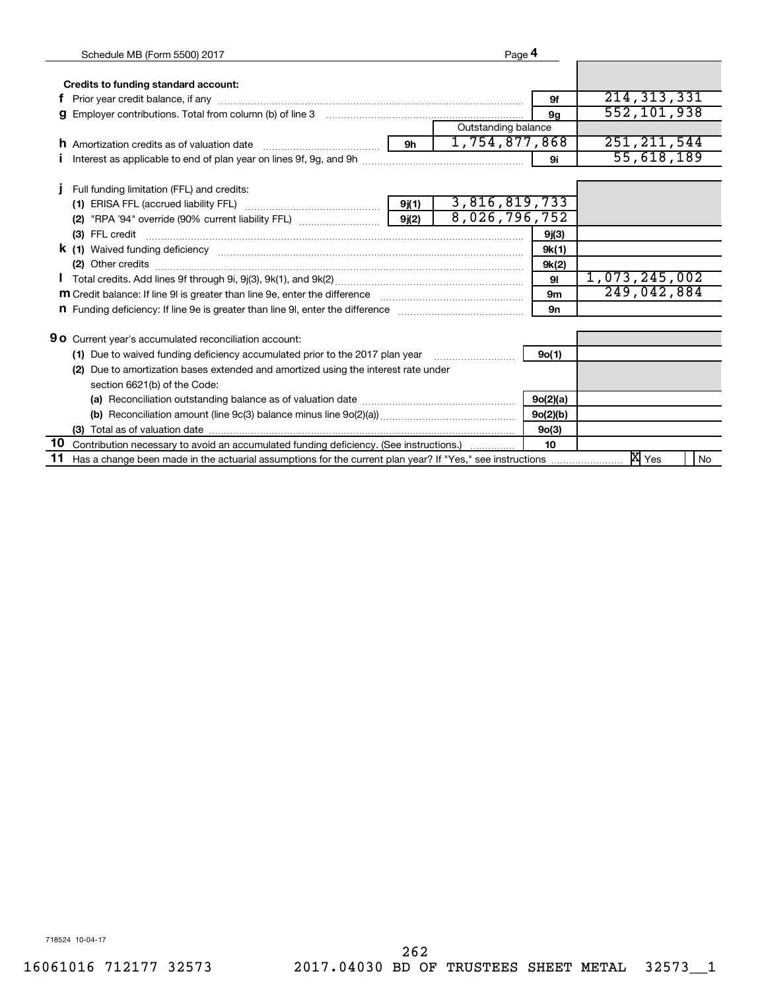| Schedule MB (Form 5500) 2017                                                                                                                                                                                                              | Page 4              |                    |               |
|-------------------------------------------------------------------------------------------------------------------------------------------------------------------------------------------------------------------------------------------|---------------------|--------------------|---------------|
|                                                                                                                                                                                                                                           |                     |                    |               |
| Credits to funding standard account:                                                                                                                                                                                                      |                     |                    | 214, 313, 331 |
|                                                                                                                                                                                                                                           |                     | 9f                 |               |
|                                                                                                                                                                                                                                           |                     | 9 <sub>q</sub>     | 552,101,938   |
|                                                                                                                                                                                                                                           | Outstanding balance |                    |               |
| <b>h</b> Amortization credits as of valuation date                                                                                                                                                                                        | 1,754,877,868       |                    | 251, 211, 544 |
|                                                                                                                                                                                                                                           |                     | 9i                 | 55,618,189    |
| Full funding limitation (FFL) and credits:                                                                                                                                                                                                |                     |                    |               |
|                                                                                                                                                                                                                                           | 3,816,819,733       |                    |               |
|                                                                                                                                                                                                                                           | 8,026,796,752       |                    |               |
| (2) "RPA '94" override (90% current liability FFL) $\ldots$ [9](2)                                                                                                                                                                        |                     |                    |               |
|                                                                                                                                                                                                                                           |                     | 9j(3)              |               |
| <b>k</b> (1) Waived funding deficiency <b>contract to the contract of the contract of the contract of the contract of the contract of the contract of the contract of the contract of the contract of the contract of the contract of</b> |                     | 9k(1)              |               |
| (2) Other credits <b>contracts contracts contracts contracts contracts contracts contracts contracts contracts contracts contracts contracts contracts contracts contracts contracts contracts</b>                                        |                     | 9k(2)              |               |
|                                                                                                                                                                                                                                           |                     | 91                 | 1,073,245,002 |
| m Credit balance: If line 9I is greater than line 9e, enter the difference manufactured contains an original contained manufactured manufactured manufactured manufactured manufactured manufactured manufactured manufactured            |                     | 9 <sub>m</sub>     | 249,042,884   |
| <b>n</b> Funding deficiency: If line 9e is greater than line 9I, enter the difference                                                                                                                                                     |                     | <b>9n</b>          |               |
|                                                                                                                                                                                                                                           |                     |                    |               |
| <b>90</b> Current year's accumulated reconciliation account:                                                                                                                                                                              |                     |                    |               |
| (1) Due to waived funding deficiency accumulated prior to the 2017 plan year                                                                                                                                                              |                     | 9o(1)              |               |
| Due to amortization bases extended and amortized using the interest rate under<br>(2)                                                                                                                                                     |                     |                    |               |
| section 6621(b) of the Code:                                                                                                                                                                                                              |                     |                    |               |
|                                                                                                                                                                                                                                           |                     | 9o(2)(a)           |               |
|                                                                                                                                                                                                                                           |                     | 9o(2)(b)           |               |
|                                                                                                                                                                                                                                           |                     | 9 <sub>0</sub> (3) |               |
| 10 Contribution necessary to avoid an accumulated funding deficiency. (See instructions.)                                                                                                                                                 |                     | 10                 |               |
| 11                                                                                                                                                                                                                                        |                     |                    | No            |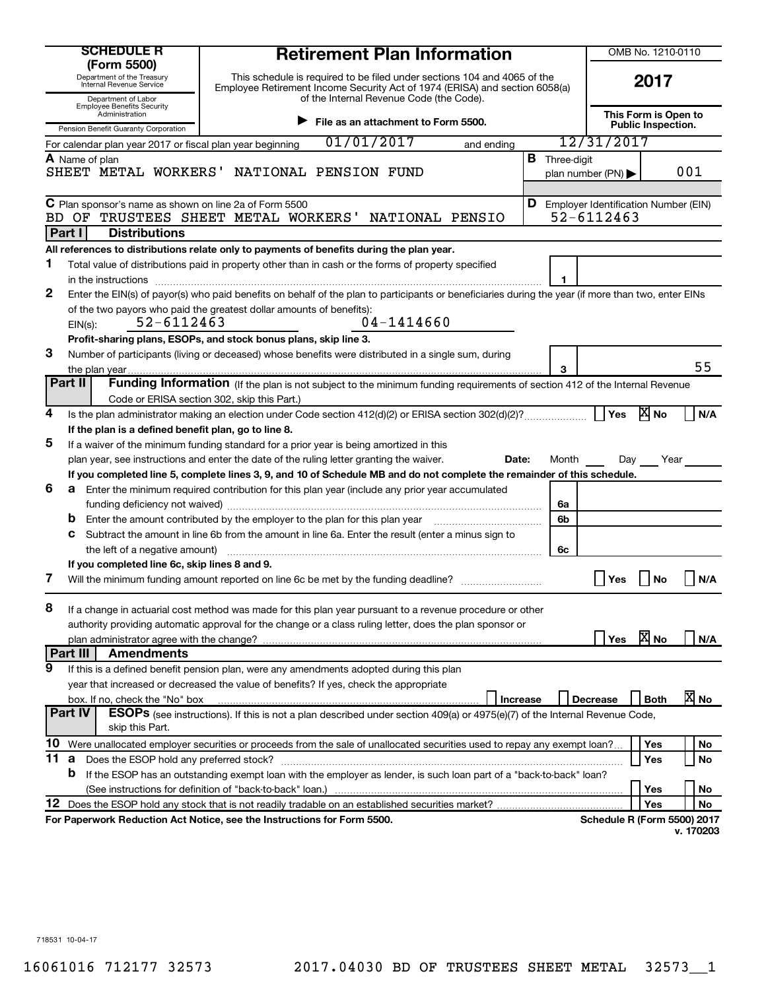| <b>SCHEDULE R</b><br>(Form 5500)                                              |                                                                                             | <b>Retirement Plan Information</b>                                                                                                                                                                                                 |                 |                                                   | OMB No. 1210-0110                      |             |                   |
|-------------------------------------------------------------------------------|---------------------------------------------------------------------------------------------|------------------------------------------------------------------------------------------------------------------------------------------------------------------------------------------------------------------------------------|-----------------|---------------------------------------------------|----------------------------------------|-------------|-------------------|
| Department of the Treasury<br>Internal Revenue Service<br>Department of Labor |                                                                                             | This schedule is required to be filed under sections 104 and 4065 of the<br>Employee Retirement Income Security Act of 1974 (ERISA) and section 6058(a)<br>of the Internal Revenue Code (the Code).                                |                 |                                                   | 2017                                   |             |                   |
|                                                                               | <b>Employee Benefits Security</b><br>Administration<br>Pension Benefit Guaranty Corporation | File as an attachment to Form 5500.                                                                                                                                                                                                |                 | This Form is Open to<br><b>Public Inspection.</b> |                                        |             |                   |
|                                                                               | For calendar plan year 2017 or fiscal plan year beginning                                   | 01/01/2017                                                                                                                                                                                                                         | and ending      |                                                   | 12/31/2017                             |             |                   |
|                                                                               | A Name of plan                                                                              |                                                                                                                                                                                                                                    |                 | <b>B</b> Three-digit                              |                                        |             |                   |
|                                                                               |                                                                                             | SHEET METAL WORKERS' NATIONAL PENSION FUND                                                                                                                                                                                         |                 |                                                   | plan number (PN) $\blacktriangleright$ |             | 001               |
|                                                                               |                                                                                             |                                                                                                                                                                                                                                    |                 |                                                   |                                        |             |                   |
|                                                                               | C Plan sponsor's name as shown on line 2a of Form 5500<br>BD OF                             | TRUSTEES SHEET METAL WORKERS'                                                                                                                                                                                                      | NATIONAL PENSIO | <b>D</b> Employer Identification Number (EIN)     | $52 - 6112463$                         |             |                   |
|                                                                               | Part I<br><b>Distributions</b>                                                              |                                                                                                                                                                                                                                    |                 |                                                   |                                        |             |                   |
|                                                                               |                                                                                             | All references to distributions relate only to payments of benefits during the plan year.                                                                                                                                          |                 |                                                   |                                        |             |                   |
| 1                                                                             |                                                                                             | Total value of distributions paid in property other than in cash or the forms of property specified                                                                                                                                |                 |                                                   |                                        |             |                   |
|                                                                               | in the instructions                                                                         |                                                                                                                                                                                                                                    |                 | 1                                                 |                                        |             |                   |
| 2                                                                             |                                                                                             | Enter the EIN(s) of payor(s) who paid benefits on behalf of the plan to participants or beneficiaries during the year (if more than two, enter EINs                                                                                |                 |                                                   |                                        |             |                   |
|                                                                               |                                                                                             | of the two payors who paid the greatest dollar amounts of benefits):                                                                                                                                                               |                 |                                                   |                                        |             |                   |
|                                                                               | 52-6112463<br>$EIN(s)$ :                                                                    | $04 - 1414660$                                                                                                                                                                                                                     |                 |                                                   |                                        |             |                   |
|                                                                               |                                                                                             | Profit-sharing plans, ESOPs, and stock bonus plans, skip line 3.                                                                                                                                                                   |                 |                                                   |                                        |             |                   |
| 3                                                                             |                                                                                             | Number of participants (living or deceased) whose benefits were distributed in a single sum, during                                                                                                                                |                 |                                                   |                                        |             |                   |
|                                                                               |                                                                                             |                                                                                                                                                                                                                                    |                 | 3                                                 |                                        |             | 55                |
|                                                                               | Part II                                                                                     | Funding Information (If the plan is not subject to the minimum funding requirements of section 412 of the Internal Revenue                                                                                                         |                 |                                                   |                                        |             |                   |
|                                                                               |                                                                                             | Code or ERISA section 302, skip this Part.)                                                                                                                                                                                        |                 |                                                   |                                        |             |                   |
| 4                                                                             |                                                                                             |                                                                                                                                                                                                                                    |                 |                                                   | Yes                                    | <b>X</b> No | N/A               |
| 5                                                                             | If the plan is a defined benefit plan, go to line 8.                                        |                                                                                                                                                                                                                                    |                 |                                                   |                                        |             |                   |
|                                                                               |                                                                                             | If a waiver of the minimum funding standard for a prior year is being amortized in this                                                                                                                                            |                 |                                                   |                                        |             |                   |
|                                                                               |                                                                                             | plan year, see instructions and enter the date of the ruling letter granting the waiver.                                                                                                                                           | Date:           | Month                                             | Day                                    | Year        |                   |
| 6                                                                             |                                                                                             | If you completed line 5, complete lines 3, 9, and 10 of Schedule MB and do not complete the remainder of this schedule.<br><b>a</b> Enter the minimum required contribution for this plan year (include any prior year accumulated |                 |                                                   |                                        |             |                   |
|                                                                               |                                                                                             |                                                                                                                                                                                                                                    |                 | 6a                                                |                                        |             |                   |
|                                                                               |                                                                                             | Enter the amount contributed by the employer to the plan for this plan year manufactured contributed by the employer to the plan for this plan year                                                                                |                 | 6b                                                |                                        |             |                   |
|                                                                               | С                                                                                           | Subtract the amount in line 6b from the amount in line 6a. Enter the result (enter a minus sign to                                                                                                                                 |                 |                                                   |                                        |             |                   |
|                                                                               | the left of a negative amount)                                                              |                                                                                                                                                                                                                                    |                 | 6с                                                |                                        |             |                   |
|                                                                               | If you completed line 6c, skip lines 8 and 9.                                               |                                                                                                                                                                                                                                    |                 |                                                   |                                        |             |                   |
| 7                                                                             |                                                                                             | Will the minimum funding amount reported on line 6c be met by the funding deadline?                                                                                                                                                |                 |                                                   | Yes                                    | No          | N/A               |
|                                                                               |                                                                                             |                                                                                                                                                                                                                                    |                 |                                                   |                                        |             |                   |
| 8                                                                             |                                                                                             | If a change in actuarial cost method was made for this plan year pursuant to a revenue procedure or other                                                                                                                          |                 |                                                   |                                        |             |                   |
|                                                                               |                                                                                             | authority providing automatic approval for the change or a class ruling letter, does the plan sponsor or                                                                                                                           |                 |                                                   |                                        |             |                   |
|                                                                               |                                                                                             |                                                                                                                                                                                                                                    |                 |                                                   | Yes                                    | <b>X</b> No | N/A               |
|                                                                               | Part III<br><b>Amendments</b>                                                               |                                                                                                                                                                                                                                    |                 |                                                   |                                        |             |                   |
| 9                                                                             |                                                                                             | If this is a defined benefit pension plan, were any amendments adopted during this plan                                                                                                                                            |                 |                                                   |                                        |             |                   |
|                                                                               |                                                                                             | year that increased or decreased the value of benefits? If yes, check the appropriate                                                                                                                                              |                 |                                                   |                                        |             |                   |
|                                                                               | box. If no, check the "No" box                                                              |                                                                                                                                                                                                                                    | Increase        |                                                   | <b>Decrease</b>                        | <b>Both</b> | $\overline{X}$ No |
|                                                                               | Part IV<br>skip this Part.                                                                  | <b>ESOPs</b> (see instructions). If this is not a plan described under section 409(a) or 4975(e)(7) of the Internal Revenue Code,                                                                                                  |                 |                                                   |                                        |             |                   |
| 10                                                                            |                                                                                             | Were unallocated employer securities or proceeds from the sale of unallocated securities used to repay any exempt loan?                                                                                                            |                 |                                                   |                                        | Yes         | No                |
| 11                                                                            | <b>a</b> Does the ESOP hold any preferred stock?                                            |                                                                                                                                                                                                                                    |                 |                                                   |                                        | Yes         | No                |
|                                                                               | b                                                                                           | If the ESOP has an outstanding exempt loan with the employer as lender, is such loan part of a "back-to-back" loan?                                                                                                                |                 |                                                   |                                        |             |                   |
|                                                                               |                                                                                             |                                                                                                                                                                                                                                    |                 |                                                   |                                        | Yes         | No                |
| 12                                                                            |                                                                                             |                                                                                                                                                                                                                                    |                 |                                                   |                                        | Yes         | No                |
|                                                                               |                                                                                             | For Paperwork Reduction Act Notice, see the Instructions for Form 5500.                                                                                                                                                            |                 |                                                   | <b>Schedule R (Form 5500) 2017</b>     |             |                   |
|                                                                               |                                                                                             |                                                                                                                                                                                                                                    |                 |                                                   |                                        |             | v. 170203         |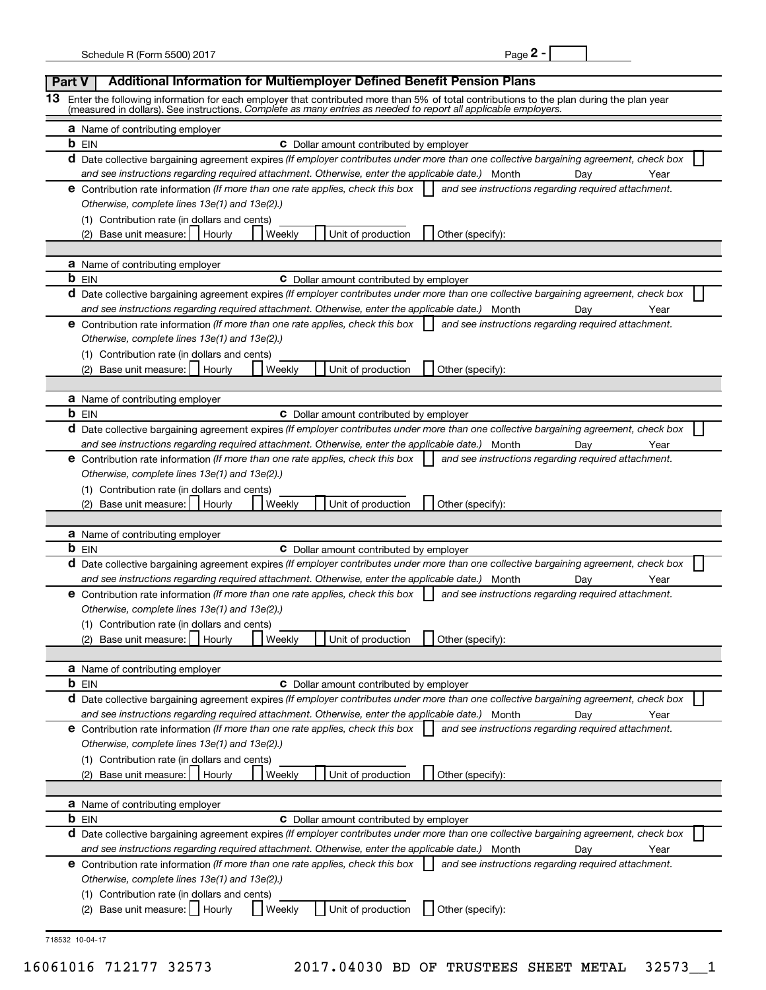| Page . |  |
|--------|--|
|--------|--|

| Part V | Additional Information for Multiemployer Defined Benefit Pension Plans                                                                                                                                                                                     |
|--------|------------------------------------------------------------------------------------------------------------------------------------------------------------------------------------------------------------------------------------------------------------|
| 13     | Enter the following information for each employer that contributed more than 5% of total contributions to the plan during the plan year<br>(measured in dollars). See instructions. Complete as many entries as needed to report all applicable employers. |
|        | <b>a</b> Name of contributing employer                                                                                                                                                                                                                     |
|        | <b>b</b> EIN<br><b>C</b> Dollar amount contributed by employer                                                                                                                                                                                             |
|        | d Date collective bargaining agreement expires (If employer contributes under more than one collective bargaining agreement, check box                                                                                                                     |
|        | and see instructions regarding required attachment. Otherwise, enter the applicable date.) Month<br>Dav<br>Year                                                                                                                                            |
|        | <b>e</b> Contribution rate information (If more than one rate applies, check this box<br>and see instructions regarding required attachment.                                                                                                               |
|        | Otherwise, complete lines 13e(1) and 13e(2).)                                                                                                                                                                                                              |
|        | (1) Contribution rate (in dollars and cents)                                                                                                                                                                                                               |
|        | Base unit measure:  <br>Unit of production<br>Hourly<br>Weekly<br>Other (specify):                                                                                                                                                                         |
|        | <b>a</b> Name of contributing employer                                                                                                                                                                                                                     |
|        | <b>b</b> EIN<br><b>C</b> Dollar amount contributed by employer                                                                                                                                                                                             |
|        | d Date collective bargaining agreement expires (If employer contributes under more than one collective bargaining agreement, check box                                                                                                                     |
|        | and see instructions regarding required attachment. Otherwise, enter the applicable date.) Month<br>Dav<br>Year                                                                                                                                            |
|        | <b>e</b> Contribution rate information (If more than one rate applies, check this box<br>and see instructions regarding required attachment.                                                                                                               |
|        | Otherwise, complete lines 13e(1) and 13e(2).)                                                                                                                                                                                                              |
|        | (1) Contribution rate (in dollars and cents)                                                                                                                                                                                                               |
|        | Base unit measure:<br>Unit of production<br>Weekly<br>Other (specify):<br>(2)<br>Hourly                                                                                                                                                                    |
|        |                                                                                                                                                                                                                                                            |
|        | <b>a</b> Name of contributing employer                                                                                                                                                                                                                     |
|        | <b>b</b> EIN<br><b>C</b> Dollar amount contributed by employer                                                                                                                                                                                             |
|        | d Date collective bargaining agreement expires (If employer contributes under more than one collective bargaining agreement, check box                                                                                                                     |
|        | and see instructions regarding required attachment. Otherwise, enter the applicable date.) Month<br>Dav<br>Year                                                                                                                                            |
|        | <b>e</b> Contribution rate information (If more than one rate applies, check this box<br>and see instructions regarding required attachment.                                                                                                               |
|        | Otherwise, complete lines 13e(1) and 13e(2).)                                                                                                                                                                                                              |
|        | (1) Contribution rate (in dollars and cents)<br>Base unit measure:<br>Weekly<br>Unit of production<br>Other (specify):<br>(2)<br>Hourly                                                                                                                    |
|        |                                                                                                                                                                                                                                                            |
|        | <b>a</b> Name of contributing employer                                                                                                                                                                                                                     |
|        | <b>b</b> EIN<br><b>C</b> Dollar amount contributed by employer                                                                                                                                                                                             |
|        | d Date collective bargaining agreement expires (If employer contributes under more than one collective bargaining agreement, check box                                                                                                                     |
|        | and see instructions regarding required attachment. Otherwise, enter the applicable date.) Month<br>Year<br>Day                                                                                                                                            |
|        | <b>e</b> Contribution rate information (If more than one rate applies, check this box<br>and see instructions regarding required attachment.                                                                                                               |
|        | Otherwise, complete lines 13e(1) and 13e(2).)                                                                                                                                                                                                              |
|        | (1) Contribution rate (in dollars and cents)                                                                                                                                                                                                               |
|        | Weekly<br>Unit of production<br>(2) Base unit measure:<br>Hourly<br>Other (specify):                                                                                                                                                                       |
|        |                                                                                                                                                                                                                                                            |
|        | <b>a</b> Name of contributing employer<br><b>b</b> EIN<br><b>C</b> Dollar amount contributed by employer                                                                                                                                                   |
|        | d Date collective bargaining agreement expires (If employer contributes under more than one collective bargaining agreement, check box                                                                                                                     |
|        | and see instructions regarding required attachment. Otherwise, enter the applicable date.) Month<br>Year<br>Day                                                                                                                                            |
|        | <b>e</b> Contribution rate information (If more than one rate applies, check this box<br>and see instructions regarding required attachment.                                                                                                               |
|        | Otherwise, complete lines 13e(1) and 13e(2).)                                                                                                                                                                                                              |
|        | (1) Contribution rate (in dollars and cents)                                                                                                                                                                                                               |
|        | Other (specify):<br>Base unit measure:<br>Weekly<br>Unit of production<br>Hourly                                                                                                                                                                           |
|        |                                                                                                                                                                                                                                                            |
|        | <b>a</b> Name of contributing employer                                                                                                                                                                                                                     |
|        | <b>b</b> EIN<br><b>C</b> Dollar amount contributed by employer                                                                                                                                                                                             |
|        | d Date collective bargaining agreement expires (If employer contributes under more than one collective bargaining agreement, check box                                                                                                                     |
|        | and see instructions regarding required attachment. Otherwise, enter the applicable date.) Month<br>Year<br>Day                                                                                                                                            |
|        | <b>e</b> Contribution rate information (If more than one rate applies, check this box<br>and see instructions regarding required attachment.                                                                                                               |
|        | Otherwise, complete lines 13e(1) and 13e(2).)<br>(1) Contribution rate (in dollars and cents)                                                                                                                                                              |
|        | (2) Base unit measure:     Hourly<br>Unit of production<br>Other (specify):<br>Weekly                                                                                                                                                                      |
|        |                                                                                                                                                                                                                                                            |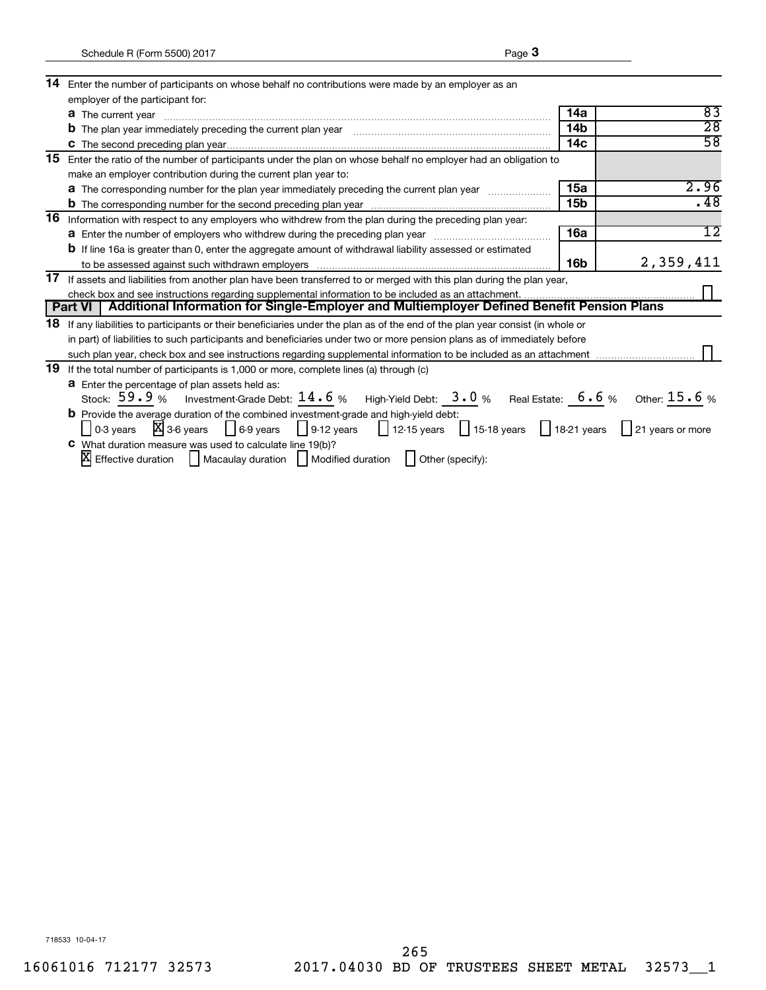| 14 | Enter the number of participants on whose behalf no contributions were made by an employer as an                                     |                 |                 |  |  |
|----|--------------------------------------------------------------------------------------------------------------------------------------|-----------------|-----------------|--|--|
|    | employer of the participant for:                                                                                                     |                 |                 |  |  |
|    | <b>a</b> The current year                                                                                                            | 14a             | 83              |  |  |
|    | <b>b</b> The plan year immediately preceding the current plan year <b>contract to the contract of the plan</b> year immunition       | 14 <sub>b</sub> | $\overline{28}$ |  |  |
|    |                                                                                                                                      | 14 <sub>c</sub> | $\overline{58}$ |  |  |
| 15 | Enter the ratio of the number of participants under the plan on whose behalf no employer had an obligation to                        |                 |                 |  |  |
|    | make an employer contribution during the current plan year to:                                                                       |                 |                 |  |  |
|    | <b>a</b> The corresponding number for the plan year immediately preceding the current plan year                                      | 15a             | 2.96            |  |  |
|    |                                                                                                                                      | 15 <sub>b</sub> | .48             |  |  |
| 16 | Information with respect to any employers who withdrew from the plan during the preceding plan year:                                 |                 |                 |  |  |
|    | a Enter the number of employers who withdrew during the preceding plan year                                                          | 16a             | $\overline{12}$ |  |  |
|    | <b>b</b> If line 16a is greater than 0, enter the aggregate amount of withdrawal liability assessed or estimated                     |                 |                 |  |  |
|    |                                                                                                                                      | 16 <sub>b</sub> | 2,359,411       |  |  |
| 17 | If assets and liabilities from another plan have been transferred to or merged with this plan during the plan year,                  |                 |                 |  |  |
|    |                                                                                                                                      |                 |                 |  |  |
|    | Additional Information for Single-Employer and Multiemployer Defined Benefit Pension Plans<br><b>Part VI</b>                         |                 |                 |  |  |
| 18 | If any liabilities to participants or their beneficiaries under the plan as of the end of the plan year consist (in whole or         |                 |                 |  |  |
|    | in part) of liabilities to such participants and beneficiaries under two or more pension plans as of immediately before              |                 |                 |  |  |
|    |                                                                                                                                      |                 |                 |  |  |
| 19 | If the total number of participants is 1,000 or more, complete lines (a) through (c)                                                 |                 |                 |  |  |
|    | <b>a</b> Enter the percentage of plan assets held as:                                                                                |                 |                 |  |  |
|    | Stock: 59.9% Investment-Grade Debt: 14.6% High-Yield Debt: 3.0% Real Estate: 6.6% Other: 15.6%                                       |                 |                 |  |  |
|    | $\mathbf b$ Provide the average duration of the combined investment-grade and high-yield debt:                                       |                 |                 |  |  |
|    | $\vert X \vert$ 3-6 years   $\vert$ 6-9 years   9-12 years   12-15 years   15-18 years   18-21 years   21 years or more<br>0-3 vears |                 |                 |  |  |
|    | C What duration measure was used to calculate line 19(b)?                                                                            |                 |                 |  |  |
|    | $\mathbb X$ Effective duration     Macaulay duration     Modified duration     Other (specify):                                      |                 |                 |  |  |

| 718533 10-04-17 |  |
|-----------------|--|
|-----------------|--|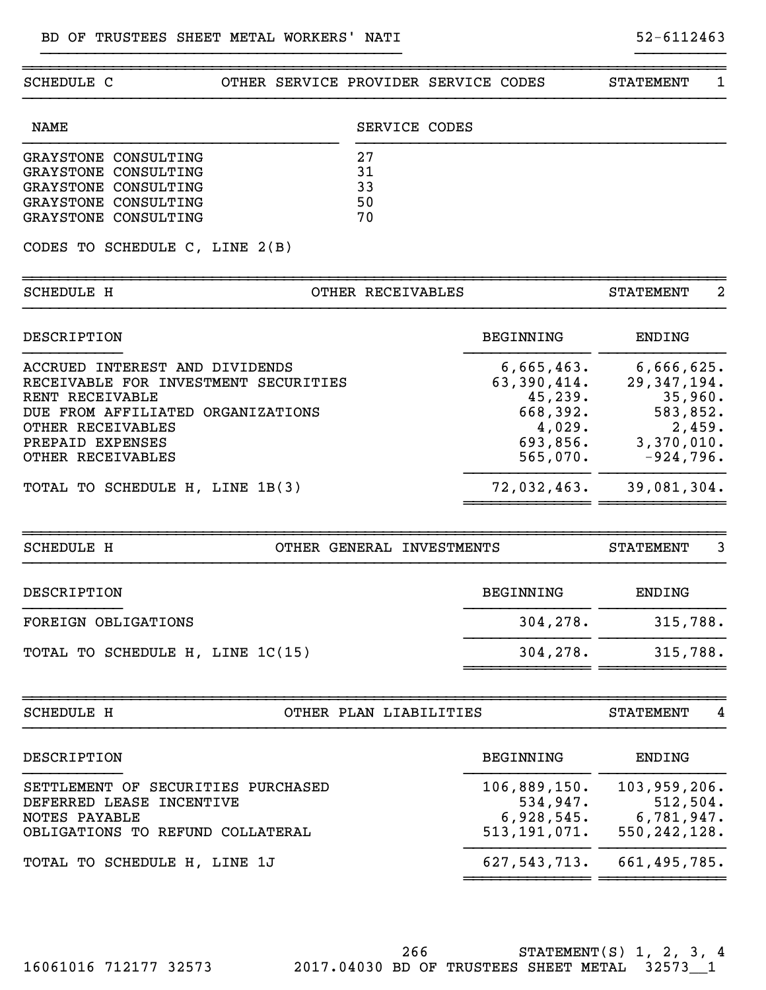| SCHEDULE C                                        | OTHER SERVICE PROVIDER SERVICE CODES |                           |                  | 1<br><b>STATEMENT</b> |
|---------------------------------------------------|--------------------------------------|---------------------------|------------------|-----------------------|
| <b>NAME</b>                                       |                                      | SERVICE CODES             |                  |                       |
| GRAYSTONE CONSULTING                              |                                      | 27                        |                  |                       |
| GRAYSTONE CONSULTING                              |                                      | 31                        |                  |                       |
| GRAYSTONE CONSULTING                              |                                      | 33                        |                  |                       |
| GRAYSTONE CONSULTING                              |                                      | 50                        |                  |                       |
| GRAYSTONE CONSULTING                              |                                      | 70                        |                  |                       |
| CODES TO SCHEDULE C, LINE 2(B)                    |                                      |                           |                  |                       |
| <b>SCHEDULE H</b>                                 |                                      | OTHER RECEIVABLES         |                  | 2<br><b>STATEMENT</b> |
| DESCRIPTION                                       |                                      |                           | BEGINNING        | <b>ENDING</b>         |
| ACCRUED INTEREST AND DIVIDENDS                    |                                      |                           | 6,665,463.       | 6,666,625.            |
| RECEIVABLE FOR INVESTMENT SECURITIES              |                                      |                           | 63,390,414.      | 29, 347, 194.         |
| RENT RECEIVABLE                                   |                                      |                           | 45,239.          | 35,960.               |
| DUE FROM AFFILIATED ORGANIZATIONS                 |                                      |                           | 668,392.         | 583,852.              |
| OTHER RECEIVABLES                                 |                                      |                           | 4,029.           | 2,459.                |
| PREPAID EXPENSES                                  |                                      |                           | 693,856.         | 3,370,010.            |
| OTHER RECEIVABLES                                 |                                      |                           | 565,070.         | $-924,796.$           |
| TOTAL TO SCHEDULE H, LINE 1B(3)                   |                                      |                           | 72,032,463.      | 39,081,304.           |
| <b>SCHEDULE H</b>                                 |                                      | OTHER GENERAL INVESTMENTS |                  | 3<br><b>STATEMENT</b> |
| DESCRIPTION                                       |                                      |                           | <b>BEGINNING</b> | <b>ENDING</b>         |
| FOREIGN OBLIGATIONS                               |                                      |                           | 304, 278.        | 315,788.              |
| TOTAL TO SCHEDULE H, LINE 1C(15)                  |                                      |                           | 304,278.         | 315,788.              |
|                                                   |                                      |                           |                  | <b>STATEMENT</b>      |
| <b>SCHEDULE H</b>                                 |                                      | OTHER PLAN LIABILITIES    |                  | 4                     |
| DESCRIPTION                                       |                                      |                           | BEGINNING        | ENDING                |
| SETTLEMENT OF SECURITIES PURCHASED                |                                      |                           | 106,889,150.     | 103,959,206.          |
| DEFERRED LEASE INCENTIVE                          |                                      |                           | 534,947.         | 512, 504.             |
|                                                   |                                      |                           | 6,928,545.       | 6,781,947.            |
|                                                   |                                      |                           |                  |                       |
| NOTES PAYABLE<br>OBLIGATIONS TO REFUND COLLATERAL |                                      |                           | 513, 191, 071.   | 550, 242, 128.        |